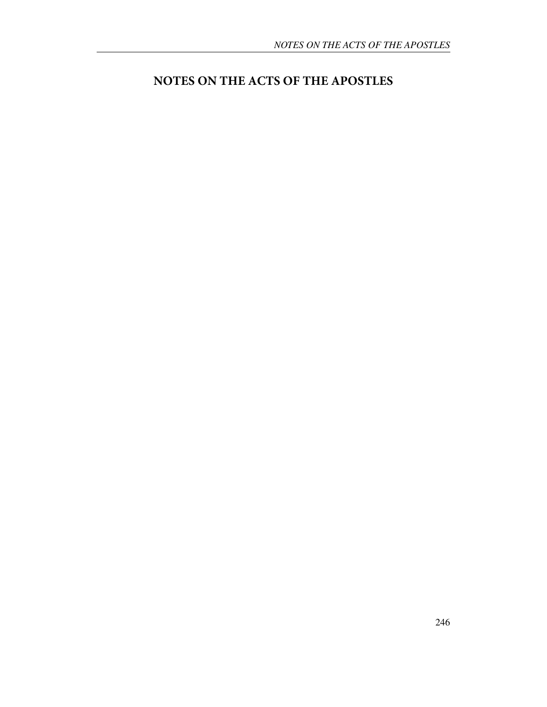# **NOTES ON THE ACTS OF THE APOSTLES**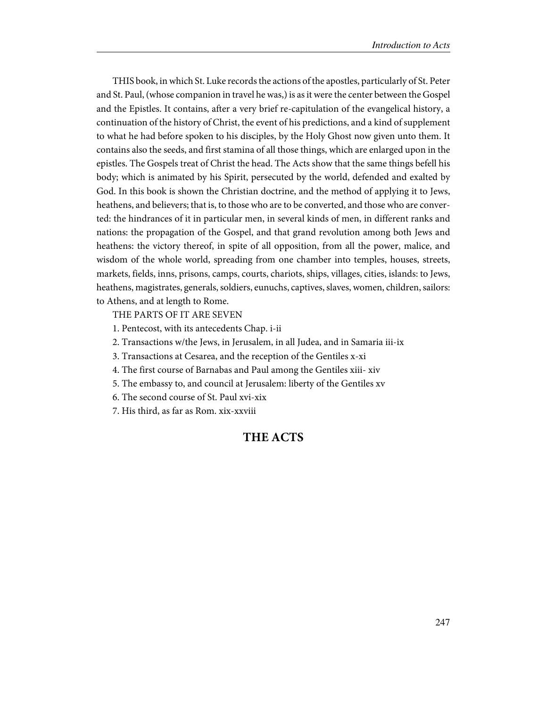THIS book, in which St. Luke records the actions of the apostles, particularly of St. Peter and St. Paul, (whose companion in travel he was,) is as it were the center between the Gospel and the Epistles. It contains, after a very brief re-capitulation of the evangelical history, a continuation of the history of Christ, the event of his predictions, and a kind of supplement to what he had before spoken to his disciples, by the Holy Ghost now given unto them. It contains also the seeds, and first stamina of all those things, which are enlarged upon in the epistles. The Gospels treat of Christ the head. The Acts show that the same things befell his body; which is animated by his Spirit, persecuted by the world, defended and exalted by God. In this book is shown the Christian doctrine, and the method of applying it to Jews, heathens, and believers; that is, to those who are to be converted, and those who are converted: the hindrances of it in particular men, in several kinds of men, in different ranks and nations: the propagation of the Gospel, and that grand revolution among both Jews and heathens: the victory thereof, in spite of all opposition, from all the power, malice, and wisdom of the whole world, spreading from one chamber into temples, houses, streets, markets, fields, inns, prisons, camps, courts, chariots, ships, villages, cities, islands: to Jews, heathens, magistrates, generals, soldiers, eunuchs, captives, slaves, women, children, sailors: to Athens, and at length to Rome.

# THE PARTS OF IT ARE SEVEN

1. Pentecost, with its antecedents Chap. i-ii

2. Transactions w/the Jews, in Jerusalem, in all Judea, and in Samaria iii-ix

3. Transactions at Cesarea, and the reception of the Gentiles x-xi

4. The first course of Barnabas and Paul among the Gentiles xiii- xiv

5. The embassy to, and council at Jerusalem: liberty of the Gentiles xv

6. The second course of St. Paul xvi-xix

7. His third, as far as Rom. xix-xxviii

# **THE ACTS**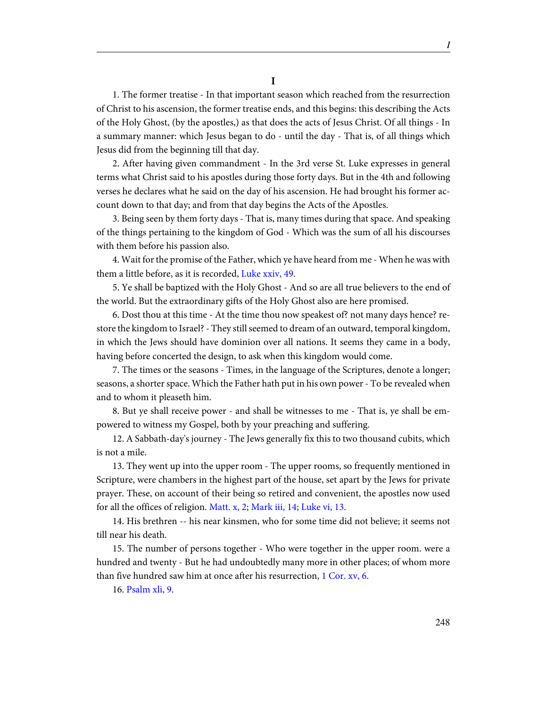**I**

1. The former treatise - In that important season which reached from the resurrection of Christ to his ascension, the former treatise ends, and this begins: this describing the Acts of the Holy Ghost, (by the apostles,) as that does the acts of Jesus Christ. Of all things - In a summary manner: which Jesus began to do - until the day - That is, of all things which Jesus did from the beginning till that day.

2. After having given commandment - In the 3rd verse St. Luke expresses in general terms what Christ said to his apostles during those forty days. But in the 4th and following verses he declares what he said on the day of his ascension. He had brought his former account down to that day; and from that day begins the Acts of the Apostles.

3. Being seen by them forty days - That is, many times during that space. And speaking of the things pertaining to the kingdom of God - Which was the sum of all his discourses with them before his passion also.

4. Wait for the promise of the Father, which ye have heard from me - When he was with them a little before, as it is recorded, [Luke xxiv, 49](http://www.ccel.org/study/Bible:Luke.24.49).

5. Ye shall be baptized with the Holy Ghost - And so are all true believers to the end of the world. But the extraordinary gifts of the Holy Ghost also are here promised.

6. Dost thou at this time - At the time thou now speakest of? not many days hence? restore the kingdom to Israel? - They still seemed to dream of an outward, temporal kingdom, in which the Jews should have dominion over all nations. It seems they came in a body, having before concerted the design, to ask when this kingdom would come.

7. The times or the seasons - Times, in the language of the Scriptures, denote a longer; seasons, a shorter space. Which the Father hath put in his own power - To be revealed when and to whom it pleaseth him.

8. But ye shall receive power - and shall be witnesses to me - That is, ye shall be empowered to witness my Gospel, both by your preaching and suffering.

12. A Sabbath-day's journey - The Jews generally fix this to two thousand cubits, which is not a mile.

13. They went up into the upper room - The upper rooms, so frequently mentioned in Scripture, were chambers in the highest part of the house, set apart by the Jews for private prayer. These, on account of their being so retired and convenient, the apostles now used for all the offices of religion. [Matt. x, 2](http://www.ccel.org/study/Bible:Matt.10.2); [Mark iii, 14](http://www.ccel.org/study/Bible:Mark.3.14); [Luke vi, 13](http://www.ccel.org/study/Bible:Luke.6.13).

14. His brethren -- his near kinsmen, who for some time did not believe; it seems not till near his death.

15. The number of persons together - Who were together in the upper room. were a hundred and twenty - But he had undoubtedly many more in other places; of whom more than five hundred saw him at once after his resurrection, [1 Cor. xv, 6](http://www.ccel.org/study/Bible:1Cor.15.6).

16. [Psalm xli, 9](http://www.ccel.org/study/Bible:Ps.41.9).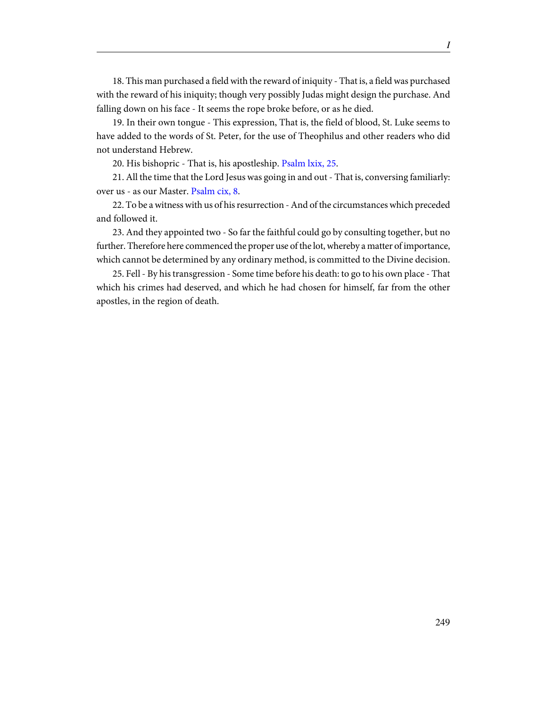18. This man purchased a field with the reward of iniquity - That is, a field was purchased with the reward of his iniquity; though very possibly Judas might design the purchase. And falling down on his face - It seems the rope broke before, or as he died.

19. In their own tongue - This expression, That is, the field of blood, St. Luke seems to have added to the words of St. Peter, for the use of Theophilus and other readers who did not understand Hebrew.

20. His bishopric - That is, his apostleship. [Psalm lxix, 25](http://www.ccel.org/study/Bible:Ps.69.25).

21. All the time that the Lord Jesus was going in and out - That is, conversing familiarly: over us - as our Master. [Psalm cix, 8](http://www.ccel.org/study/Bible:Ps.109.8).

22. To be a witness with us of his resurrection - And of the circumstances which preceded and followed it.

23. And they appointed two - So far the faithful could go by consulting together, but no further. Therefore here commenced the proper use of the lot, whereby a matter of importance, which cannot be determined by any ordinary method, is committed to the Divine decision.

25. Fell - By his transgression - Some time before his death: to go to his own place - That which his crimes had deserved, and which he had chosen for himself, far from the other apostles, in the region of death.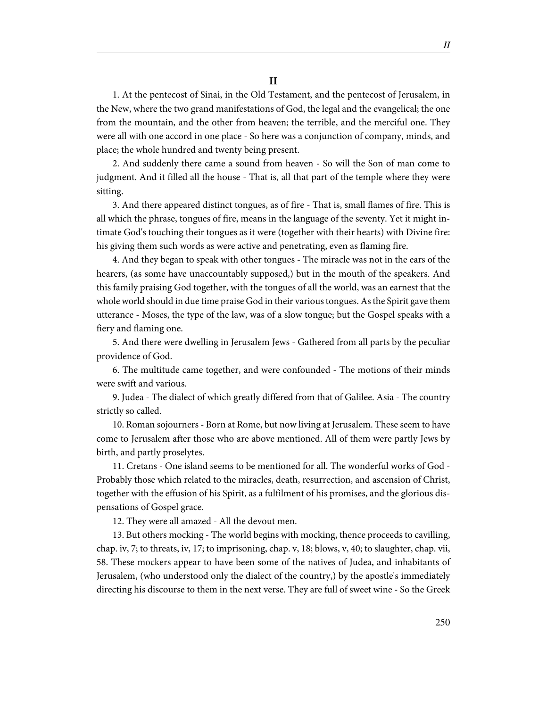1. At the pentecost of Sinai, in the Old Testament, and the pentecost of Jerusalem, in the New, where the two grand manifestations of God, the legal and the evangelical; the one from the mountain, and the other from heaven; the terrible, and the merciful one. They were all with one accord in one place - So here was a conjunction of company, minds, and place; the whole hundred and twenty being present.

2. And suddenly there came a sound from heaven - So will the Son of man come to judgment. And it filled all the house - That is, all that part of the temple where they were sitting.

3. And there appeared distinct tongues, as of fire - That is, small flames of fire. This is all which the phrase, tongues of fire, means in the language of the seventy. Yet it might intimate God's touching their tongues as it were (together with their hearts) with Divine fire: his giving them such words as were active and penetrating, even as flaming fire.

4. And they began to speak with other tongues - The miracle was not in the ears of the hearers, (as some have unaccountably supposed,) but in the mouth of the speakers. And this family praising God together, with the tongues of all the world, was an earnest that the whole world should in due time praise God in their various tongues. As the Spirit gave them utterance - Moses, the type of the law, was of a slow tongue; but the Gospel speaks with a fiery and flaming one.

5. And there were dwelling in Jerusalem Jews - Gathered from all parts by the peculiar providence of God.

6. The multitude came together, and were confounded - The motions of their minds were swift and various.

9. Judea - The dialect of which greatly differed from that of Galilee. Asia - The country strictly so called.

10. Roman sojourners - Born at Rome, but now living at Jerusalem. These seem to have come to Jerusalem after those who are above mentioned. All of them were partly Jews by birth, and partly proselytes.

11. Cretans - One island seems to be mentioned for all. The wonderful works of God - Probably those which related to the miracles, death, resurrection, and ascension of Christ, together with the effusion of his Spirit, as a fulfilment of his promises, and the glorious dispensations of Gospel grace.

12. They were all amazed - All the devout men.

13. But others mocking - The world begins with mocking, thence proceeds to cavilling, chap. iv, 7; to threats, iv, 17; to imprisoning, chap. v, 18; blows, v, 40; to slaughter, chap. vii, 58. These mockers appear to have been some of the natives of Judea, and inhabitants of Jerusalem, (who understood only the dialect of the country,) by the apostle's immediately directing his discourse to them in the next verse. They are full of sweet wine - So the Greek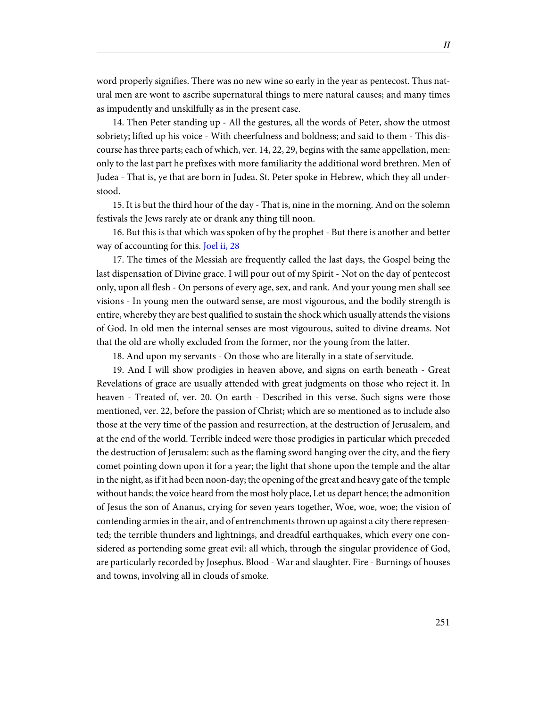word properly signifies. There was no new wine so early in the year as pentecost. Thus natural men are wont to ascribe supernatural things to mere natural causes; and many times as impudently and unskilfully as in the present case.

14. Then Peter standing up - All the gestures, all the words of Peter, show the utmost sobriety; lifted up his voice - With cheerfulness and boldness; and said to them - This discourse has three parts; each of which, ver. 14, 22, 29, begins with the same appellation, men: only to the last part he prefixes with more familiarity the additional word brethren. Men of Judea - That is, ye that are born in Judea. St. Peter spoke in Hebrew, which they all understood.

15. It is but the third hour of the day - That is, nine in the morning. And on the solemn festivals the Jews rarely ate or drank any thing till noon.

16. But this is that which was spoken of by the prophet - But there is another and better way of accounting for this. [Joel ii, 28](http://www.ccel.org/study/Bible:Joel.2.28)

17. The times of the Messiah are frequently called the last days, the Gospel being the last dispensation of Divine grace. I will pour out of my Spirit - Not on the day of pentecost only, upon all flesh - On persons of every age, sex, and rank. And your young men shall see visions - In young men the outward sense, are most vigourous, and the bodily strength is entire, whereby they are best qualified to sustain the shock which usually attends the visions of God. In old men the internal senses are most vigourous, suited to divine dreams. Not that the old are wholly excluded from the former, nor the young from the latter.

18. And upon my servants - On those who are literally in a state of servitude.

19. And I will show prodigies in heaven above, and signs on earth beneath - Great Revelations of grace are usually attended with great judgments on those who reject it. In heaven - Treated of, ver. 20. On earth - Described in this verse. Such signs were those mentioned, ver. 22, before the passion of Christ; which are so mentioned as to include also those at the very time of the passion and resurrection, at the destruction of Jerusalem, and at the end of the world. Terrible indeed were those prodigies in particular which preceded the destruction of Jerusalem: such as the flaming sword hanging over the city, and the fiery comet pointing down upon it for a year; the light that shone upon the temple and the altar in the night, as if it had been noon-day; the opening of the great and heavy gate of the temple without hands; the voice heard from the most holy place, Let us depart hence; the admonition of Jesus the son of Ananus, crying for seven years together, Woe, woe, woe; the vision of contending armies in the air, and of entrenchments thrown up against a city there represented; the terrible thunders and lightnings, and dreadful earthquakes, which every one considered as portending some great evil: all which, through the singular providence of God, are particularly recorded by Josephus. Blood - War and slaughter. Fire - Burnings of houses and towns, involving all in clouds of smoke.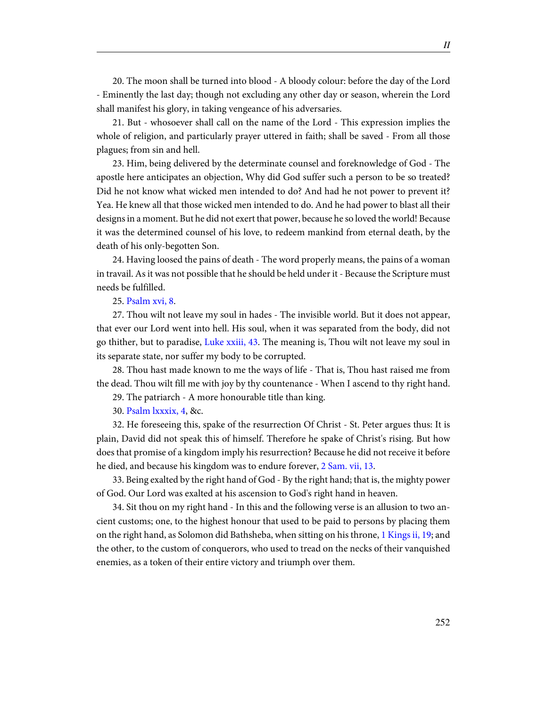20. The moon shall be turned into blood - A bloody colour: before the day of the Lord - Eminently the last day; though not excluding any other day or season, wherein the Lord shall manifest his glory, in taking vengeance of his adversaries.

21. But - whosoever shall call on the name of the Lord - This expression implies the whole of religion, and particularly prayer uttered in faith; shall be saved - From all those plagues; from sin and hell.

23. Him, being delivered by the determinate counsel and foreknowledge of God - The apostle here anticipates an objection, Why did God suffer such a person to be so treated? Did he not know what wicked men intended to do? And had he not power to prevent it? Yea. He knew all that those wicked men intended to do. And he had power to blast all their designs in a moment. But he did not exert that power, because he so loved the world! Because it was the determined counsel of his love, to redeem mankind from eternal death, by the death of his only-begotten Son.

24. Having loosed the pains of death - The word properly means, the pains of a woman in travail. As it was not possible that he should be held under it - Because the Scripture must needs be fulfilled.

25. [Psalm xvi, 8](http://www.ccel.org/study/Bible:Ps.16.8).

27. Thou wilt not leave my soul in hades - The invisible world. But it does not appear, that ever our Lord went into hell. His soul, when it was separated from the body, did not go thither, but to paradise, [Luke xxiii, 43.](http://www.ccel.org/study/Bible:Luke.23.43) The meaning is, Thou wilt not leave my soul in its separate state, nor suffer my body to be corrupted.

28. Thou hast made known to me the ways of life - That is, Thou hast raised me from the dead. Thou wilt fill me with joy by thy countenance - When I ascend to thy right hand.

29. The patriarch - A more honourable title than king.

30. [Psalm lxxxix, 4,](http://www.ccel.org/study/Bible:Ps.89.4) &c.

32. He foreseeing this, spake of the resurrection Of Christ - St. Peter argues thus: It is plain, David did not speak this of himself. Therefore he spake of Christ's rising. But how does that promise of a kingdom imply his resurrection? Because he did not receive it before he died, and because his kingdom was to endure forever, [2 Sam. vii, 13.](http://www.ccel.org/study/Bible:2Sam.7.13)

33. Being exalted by the right hand of God - By the right hand; that is, the mighty power of God. Our Lord was exalted at his ascension to God's right hand in heaven.

34. Sit thou on my right hand - In this and the following verse is an allusion to two ancient customs; one, to the highest honour that used to be paid to persons by placing them on the right hand, as Solomon did Bathsheba, when sitting on his throne, [1 Kings ii, 19;](http://www.ccel.org/study/Bible:1Kgs.2.19) and the other, to the custom of conquerors, who used to tread on the necks of their vanquished enemies, as a token of their entire victory and triumph over them.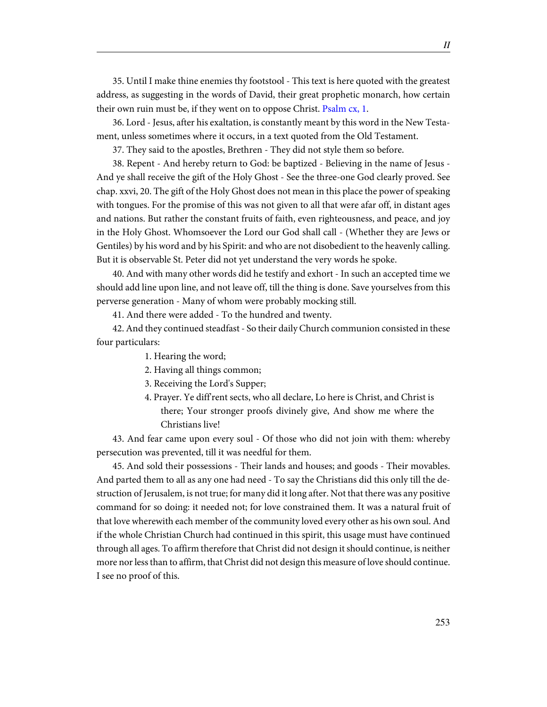35. Until I make thine enemies thy footstool - This text is here quoted with the greatest address, as suggesting in the words of David, their great prophetic monarch, how certain their own ruin must be, if they went on to oppose Christ. [Psalm cx, 1](http://www.ccel.org/study/Bible:Ps.110.1).

36. Lord - Jesus, after his exaltation, is constantly meant by this word in the New Testament, unless sometimes where it occurs, in a text quoted from the Old Testament.

37. They said to the apostles, Brethren - They did not style them so before.

38. Repent - And hereby return to God: be baptized - Believing in the name of Jesus - And ye shall receive the gift of the Holy Ghost - See the three-one God clearly proved. See chap. xxvi, 20. The gift of the Holy Ghost does not mean in this place the power of speaking with tongues. For the promise of this was not given to all that were afar off, in distant ages and nations. But rather the constant fruits of faith, even righteousness, and peace, and joy in the Holy Ghost. Whomsoever the Lord our God shall call - (Whether they are Jews or Gentiles) by his word and by his Spirit: and who are not disobedient to the heavenly calling. But it is observable St. Peter did not yet understand the very words he spoke.

40. And with many other words did he testify and exhort - In such an accepted time we should add line upon line, and not leave off, till the thing is done. Save yourselves from this perverse generation - Many of whom were probably mocking still.

41. And there were added - To the hundred and twenty.

42. And they continued steadfast - So their daily Church communion consisted in these four particulars:

1. Hearing the word;

2. Having all things common;

3. Receiving the Lord's Supper;

4. Prayer. Ye diff'rent sects, who all declare, Lo here is Christ, and Christ is there; Your stronger proofs divinely give, And show me where the Christians live!

43. And fear came upon every soul - Of those who did not join with them: whereby persecution was prevented, till it was needful for them.

45. And sold their possessions - Their lands and houses; and goods - Their movables. And parted them to all as any one had need - To say the Christians did this only till the destruction of Jerusalem, is not true; for many did it long after. Not that there was any positive command for so doing: it needed not; for love constrained them. It was a natural fruit of that love wherewith each member of the community loved every other as his own soul. And if the whole Christian Church had continued in this spirit, this usage must have continued through all ages. To affirm therefore that Christ did not design it should continue, is neither more nor less than to affirm, that Christ did not design this measure of love should continue. I see no proof of this.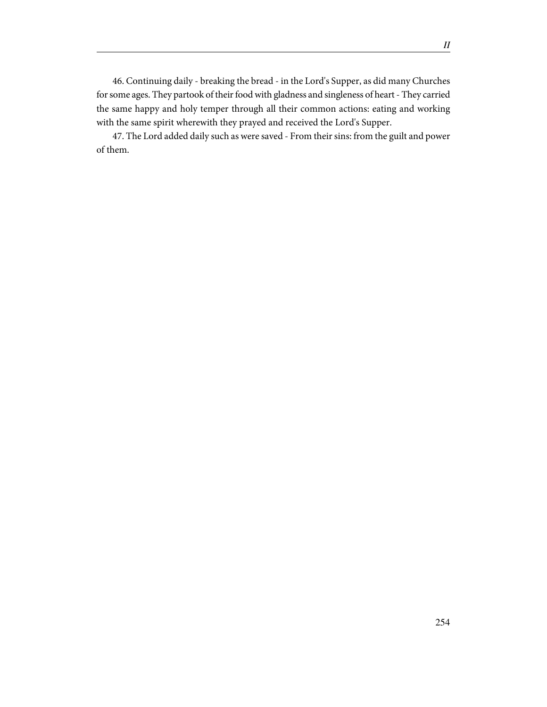46. Continuing daily - breaking the bread - in the Lord's Supper, as did many Churches for some ages. They partook of their food with gladness and singleness of heart - They carried the same happy and holy temper through all their common actions: eating and working with the same spirit wherewith they prayed and received the Lord's Supper.

47. The Lord added daily such as were saved - From their sins: from the guilt and power of them.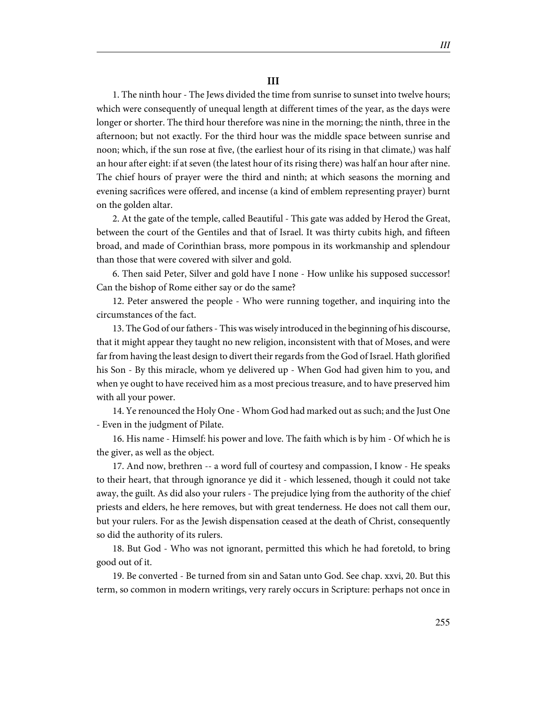1. The ninth hour - The Jews divided the time from sunrise to sunset into twelve hours; which were consequently of unequal length at different times of the year, as the days were longer or shorter. The third hour therefore was nine in the morning; the ninth, three in the afternoon; but not exactly. For the third hour was the middle space between sunrise and noon; which, if the sun rose at five, (the earliest hour of its rising in that climate,) was half an hour after eight: if at seven (the latest hour of its rising there) was half an hour after nine. The chief hours of prayer were the third and ninth; at which seasons the morning and evening sacrifices were offered, and incense (a kind of emblem representing prayer) burnt on the golden altar.

2. At the gate of the temple, called Beautiful - This gate was added by Herod the Great, between the court of the Gentiles and that of Israel. It was thirty cubits high, and fifteen broad, and made of Corinthian brass, more pompous in its workmanship and splendour than those that were covered with silver and gold.

6. Then said Peter, Silver and gold have I none - How unlike his supposed successor! Can the bishop of Rome either say or do the same?

12. Peter answered the people - Who were running together, and inquiring into the circumstances of the fact.

13. The God of our fathers - This was wisely introduced in the beginning of his discourse, that it might appear they taught no new religion, inconsistent with that of Moses, and were far from having the least design to divert their regards from the God of Israel. Hath glorified his Son - By this miracle, whom ye delivered up - When God had given him to you, and when ye ought to have received him as a most precious treasure, and to have preserved him with all your power.

14. Ye renounced the Holy One - Whom God had marked out as such; and the Just One - Even in the judgment of Pilate.

16. His name - Himself: his power and love. The faith which is by him - Of which he is the giver, as well as the object.

17. And now, brethren -- a word full of courtesy and compassion, I know - He speaks to their heart, that through ignorance ye did it - which lessened, though it could not take away, the guilt. As did also your rulers - The prejudice lying from the authority of the chief priests and elders, he here removes, but with great tenderness. He does not call them our, but your rulers. For as the Jewish dispensation ceased at the death of Christ, consequently so did the authority of its rulers.

18. But God - Who was not ignorant, permitted this which he had foretold, to bring good out of it.

19. Be converted - Be turned from sin and Satan unto God. See chap. xxvi, 20. But this term, so common in modern writings, very rarely occurs in Scripture: perhaps not once in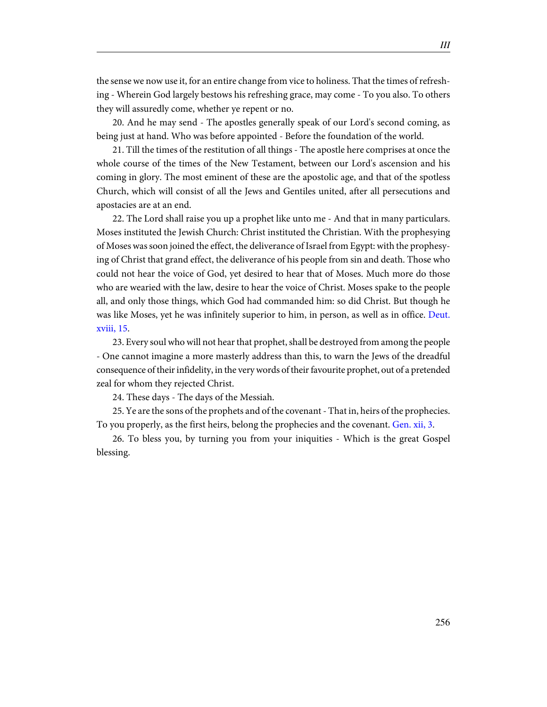the sense we now use it, for an entire change from vice to holiness. That the times of refreshing - Wherein God largely bestows his refreshing grace, may come - To you also. To others they will assuredly come, whether ye repent or no.

20. And he may send - The apostles generally speak of our Lord's second coming, as being just at hand. Who was before appointed - Before the foundation of the world.

21. Till the times of the restitution of all things - The apostle here comprises at once the whole course of the times of the New Testament, between our Lord's ascension and his coming in glory. The most eminent of these are the apostolic age, and that of the spotless Church, which will consist of all the Jews and Gentiles united, after all persecutions and apostacies are at an end.

22. The Lord shall raise you up a prophet like unto me - And that in many particulars. Moses instituted the Jewish Church: Christ instituted the Christian. With the prophesying of Moses was soon joined the effect, the deliverance of Israel from Egypt: with the prophesying of Christ that grand effect, the deliverance of his people from sin and death. Those who could not hear the voice of God, yet desired to hear that of Moses. Much more do those who are wearied with the law, desire to hear the voice of Christ. Moses spake to the people all, and only those things, which God had commanded him: so did Christ. But though he was like Moses, yet he was infinitely superior to him, in person, as well as in office. [Deut.](http://www.ccel.org/study/Bible:Deut.18.15) [xviii, 15.](http://www.ccel.org/study/Bible:Deut.18.15)

23. Every soul who will not hear that prophet, shall be destroyed from among the people - One cannot imagine a more masterly address than this, to warn the Jews of the dreadful consequence of their infidelity, in the very words of their favourite prophet, out of a pretended zeal for whom they rejected Christ.

24. These days - The days of the Messiah.

25. Ye are the sons of the prophets and of the covenant - That in, heirs of the prophecies. To you properly, as the first heirs, belong the prophecies and the covenant. [Gen. xii, 3](http://www.ccel.org/study/Bible:Gen.12.3).

26. To bless you, by turning you from your iniquities - Which is the great Gospel blessing.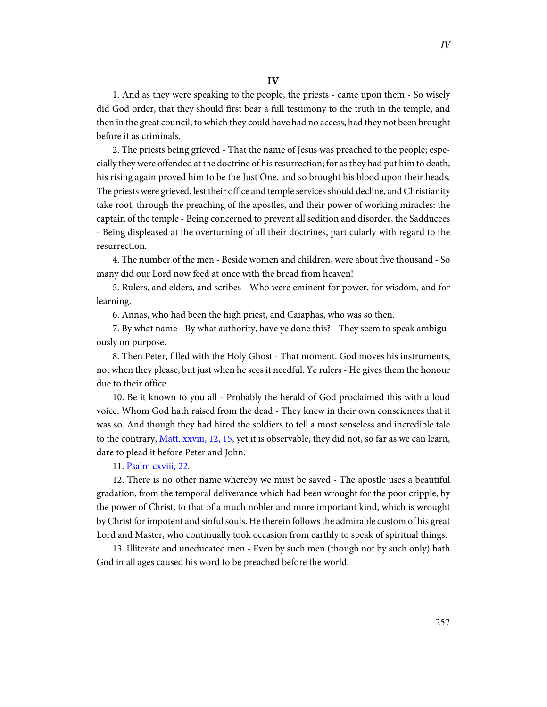1. And as they were speaking to the people, the priests - came upon them - So wisely did God order, that they should first bear a full testimony to the truth in the temple, and then in the great council; to which they could have had no access, had they not been brought before it as criminals.

2. The priests being grieved - That the name of Jesus was preached to the people; especially they were offended at the doctrine of his resurrection; for as they had put him to death, his rising again proved him to be the Just One, and so brought his blood upon their heads. The priests were grieved, lest their office and temple services should decline, and Christianity take root, through the preaching of the apostles, and their power of working miracles: the captain of the temple - Being concerned to prevent all sedition and disorder, the Sadducees - Being displeased at the overturning of all their doctrines, particularly with regard to the resurrection.

4. The number of the men - Beside women and children, were about five thousand - So many did our Lord now feed at once with the bread from heaven!

5. Rulers, and elders, and scribes - Who were eminent for power, for wisdom, and for learning.

6. Annas, who had been the high priest, and Caiaphas, who was so then.

7. By what name - By what authority, have ye done this? - They seem to speak ambiguously on purpose.

8. Then Peter, filled with the Holy Ghost - That moment. God moves his instruments, not when they please, but just when he sees it needful. Ye rulers - He gives them the honour due to their office.

10. Be it known to you all - Probably the herald of God proclaimed this with a loud voice. Whom God hath raised from the dead - They knew in their own consciences that it was so. And though they had hired the soldiers to tell a most senseless and incredible tale to the contrary, [Matt. xxviii, 12, 15,](http://www.ccel.org/study/Bible:Matt.28.12 Bible:Matt.28.15) yet it is observable, they did not, so far as we can learn, dare to plead it before Peter and John.

#### 11. [Psalm cxviii, 22](http://www.ccel.org/study/Bible:Ps.118.22).

12. There is no other name whereby we must be saved - The apostle uses a beautiful gradation, from the temporal deliverance which had been wrought for the poor cripple, by the power of Christ, to that of a much nobler and more important kind, which is wrought by Christ for impotent and sinful souls. He therein follows the admirable custom of his great Lord and Master, who continually took occasion from earthly to speak of spiritual things.

13. Illiterate and uneducated men - Even by such men (though not by such only) hath God in all ages caused his word to be preached before the world.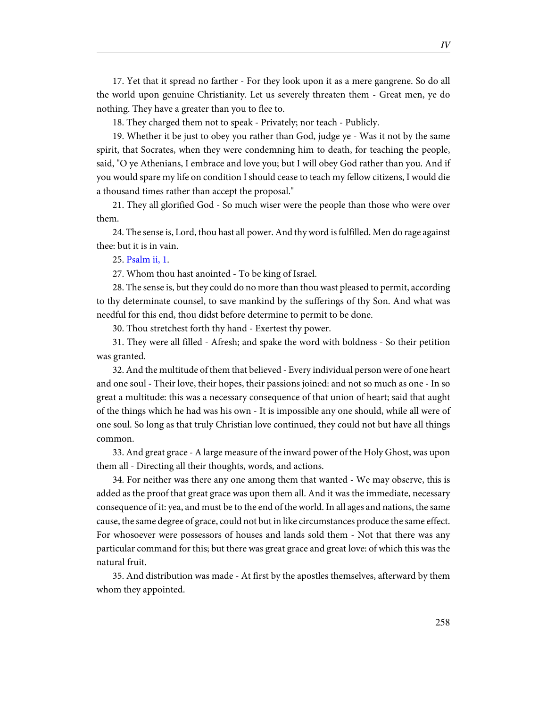17. Yet that it spread no farther - For they look upon it as a mere gangrene. So do all the world upon genuine Christianity. Let us severely threaten them - Great men, ye do nothing. They have a greater than you to flee to.

18. They charged them not to speak - Privately; nor teach - Publicly.

19. Whether it be just to obey you rather than God, judge ye - Was it not by the same spirit, that Socrates, when they were condemning him to death, for teaching the people, said, "O ye Athenians, I embrace and love you; but I will obey God rather than you. And if you would spare my life on condition I should cease to teach my fellow citizens, I would die a thousand times rather than accept the proposal."

21. They all glorified God - So much wiser were the people than those who were over them.

24. The sense is, Lord, thou hast all power. And thy word is fulfilled. Men do rage against thee: but it is in vain.

25. [Psalm ii, 1](http://www.ccel.org/study/Bible:Ps.2.1).

27. Whom thou hast anointed - To be king of Israel.

28. The sense is, but they could do no more than thou wast pleased to permit, according to thy determinate counsel, to save mankind by the sufferings of thy Son. And what was needful for this end, thou didst before determine to permit to be done.

30. Thou stretchest forth thy hand - Exertest thy power.

31. They were all filled - Afresh; and spake the word with boldness - So their petition was granted.

32. And the multitude of them that believed - Every individual person were of one heart and one soul - Their love, their hopes, their passions joined: and not so much as one - In so great a multitude: this was a necessary consequence of that union of heart; said that aught of the things which he had was his own - It is impossible any one should, while all were of one soul. So long as that truly Christian love continued, they could not but have all things common.

33. And great grace - A large measure of the inward power of the Holy Ghost, was upon them all - Directing all their thoughts, words, and actions.

34. For neither was there any one among them that wanted - We may observe, this is added as the proof that great grace was upon them all. And it was the immediate, necessary consequence of it: yea, and must be to the end of the world. In all ages and nations, the same cause, the same degree of grace, could not but in like circumstances produce the same effect. For whosoever were possessors of houses and lands sold them - Not that there was any particular command for this; but there was great grace and great love: of which this was the natural fruit.

35. And distribution was made - At first by the apostles themselves, afterward by them whom they appointed.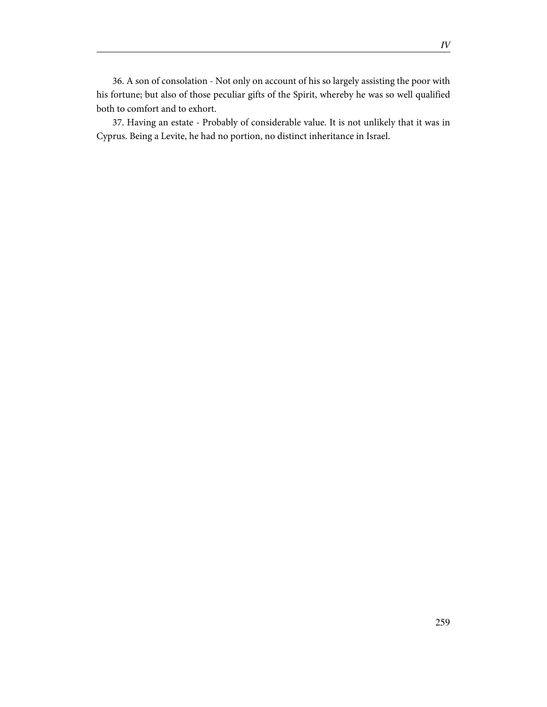36. A son of consolation - Not only on account of his so largely assisting the poor with his fortune; but also of those peculiar gifts of the Spirit, whereby he was so well qualified both to comfort and to exhort.

37. Having an estate - Probably of considerable value. It is not unlikely that it was in Cyprus. Being a Levite, he had no portion, no distinct inheritance in Israel.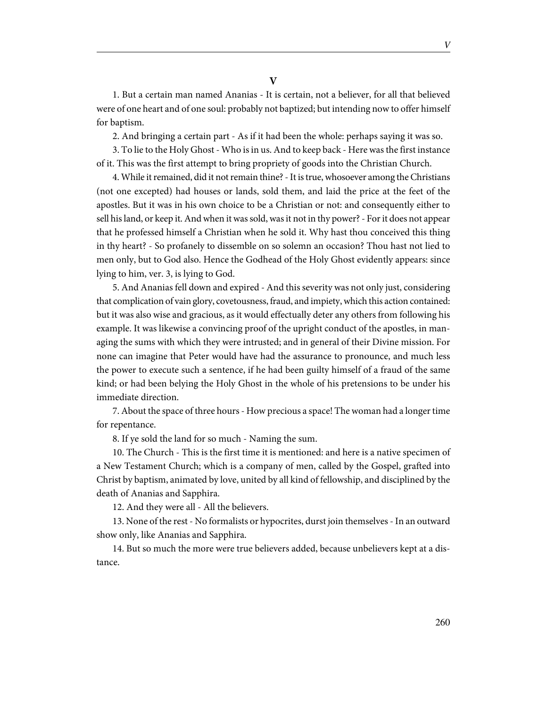**V**

1. But a certain man named Ananias - It is certain, not a believer, for all that believed were of one heart and of one soul: probably not baptized; but intending now to offer himself for baptism.

2. And bringing a certain part - As if it had been the whole: perhaps saying it was so.

3. To lie to the Holy Ghost - Who is in us. And to keep back - Here was the first instance of it. This was the first attempt to bring propriety of goods into the Christian Church.

4. While it remained, did it not remain thine? - It is true, whosoever among the Christians (not one excepted) had houses or lands, sold them, and laid the price at the feet of the apostles. But it was in his own choice to be a Christian or not: and consequently either to sell his land, or keep it. And when it was sold, was it not in thy power? - For it does not appear that he professed himself a Christian when he sold it. Why hast thou conceived this thing in thy heart? - So profanely to dissemble on so solemn an occasion? Thou hast not lied to men only, but to God also. Hence the Godhead of the Holy Ghost evidently appears: since lying to him, ver. 3, is lying to God.

5. And Ananias fell down and expired - And this severity was not only just, considering that complication of vain glory, covetousness, fraud, and impiety, which this action contained: but it was also wise and gracious, as it would effectually deter any others from following his example. It was likewise a convincing proof of the upright conduct of the apostles, in managing the sums with which they were intrusted; and in general of their Divine mission. For none can imagine that Peter would have had the assurance to pronounce, and much less the power to execute such a sentence, if he had been guilty himself of a fraud of the same kind; or had been belying the Holy Ghost in the whole of his pretensions to be under his immediate direction.

7. About the space of three hours - How precious a space! The woman had a longer time for repentance.

8. If ye sold the land for so much - Naming the sum.

10. The Church - This is the first time it is mentioned: and here is a native specimen of a New Testament Church; which is a company of men, called by the Gospel, grafted into Christ by baptism, animated by love, united by all kind of fellowship, and disciplined by the death of Ananias and Sapphira.

12. And they were all - All the believers.

13. None of the rest - No formalists or hypocrites, durst join themselves - In an outward show only, like Ananias and Sapphira.

14. But so much the more were true believers added, because unbelievers kept at a distance.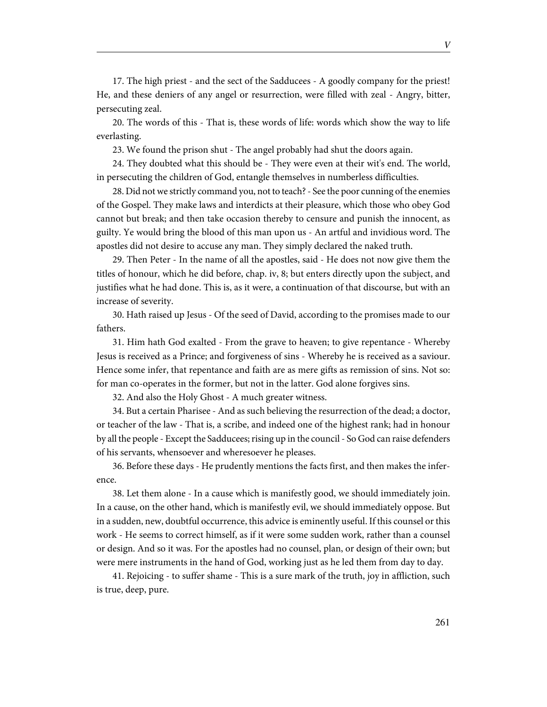17. The high priest - and the sect of the Sadducees - A goodly company for the priest! He, and these deniers of any angel or resurrection, were filled with zeal - Angry, bitter, persecuting zeal.

20. The words of this - That is, these words of life: words which show the way to life everlasting.

23. We found the prison shut - The angel probably had shut the doors again.

24. They doubted what this should be - They were even at their wit's end. The world, in persecuting the children of God, entangle themselves in numberless difficulties.

28. Did not we strictly command you, not to teach? - See the poor cunning of the enemies of the Gospel. They make laws and interdicts at their pleasure, which those who obey God cannot but break; and then take occasion thereby to censure and punish the innocent, as guilty. Ye would bring the blood of this man upon us - An artful and invidious word. The apostles did not desire to accuse any man. They simply declared the naked truth.

29. Then Peter - In the name of all the apostles, said - He does not now give them the titles of honour, which he did before, chap. iv, 8; but enters directly upon the subject, and justifies what he had done. This is, as it were, a continuation of that discourse, but with an increase of severity.

30. Hath raised up Jesus - Of the seed of David, according to the promises made to our fathers.

31. Him hath God exalted - From the grave to heaven; to give repentance - Whereby Jesus is received as a Prince; and forgiveness of sins - Whereby he is received as a saviour. Hence some infer, that repentance and faith are as mere gifts as remission of sins. Not so: for man co-operates in the former, but not in the latter. God alone forgives sins.

32. And also the Holy Ghost - A much greater witness.

34. But a certain Pharisee - And as such believing the resurrection of the dead; a doctor, or teacher of the law - That is, a scribe, and indeed one of the highest rank; had in honour by all the people - Except the Sadducees; rising up in the council - So God can raise defenders of his servants, whensoever and wheresoever he pleases.

36. Before these days - He prudently mentions the facts first, and then makes the inference.

38. Let them alone - In a cause which is manifestly good, we should immediately join. In a cause, on the other hand, which is manifestly evil, we should immediately oppose. But in a sudden, new, doubtful occurrence, this advice is eminently useful. If this counsel or this work - He seems to correct himself, as if it were some sudden work, rather than a counsel or design. And so it was. For the apostles had no counsel, plan, or design of their own; but were mere instruments in the hand of God, working just as he led them from day to day.

41. Rejoicing - to suffer shame - This is a sure mark of the truth, joy in affliction, such is true, deep, pure.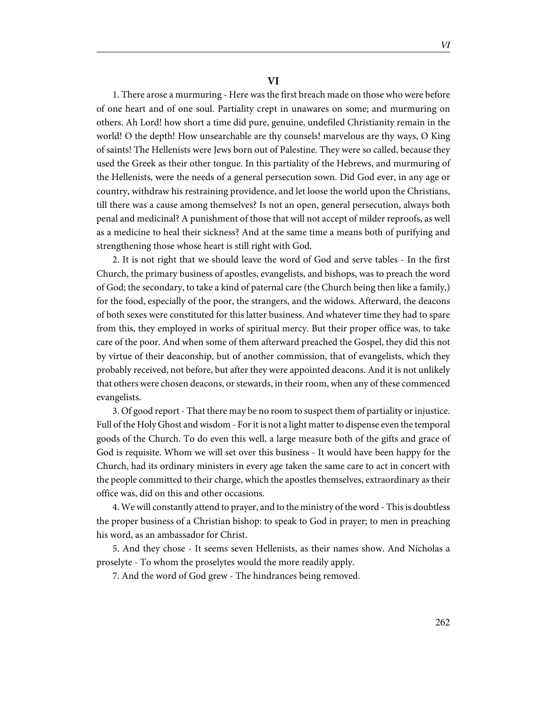1. There arose a murmuring - Here was the first breach made on those who were before of one heart and of one soul. Partiality crept in unawares on some; and murmuring on others. Ah Lord! how short a time did pure, genuine, undefiled Christianity remain in the world! O the depth! How unsearchable are thy counsels! marvelous are thy ways, O King of saints! The Hellenists were Jews born out of Palestine. They were so called, because they used the Greek as their other tongue. In this partiality of the Hebrews, and murmuring of the Hellenists, were the needs of a general persecution sown. Did God ever, in any age or country, withdraw his restraining providence, and let loose the world upon the Christians, till there was a cause among themselves? Is not an open, general persecution, always both penal and medicinal? A punishment of those that will not accept of milder reproofs, as well as a medicine to heal their sickness? And at the same time a means both of purifying and strengthening those whose heart is still right with God.

2. It is not right that we should leave the word of God and serve tables - In the first Church, the primary business of apostles, evangelists, and bishops, was to preach the word of God; the secondary, to take a kind of paternal care (the Church being then like a family,) for the food, especially of the poor, the strangers, and the widows. Afterward, the deacons of both sexes were constituted for this latter business. And whatever time they had to spare from this, they employed in works of spiritual mercy. But their proper office was, to take care of the poor. And when some of them afterward preached the Gospel, they did this not by virtue of their deaconship, but of another commission, that of evangelists, which they probably received, not before, but after they were appointed deacons. And it is not unlikely that others were chosen deacons, or stewards, in their room, when any of these commenced evangelists.

3. Of good report - That there may be no room to suspect them of partiality or injustice. Full of the Holy Ghost and wisdom - For it is not a light matter to dispense even the temporal goods of the Church. To do even this well, a large measure both of the gifts and grace of God is requisite. Whom we will set over this business - It would have been happy for the Church, had its ordinary ministers in every age taken the same care to act in concert with the people committed to their charge, which the apostles themselves, extraordinary as their office was, did on this and other occasions.

4. We will constantly attend to prayer, and to the ministry of the word - This is doubtless the proper business of a Christian bishop: to speak to God in prayer; to men in preaching his word, as an ambassador for Christ.

5. And they chose - It seems seven Hellenists, as their names show. And Nicholas a proselyte - To whom the proselytes would the more readily apply.

7. And the word of God grew - The hindrances being removed.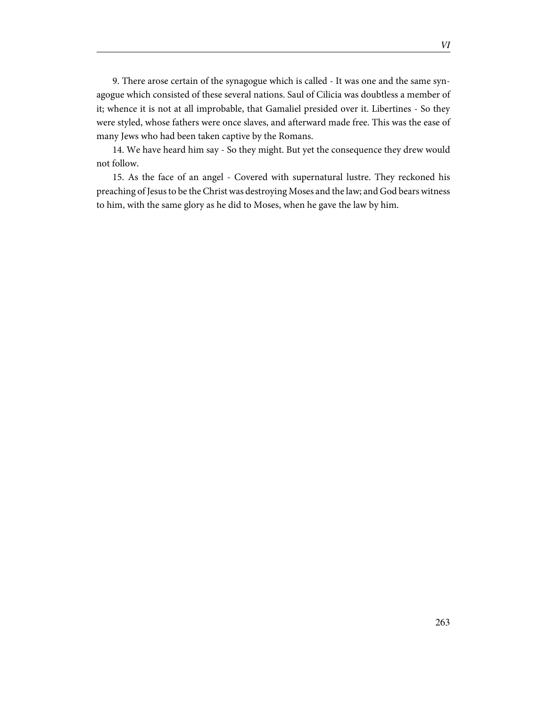9. There arose certain of the synagogue which is called - It was one and the same synagogue which consisted of these several nations. Saul of Cilicia was doubtless a member of it; whence it is not at all improbable, that Gamaliel presided over it. Libertines - So they were styled, whose fathers were once slaves, and afterward made free. This was the ease of many Jews who had been taken captive by the Romans.

14. We have heard him say - So they might. But yet the consequence they drew would not follow.

15. As the face of an angel - Covered with supernatural lustre. They reckoned his preaching of Jesus to be the Christ was destroying Moses and the law; and God bears witness to him, with the same glory as he did to Moses, when he gave the law by him.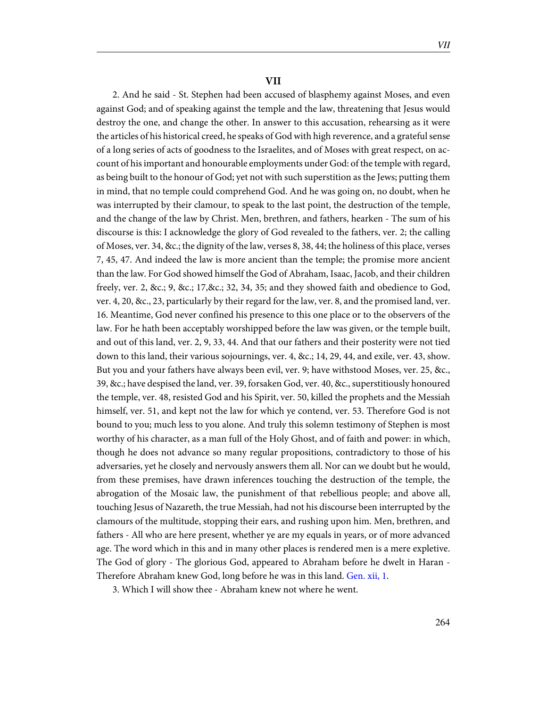#### **VII**

2. And he said - St. Stephen had been accused of blasphemy against Moses, and even against God; and of speaking against the temple and the law, threatening that Jesus would destroy the one, and change the other. In answer to this accusation, rehearsing as it were the articles of his historical creed, he speaks of God with high reverence, and a grateful sense of a long series of acts of goodness to the Israelites, and of Moses with great respect, on account of his important and honourable employments under God: of the temple with regard, as being built to the honour of God; yet not with such superstition as the Jews; putting them in mind, that no temple could comprehend God. And he was going on, no doubt, when he was interrupted by their clamour, to speak to the last point, the destruction of the temple, and the change of the law by Christ. Men, brethren, and fathers, hearken - The sum of his discourse is this: I acknowledge the glory of God revealed to the fathers, ver. 2; the calling of Moses, ver. 34, &c.; the dignity of the law, verses 8, 38, 44; the holiness of this place, verses 7, 45, 47. And indeed the law is more ancient than the temple; the promise more ancient than the law. For God showed himself the God of Abraham, Isaac, Jacob, and their children freely, ver. 2, &c.; 9, &c.; 17,&c.; 32, 34, 35; and they showed faith and obedience to God, ver. 4, 20, &c., 23, particularly by their regard for the law, ver. 8, and the promised land, ver. 16. Meantime, God never confined his presence to this one place or to the observers of the law. For he hath been acceptably worshipped before the law was given, or the temple built, and out of this land, ver. 2, 9, 33, 44. And that our fathers and their posterity were not tied down to this land, their various sojournings, ver. 4, &c.; 14, 29, 44, and exile, ver. 43, show. But you and your fathers have always been evil, ver. 9; have withstood Moses, ver. 25, &c., 39, &c.; have despised the land, ver. 39, forsaken God, ver. 40, &c., superstitiously honoured the temple, ver. 48, resisted God and his Spirit, ver. 50, killed the prophets and the Messiah himself, ver. 51, and kept not the law for which ye contend, ver. 53. Therefore God is not bound to you; much less to you alone. And truly this solemn testimony of Stephen is most worthy of his character, as a man full of the Holy Ghost, and of faith and power: in which, though he does not advance so many regular propositions, contradictory to those of his adversaries, yet he closely and nervously answers them all. Nor can we doubt but he would, from these premises, have drawn inferences touching the destruction of the temple, the abrogation of the Mosaic law, the punishment of that rebellious people; and above all, touching Jesus of Nazareth, the true Messiah, had not his discourse been interrupted by the clamours of the multitude, stopping their ears, and rushing upon him. Men, brethren, and fathers - All who are here present, whether ye are my equals in years, or of more advanced age. The word which in this and in many other places is rendered men is a mere expletive. The God of glory - The glorious God, appeared to Abraham before he dwelt in Haran - Therefore Abraham knew God, long before he was in this land. [Gen. xii, 1.](http://www.ccel.org/study/Bible:Gen.12.1)

3. Which I will show thee - Abraham knew not where he went.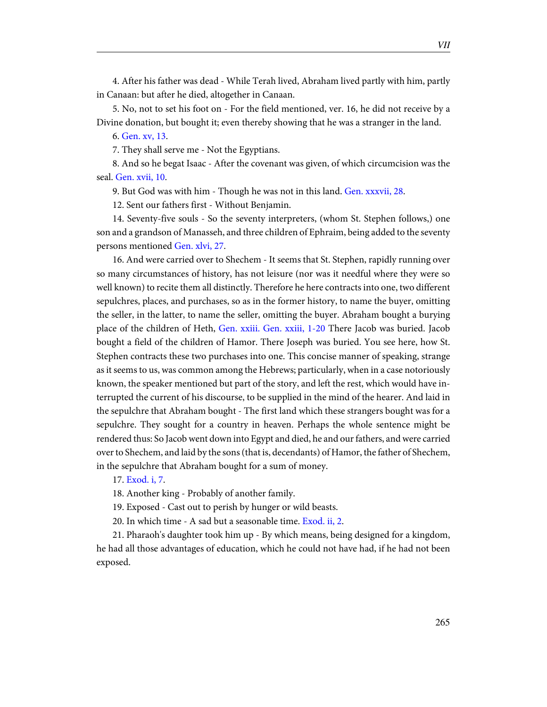4. After his father was dead - While Terah lived, Abraham lived partly with him, partly in Canaan: but after he died, altogether in Canaan.

5. No, not to set his foot on - For the field mentioned, ver. 16, he did not receive by a Divine donation, but bought it; even thereby showing that he was a stranger in the land.

6. [Gen. xv, 13.](http://www.ccel.org/study/Bible:Gen.15.13)

7. They shall serve me - Not the Egyptians.

8. And so he begat Isaac - After the covenant was given, of which circumcision was the seal. [Gen. xvii, 10.](http://www.ccel.org/study/Bible:Gen.17.10)

9. But God was with him - Though he was not in this land. [Gen. xxxvii, 28](http://www.ccel.org/study/Bible:Gen.37.28).

12. Sent our fathers first - Without Benjamin.

14. Seventy-five souls - So the seventy interpreters, (whom St. Stephen follows,) one son and a grandson of Manasseh, and three children of Ephraim, being added to the seventy persons mentioned [Gen. xlvi, 27](http://www.ccel.org/study/Bible:Gen.46.27).

16. And were carried over to Shechem - It seems that St. Stephen, rapidly running over so many circumstances of history, has not leisure (nor was it needful where they were so well known) to recite them all distinctly. Therefore he here contracts into one, two different sepulchres, places, and purchases, so as in the former history, to name the buyer, omitting the seller, in the latter, to name the seller, omitting the buyer. Abraham bought a burying place of the children of Heth, [Gen. xxiii.](http://www.ccel.org/study/Bible:Gen.23) [Gen. xxiii, 1-20](http://www.ccel.org/study/Bible:Gen.23.1-Gen.23.20) There Jacob was buried. Jacob bought a field of the children of Hamor. There Joseph was buried. You see here, how St. Stephen contracts these two purchases into one. This concise manner of speaking, strange as it seems to us, was common among the Hebrews; particularly, when in a case notoriously known, the speaker mentioned but part of the story, and left the rest, which would have interrupted the current of his discourse, to be supplied in the mind of the hearer. And laid in the sepulchre that Abraham bought - The first land which these strangers bought was for a sepulchre. They sought for a country in heaven. Perhaps the whole sentence might be rendered thus: So Jacob went down into Egypt and died, he and our fathers, and were carried over to Shechem, and laid by the sons (that is, decendants) of Hamor, the father of Shechem, in the sepulchre that Abraham bought for a sum of money.

17. [Exod. i, 7.](http://www.ccel.org/study/Bible:Exod.1.7)

18. Another king - Probably of another family.

19. Exposed - Cast out to perish by hunger or wild beasts.

20. In which time - A sad but a seasonable time. [Exod. ii, 2.](http://www.ccel.org/study/Bible:Exod.2.2)

21. Pharaoh's daughter took him up - By which means, being designed for a kingdom, he had all those advantages of education, which he could not have had, if he had not been exposed.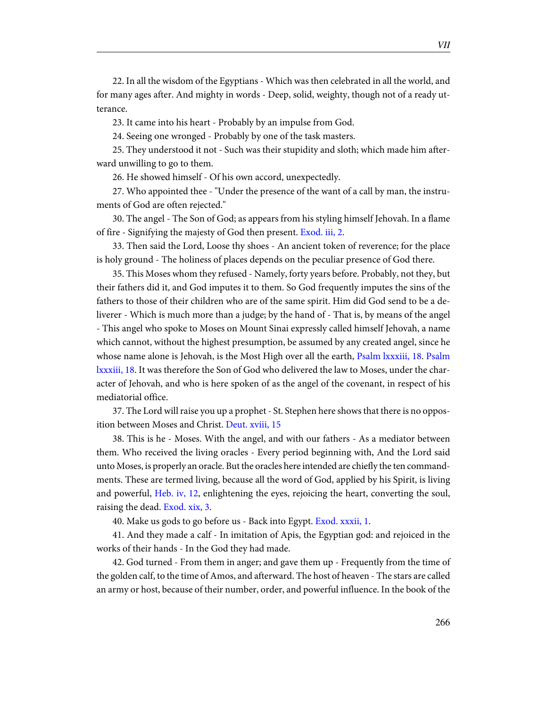22. In all the wisdom of the Egyptians - Which was then celebrated in all the world, and for many ages after. And mighty in words - Deep, solid, weighty, though not of a ready utterance.

23. It came into his heart - Probably by an impulse from God.

24. Seeing one wronged - Probably by one of the task masters.

25. They understood it not - Such was their stupidity and sloth; which made him afterward unwilling to go to them.

26. He showed himself - Of his own accord, unexpectedly.

27. Who appointed thee - "Under the presence of the want of a call by man, the instruments of God are often rejected."

30. The angel - The Son of God; as appears from his styling himself Jehovah. In a flame of fire - Signifying the majesty of God then present. [Exod. iii, 2](http://www.ccel.org/study/Bible:Exod.3.2).

33. Then said the Lord, Loose thy shoes - An ancient token of reverence; for the place is holy ground - The holiness of places depends on the peculiar presence of God there.

35. This Moses whom they refused - Namely, forty years before. Probably, not they, but their fathers did it, and God imputes it to them. So God frequently imputes the sins of the fathers to those of their children who are of the same spirit. Him did God send to be a deliverer - Which is much more than a judge; by the hand of - That is, by means of the angel - This angel who spoke to Moses on Mount Sinai expressly called himself Jehovah, a name which cannot, without the highest presumption, be assumed by any created angel, since he whose name alone is Jehovah, is the Most High over all the earth, [Psalm lxxxiii, 18.](http://www.ccel.org/study/Bible:Ps.83.18) [Psalm](http://www.ccel.org/study/Bible:Ps.83.18) [lxxxiii, 18](http://www.ccel.org/study/Bible:Ps.83.18). It was therefore the Son of God who delivered the law to Moses, under the character of Jehovah, and who is here spoken of as the angel of the covenant, in respect of his mediatorial office.

37. The Lord will raise you up a prophet - St. Stephen here shows that there is no opposition between Moses and Christ. [Deut. xviii, 15](http://www.ccel.org/study/Bible:Deut.18.15)

38. This is he - Moses. With the angel, and with our fathers - As a mediator between them. Who received the living oracles - Every period beginning with, And the Lord said unto Moses, is properly an oracle. But the oracles here intended are chiefly the ten commandments. These are termed living, because all the word of God, applied by his Spirit, is living and powerful, [Heb. iv, 12,](http://www.ccel.org/study/Bible:Heb.4.12) enlightening the eyes, rejoicing the heart, converting the soul, raising the dead. [Exod. xix, 3](http://www.ccel.org/study/Bible:Exod.19.3).

40. Make us gods to go before us - Back into Egypt. [Exod. xxxii, 1.](http://www.ccel.org/study/Bible:Exod.32.1)

41. And they made a calf - In imitation of Apis, the Egyptian god: and rejoiced in the works of their hands - In the God they had made.

42. God turned - From them in anger; and gave them up - Frequently from the time of the golden calf, to the time of Amos, and afterward. The host of heaven - The stars are called an army or host, because of their number, order, and powerful influence. In the book of the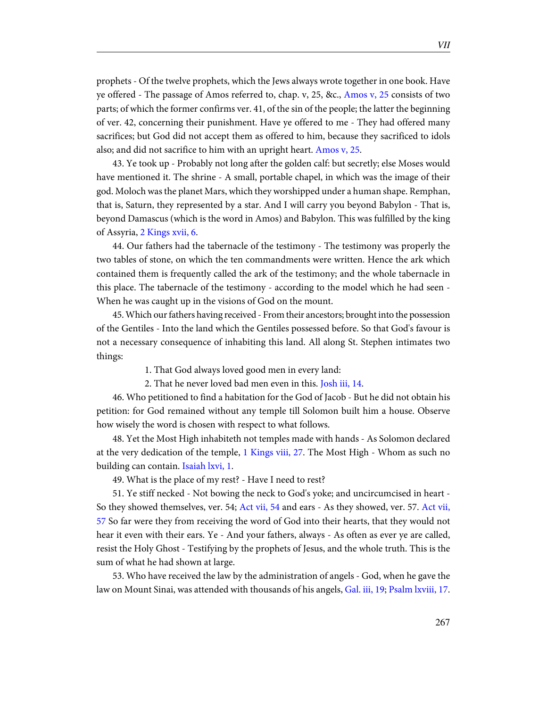prophets - Of the twelve prophets, which the Jews always wrote together in one book. Have ye offered - The passage of Amos referred to, chap. v, 25, &c., [Amos v, 25](http://www.ccel.org/study/Bible:Amos.5.25) consists of two parts; of which the former confirms ver. 41, of the sin of the people; the latter the beginning of ver. 42, concerning their punishment. Have ye offered to me - They had offered many sacrifices; but God did not accept them as offered to him, because they sacrificed to idols also; and did not sacrifice to him with an upright heart. [Amos v, 25.](http://www.ccel.org/study/Bible:Amos.5.25)

43. Ye took up - Probably not long after the golden calf: but secretly; else Moses would have mentioned it. The shrine - A small, portable chapel, in which was the image of their god. Moloch was the planet Mars, which they worshipped under a human shape. Remphan, that is, Saturn, they represented by a star. And I will carry you beyond Babylon - That is, beyond Damascus (which is the word in Amos) and Babylon. This was fulfilled by the king of Assyria, [2 Kings xvii, 6](http://www.ccel.org/study/Bible:2Kgs.17.6).

44. Our fathers had the tabernacle of the testimony - The testimony was properly the two tables of stone, on which the ten commandments were written. Hence the ark which contained them is frequently called the ark of the testimony; and the whole tabernacle in this place. The tabernacle of the testimony - according to the model which he had seen - When he was caught up in the visions of God on the mount.

45. Which our fathers having received - From their ancestors; brought into the possession of the Gentiles - Into the land which the Gentiles possessed before. So that God's favour is not a necessary consequence of inhabiting this land. All along St. Stephen intimates two things:

1. That God always loved good men in every land:

2. That he never loved bad men even in this. [Josh iii, 14.](http://www.ccel.org/study/Bible:Josh.3.14)

46. Who petitioned to find a habitation for the God of Jacob - But he did not obtain his petition: for God remained without any temple till Solomon built him a house. Observe how wisely the word is chosen with respect to what follows.

48. Yet the Most High inhabiteth not temples made with hands - As Solomon declared at the very dedication of the temple, [1 Kings viii, 27.](http://www.ccel.org/study/Bible:1Kgs.8.27) The Most High - Whom as such no building can contain. [Isaiah lxvi, 1](http://www.ccel.org/study/Bible:Isa.66.1).

49. What is the place of my rest? - Have I need to rest?

51. Ye stiff necked - Not bowing the neck to God's yoke; and uncircumcised in heart - So they showed themselves, ver. 54; [Act vii, 54](http://www.ccel.org/study/Bible:Acts.7.54) and ears - As they showed, ver. 57. [Act vii,](http://www.ccel.org/study/Bible:Acts.7.57) [57](http://www.ccel.org/study/Bible:Acts.7.57) So far were they from receiving the word of God into their hearts, that they would not hear it even with their ears. Ye - And your fathers, always - As often as ever ye are called, resist the Holy Ghost - Testifying by the prophets of Jesus, and the whole truth. This is the sum of what he had shown at large.

53. Who have received the law by the administration of angels - God, when he gave the law on Mount Sinai, was attended with thousands of his angels, [Gal. iii, 19](http://www.ccel.org/study/Bible:Gal.3.19); [Psalm lxviii, 17.](http://www.ccel.org/study/Bible:Ps.68.17)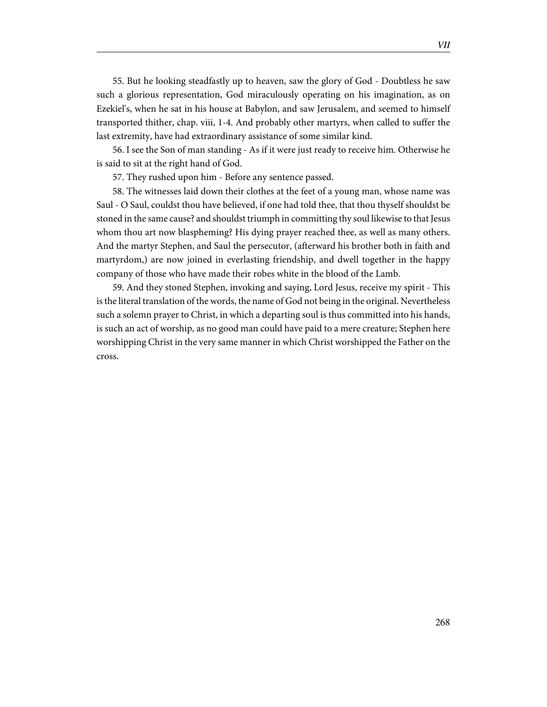55. But he looking steadfastly up to heaven, saw the glory of God - Doubtless he saw such a glorious representation, God miraculously operating on his imagination, as on Ezekiel's, when he sat in his house at Babylon, and saw Jerusalem, and seemed to himself transported thither, chap. viii, 1-4. And probably other martyrs, when called to suffer the last extremity, have had extraordinary assistance of some similar kind.

56. I see the Son of man standing - As if it were just ready to receive him. Otherwise he is said to sit at the right hand of God.

57. They rushed upon him - Before any sentence passed.

58. The witnesses laid down their clothes at the feet of a young man, whose name was Saul - O Saul, couldst thou have believed, if one had told thee, that thou thyself shouldst be stoned in the same cause? and shouldst triumph in committing thy soul likewise to that Jesus whom thou art now blaspheming? His dying prayer reached thee, as well as many others. And the martyr Stephen, and Saul the persecutor, (afterward his brother both in faith and martyrdom,) are now joined in everlasting friendship, and dwell together in the happy company of those who have made their robes white in the blood of the Lamb.

59. And they stoned Stephen, invoking and saying, Lord Jesus, receive my spirit - This is the literal translation of the words, the name of God not being in the original. Nevertheless such a solemn prayer to Christ, in which a departing soul is thus committed into his hands, is such an act of worship, as no good man could have paid to a mere creature; Stephen here worshipping Christ in the very same manner in which Christ worshipped the Father on the cross.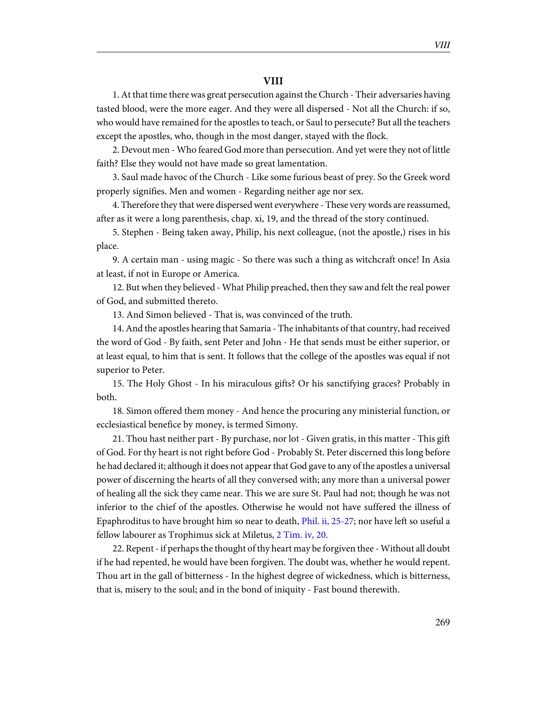# **VIII**

1. At that time there was great persecution against the Church - Their adversaries having tasted blood, were the more eager. And they were all dispersed - Not all the Church: if so, who would have remained for the apostles to teach, or Saul to persecute? But all the teachers except the apostles, who, though in the most danger, stayed with the flock.

2. Devout men - Who feared God more than persecution. And yet were they not of little faith? Else they would not have made so great lamentation.

3. Saul made havoc of the Church - Like some furious beast of prey. So the Greek word properly signifies. Men and women - Regarding neither age nor sex.

4. Therefore they that were dispersed went everywhere - These very words are reassumed, after as it were a long parenthesis, chap. xi, 19, and the thread of the story continued.

5. Stephen - Being taken away, Philip, his next colleague, (not the apostle,) rises in his place.

9. A certain man - using magic - So there was such a thing as witchcraft once! In Asia at least, if not in Europe or America.

12. But when they believed - What Philip preached, then they saw and felt the real power of God, and submitted thereto.

13. And Simon believed - That is, was convinced of the truth.

14. And the apostles hearing that Samaria - The inhabitants of that country, had received the word of God - By faith, sent Peter and John - He that sends must be either superior, or at least equal, to him that is sent. It follows that the college of the apostles was equal if not superior to Peter.

15. The Holy Ghost - In his miraculous gifts? Or his sanctifying graces? Probably in both.

18. Simon offered them money - And hence the procuring any ministerial function, or ecclesiastical benefice by money, is termed Simony.

21. Thou hast neither part - By purchase, nor lot - Given gratis, in this matter - This gift of God. For thy heart is not right before God - Probably St. Peter discerned this long before he had declared it; although it does not appear that God gave to any of the apostles a universal power of discerning the hearts of all they conversed with; any more than a universal power of healing all the sick they came near. This we are sure St. Paul had not; though he was not inferior to the chief of the apostles. Otherwise he would not have suffered the illness of Epaphroditus to have brought him so near to death, [Phil. ii, 25-27](http://www.ccel.org/study/Bible:Phil.2.25-Phil.2.27); nor have left so useful a fellow labourer as Trophimus sick at Miletus, [2 Tim. iv, 20.](http://www.ccel.org/study/Bible:2Tim.4.20)

22. Repent - if perhaps the thought of thy heart may be forgiven thee - Without all doubt if he had repented, he would have been forgiven. The doubt was, whether he would repent. Thou art in the gall of bitterness - In the highest degree of wickedness, which is bitterness, that is, misery to the soul; and in the bond of iniquity - Fast bound therewith.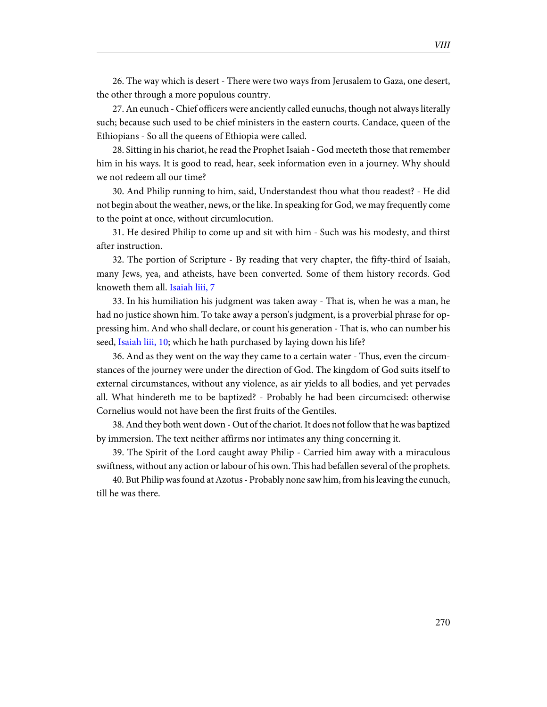26. The way which is desert - There were two ways from Jerusalem to Gaza, one desert, the other through a more populous country.

27. An eunuch - Chief officers were anciently called eunuchs, though not always literally such; because such used to be chief ministers in the eastern courts. Candace, queen of the Ethiopians - So all the queens of Ethiopia were called.

28. Sitting in his chariot, he read the Prophet Isaiah - God meeteth those that remember him in his ways. It is good to read, hear, seek information even in a journey. Why should we not redeem all our time?

30. And Philip running to him, said, Understandest thou what thou readest? - He did not begin about the weather, news, or the like. In speaking for God, we may frequently come to the point at once, without circumlocution.

31. He desired Philip to come up and sit with him - Such was his modesty, and thirst after instruction.

32. The portion of Scripture - By reading that very chapter, the fifty-third of Isaiah, many Jews, yea, and atheists, have been converted. Some of them history records. God knoweth them all. [Isaiah liii, 7](http://www.ccel.org/study/Bible:Isa.53.7)

33. In his humiliation his judgment was taken away - That is, when he was a man, he had no justice shown him. To take away a person's judgment, is a proverbial phrase for oppressing him. And who shall declare, or count his generation - That is, who can number his seed, [Isaiah liii, 10](http://www.ccel.org/study/Bible:Isa.53.10); which he hath purchased by laying down his life?

36. And as they went on the way they came to a certain water - Thus, even the circumstances of the journey were under the direction of God. The kingdom of God suits itself to external circumstances, without any violence, as air yields to all bodies, and yet pervades all. What hindereth me to be baptized? - Probably he had been circumcised: otherwise Cornelius would not have been the first fruits of the Gentiles.

38. And they both went down - Out of the chariot. It does not follow that he was baptized by immersion. The text neither affirms nor intimates any thing concerning it.

39. The Spirit of the Lord caught away Philip - Carried him away with a miraculous swiftness, without any action or labour of his own. This had befallen several of the prophets.

40. But Philip was found at Azotus - Probably none saw him, from his leaving the eunuch, till he was there.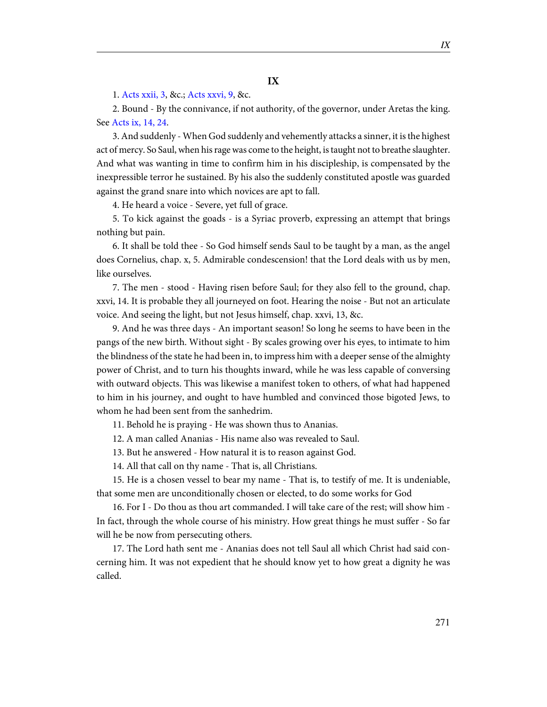1. [Acts xxii, 3,](http://www.ccel.org/study/Bible:Acts.22.3) &c.; [Acts xxvi, 9,](http://www.ccel.org/study/Bible:Acts.26.9) &c.

2. Bound - By the connivance, if not authority, of the governor, under Aretas the king. See [Acts ix, 14, 24](http://www.ccel.org/study/Bible:Acts.9.14 Bible:Acts.9.24).

3. And suddenly - When God suddenly and vehemently attacks a sinner, it is the highest act of mercy. So Saul, when his rage was come to the height, is taught not to breathe slaughter. And what was wanting in time to confirm him in his discipleship, is compensated by the inexpressible terror he sustained. By his also the suddenly constituted apostle was guarded against the grand snare into which novices are apt to fall.

4. He heard a voice - Severe, yet full of grace.

5. To kick against the goads - is a Syriac proverb, expressing an attempt that brings nothing but pain.

6. It shall be told thee - So God himself sends Saul to be taught by a man, as the angel does Cornelius, chap. x, 5. Admirable condescension! that the Lord deals with us by men, like ourselves.

7. The men - stood - Having risen before Saul; for they also fell to the ground, chap. xxvi, 14. It is probable they all journeyed on foot. Hearing the noise - But not an articulate voice. And seeing the light, but not Jesus himself, chap. xxvi, 13, &c.

9. And he was three days - An important season! So long he seems to have been in the pangs of the new birth. Without sight - By scales growing over his eyes, to intimate to him the blindness of the state he had been in, to impress him with a deeper sense of the almighty power of Christ, and to turn his thoughts inward, while he was less capable of conversing with outward objects. This was likewise a manifest token to others, of what had happened to him in his journey, and ought to have humbled and convinced those bigoted Jews, to whom he had been sent from the sanhedrim.

11. Behold he is praying - He was shown thus to Ananias.

12. A man called Ananias - His name also was revealed to Saul.

13. But he answered - How natural it is to reason against God.

14. All that call on thy name - That is, all Christians.

15. He is a chosen vessel to bear my name - That is, to testify of me. It is undeniable, that some men are unconditionally chosen or elected, to do some works for God

16. For I - Do thou as thou art commanded. I will take care of the rest; will show him - In fact, through the whole course of his ministry. How great things he must suffer - So far will he be now from persecuting others.

17. The Lord hath sent me - Ananias does not tell Saul all which Christ had said concerning him. It was not expedient that he should know yet to how great a dignity he was called.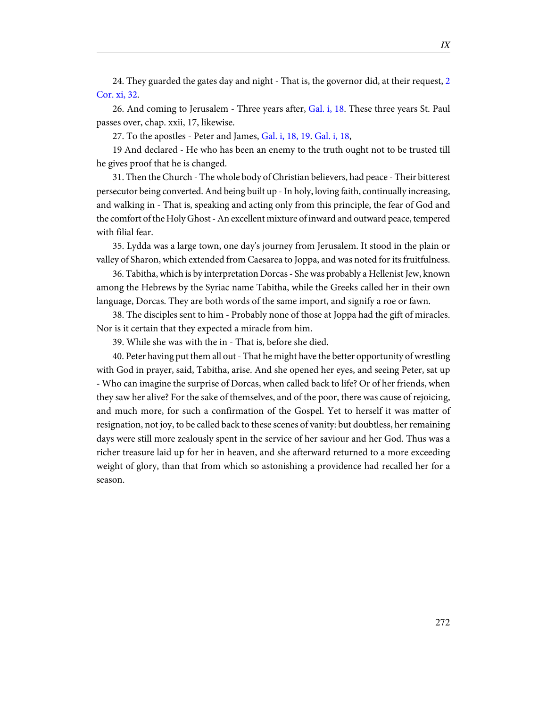24. They guarded the gates day and night - That is, the governor did, at their request, [2](http://www.ccel.org/study/Bible:2Cor.11.32) [Cor. xi, 32.](http://www.ccel.org/study/Bible:2Cor.11.32)

26. And coming to Jerusalem - Three years after, [Gal. i, 18](http://www.ccel.org/study/Bible:Gal.1.18). These three years St. Paul passes over, chap. xxii, 17, likewise.

27. To the apostles - Peter and James, [Gal. i, 18, 19](http://www.ccel.org/study/Bible:Gal.1.18-Gal.1.19). [Gal. i, 18](http://www.ccel.org/study/Bible:Gal.1.18),

19 And declared - He who has been an enemy to the truth ought not to be trusted till he gives proof that he is changed.

31. Then the Church - The whole body of Christian believers, had peace - Their bitterest persecutor being converted. And being built up - In holy, loving faith, continually increasing, and walking in - That is, speaking and acting only from this principle, the fear of God and the comfort of the Holy Ghost - An excellent mixture of inward and outward peace, tempered with filial fear.

35. Lydda was a large town, one day's journey from Jerusalem. It stood in the plain or valley of Sharon, which extended from Caesarea to Joppa, and was noted for its fruitfulness.

36. Tabitha, which is by interpretation Dorcas - She was probably a Hellenist Jew, known among the Hebrews by the Syriac name Tabitha, while the Greeks called her in their own language, Dorcas. They are both words of the same import, and signify a roe or fawn.

38. The disciples sent to him - Probably none of those at Joppa had the gift of miracles. Nor is it certain that they expected a miracle from him.

39. While she was with the in - That is, before she died.

40. Peter having put them all out - That he might have the better opportunity of wrestling with God in prayer, said, Tabitha, arise. And she opened her eyes, and seeing Peter, sat up - Who can imagine the surprise of Dorcas, when called back to life? Or of her friends, when they saw her alive? For the sake of themselves, and of the poor, there was cause of rejoicing, and much more, for such a confirmation of the Gospel. Yet to herself it was matter of resignation, not joy, to be called back to these scenes of vanity: but doubtless, her remaining days were still more zealously spent in the service of her saviour and her God. Thus was a richer treasure laid up for her in heaven, and she afterward returned to a more exceeding weight of glory, than that from which so astonishing a providence had recalled her for a season.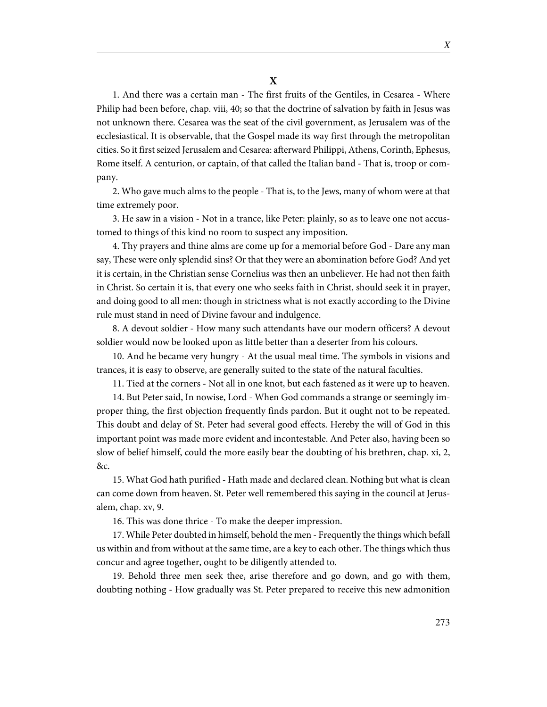1. And there was a certain man - The first fruits of the Gentiles, in Cesarea - Where Philip had been before, chap. viii, 40; so that the doctrine of salvation by faith in Jesus was not unknown there. Cesarea was the seat of the civil government, as Jerusalem was of the ecclesiastical. It is observable, that the Gospel made its way first through the metropolitan cities. So it first seized Jerusalem and Cesarea: afterward Philippi, Athens, Corinth, Ephesus, Rome itself. A centurion, or captain, of that called the Italian band - That is, troop or company.

2. Who gave much alms to the people - That is, to the Jews, many of whom were at that time extremely poor.

3. He saw in a vision - Not in a trance, like Peter: plainly, so as to leave one not accustomed to things of this kind no room to suspect any imposition.

4. Thy prayers and thine alms are come up for a memorial before God - Dare any man say, These were only splendid sins? Or that they were an abomination before God? And yet it is certain, in the Christian sense Cornelius was then an unbeliever. He had not then faith in Christ. So certain it is, that every one who seeks faith in Christ, should seek it in prayer, and doing good to all men: though in strictness what is not exactly according to the Divine rule must stand in need of Divine favour and indulgence.

8. A devout soldier - How many such attendants have our modern officers? A devout soldier would now be looked upon as little better than a deserter from his colours.

10. And he became very hungry - At the usual meal time. The symbols in visions and trances, it is easy to observe, are generally suited to the state of the natural faculties.

11. Tied at the corners - Not all in one knot, but each fastened as it were up to heaven.

14. But Peter said, In nowise, Lord - When God commands a strange or seemingly improper thing, the first objection frequently finds pardon. But it ought not to be repeated. This doubt and delay of St. Peter had several good effects. Hereby the will of God in this important point was made more evident and incontestable. And Peter also, having been so slow of belief himself, could the more easily bear the doubting of his brethren, chap. xi, 2, &c.

15. What God hath purified - Hath made and declared clean. Nothing but what is clean can come down from heaven. St. Peter well remembered this saying in the council at Jerusalem, chap. xv, 9.

16. This was done thrice - To make the deeper impression.

17. While Peter doubted in himself, behold the men - Frequently the things which befall us within and from without at the same time, are a key to each other. The things which thus concur and agree together, ought to be diligently attended to.

19. Behold three men seek thee, arise therefore and go down, and go with them, doubting nothing - How gradually was St. Peter prepared to receive this new admonition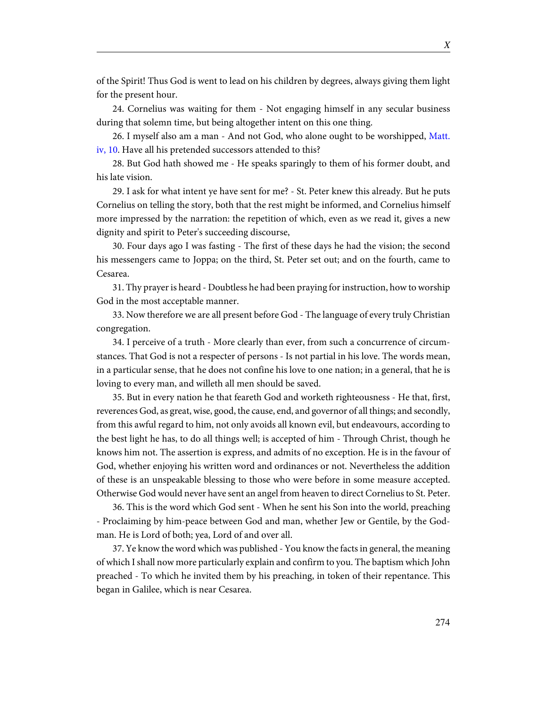of the Spirit! Thus God is went to lead on his children by degrees, always giving them light for the present hour.

24. Cornelius was waiting for them - Not engaging himself in any secular business during that solemn time, but being altogether intent on this one thing.

26. I myself also am a man - And not God, who alone ought to be worshipped, [Matt.](http://www.ccel.org/study/Bible:Matt.4.10) [iv, 10.](http://www.ccel.org/study/Bible:Matt.4.10) Have all his pretended successors attended to this?

28. But God hath showed me - He speaks sparingly to them of his former doubt, and his late vision.

29. I ask for what intent ye have sent for me? - St. Peter knew this already. But he puts Cornelius on telling the story, both that the rest might be informed, and Cornelius himself more impressed by the narration: the repetition of which, even as we read it, gives a new dignity and spirit to Peter's succeeding discourse,

30. Four days ago I was fasting - The first of these days he had the vision; the second his messengers came to Joppa; on the third, St. Peter set out; and on the fourth, came to Cesarea.

31. Thy prayer is heard - Doubtless he had been praying for instruction, how to worship God in the most acceptable manner.

33. Now therefore we are all present before God - The language of every truly Christian congregation.

34. I perceive of a truth - More clearly than ever, from such a concurrence of circumstances. That God is not a respecter of persons - Is not partial in his love. The words mean, in a particular sense, that he does not confine his love to one nation; in a general, that he is loving to every man, and willeth all men should be saved.

35. But in every nation he that feareth God and worketh righteousness - He that, first, reverences God, as great, wise, good, the cause, end, and governor of all things; and secondly, from this awful regard to him, not only avoids all known evil, but endeavours, according to the best light he has, to do all things well; is accepted of him - Through Christ, though he knows him not. The assertion is express, and admits of no exception. He is in the favour of God, whether enjoying his written word and ordinances or not. Nevertheless the addition of these is an unspeakable blessing to those who were before in some measure accepted. Otherwise God would never have sent an angel from heaven to direct Cornelius to St. Peter.

36. This is the word which God sent - When he sent his Son into the world, preaching - Proclaiming by him-peace between God and man, whether Jew or Gentile, by the Godman. He is Lord of both; yea, Lord of and over all.

37. Ye know the word which was published - You know the facts in general, the meaning of which I shall now more particularly explain and confirm to you. The baptism which John preached - To which he invited them by his preaching, in token of their repentance. This began in Galilee, which is near Cesarea.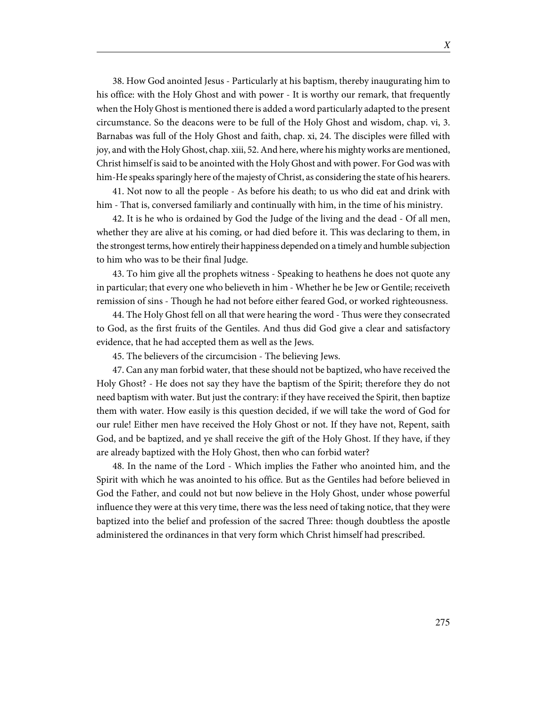38. How God anointed Jesus - Particularly at his baptism, thereby inaugurating him to his office: with the Holy Ghost and with power - It is worthy our remark, that frequently when the Holy Ghost is mentioned there is added a word particularly adapted to the present circumstance. So the deacons were to be full of the Holy Ghost and wisdom, chap. vi, 3. Barnabas was full of the Holy Ghost and faith, chap. xi, 24. The disciples were filled with joy, and with the Holy Ghost, chap. xiii, 52. And here, where his mighty works are mentioned, Christ himself is said to be anointed with the Holy Ghost and with power. For God was with him-He speaks sparingly here of the majesty of Christ, as considering the state of his hearers.

41. Not now to all the people - As before his death; to us who did eat and drink with him - That is, conversed familiarly and continually with him, in the time of his ministry.

42. It is he who is ordained by God the Judge of the living and the dead - Of all men, whether they are alive at his coming, or had died before it. This was declaring to them, in the strongest terms, how entirely their happiness depended on a timely and humble subjection to him who was to be their final Judge.

43. To him give all the prophets witness - Speaking to heathens he does not quote any in particular; that every one who believeth in him - Whether he be Jew or Gentile; receiveth remission of sins - Though he had not before either feared God, or worked righteousness.

44. The Holy Ghost fell on all that were hearing the word - Thus were they consecrated to God, as the first fruits of the Gentiles. And thus did God give a clear and satisfactory evidence, that he had accepted them as well as the Jews.

45. The believers of the circumcision - The believing Jews.

47. Can any man forbid water, that these should not be baptized, who have received the Holy Ghost? - He does not say they have the baptism of the Spirit; therefore they do not need baptism with water. But just the contrary: if they have received the Spirit, then baptize them with water. How easily is this question decided, if we will take the word of God for our rule! Either men have received the Holy Ghost or not. If they have not, Repent, saith God, and be baptized, and ye shall receive the gift of the Holy Ghost. If they have, if they are already baptized with the Holy Ghost, then who can forbid water?

48. In the name of the Lord - Which implies the Father who anointed him, and the Spirit with which he was anointed to his office. But as the Gentiles had before believed in God the Father, and could not but now believe in the Holy Ghost, under whose powerful influence they were at this very time, there was the less need of taking notice, that they were baptized into the belief and profession of the sacred Three: though doubtless the apostle administered the ordinances in that very form which Christ himself had prescribed.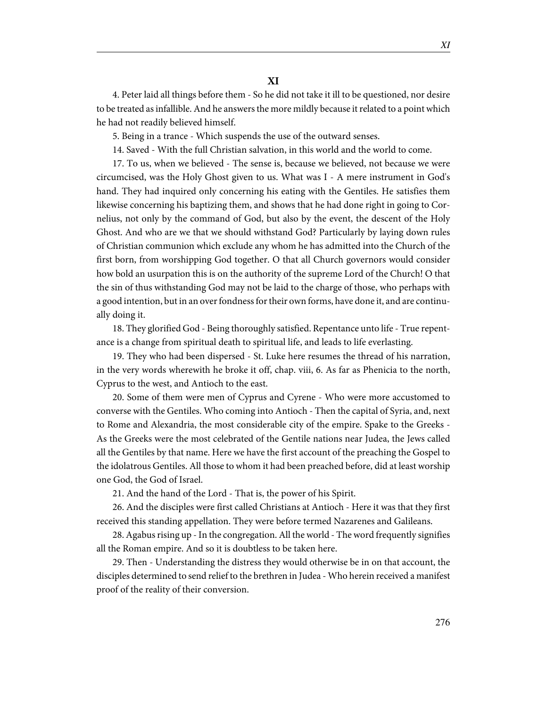4. Peter laid all things before them - So he did not take it ill to be questioned, nor desire to be treated as infallible. And he answers the more mildly because it related to a point which he had not readily believed himself.

5. Being in a trance - Which suspends the use of the outward senses.

14. Saved - With the full Christian salvation, in this world and the world to come.

17. To us, when we believed - The sense is, because we believed, not because we were circumcised, was the Holy Ghost given to us. What was I - A mere instrument in God's hand. They had inquired only concerning his eating with the Gentiles. He satisfies them likewise concerning his baptizing them, and shows that he had done right in going to Cornelius, not only by the command of God, but also by the event, the descent of the Holy Ghost. And who are we that we should withstand God? Particularly by laying down rules of Christian communion which exclude any whom he has admitted into the Church of the first born, from worshipping God together. O that all Church governors would consider how bold an usurpation this is on the authority of the supreme Lord of the Church! O that the sin of thus withstanding God may not be laid to the charge of those, who perhaps with a good intention, but in an over fondness for their own forms, have done it, and are continually doing it.

18. They glorified God - Being thoroughly satisfied. Repentance unto life - True repentance is a change from spiritual death to spiritual life, and leads to life everlasting.

19. They who had been dispersed - St. Luke here resumes the thread of his narration, in the very words wherewith he broke it off, chap. viii, 6. As far as Phenicia to the north, Cyprus to the west, and Antioch to the east.

20. Some of them were men of Cyprus and Cyrene - Who were more accustomed to converse with the Gentiles. Who coming into Antioch - Then the capital of Syria, and, next to Rome and Alexandria, the most considerable city of the empire. Spake to the Greeks - As the Greeks were the most celebrated of the Gentile nations near Judea, the Jews called all the Gentiles by that name. Here we have the first account of the preaching the Gospel to the idolatrous Gentiles. All those to whom it had been preached before, did at least worship one God, the God of Israel.

21. And the hand of the Lord - That is, the power of his Spirit.

26. And the disciples were first called Christians at Antioch - Here it was that they first received this standing appellation. They were before termed Nazarenes and Galileans.

28. Agabus rising up - In the congregation. All the world - The word frequently signifies all the Roman empire. And so it is doubtless to be taken here.

29. Then - Understanding the distress they would otherwise be in on that account, the disciples determined to send relief to the brethren in Judea - Who herein received a manifest proof of the reality of their conversion.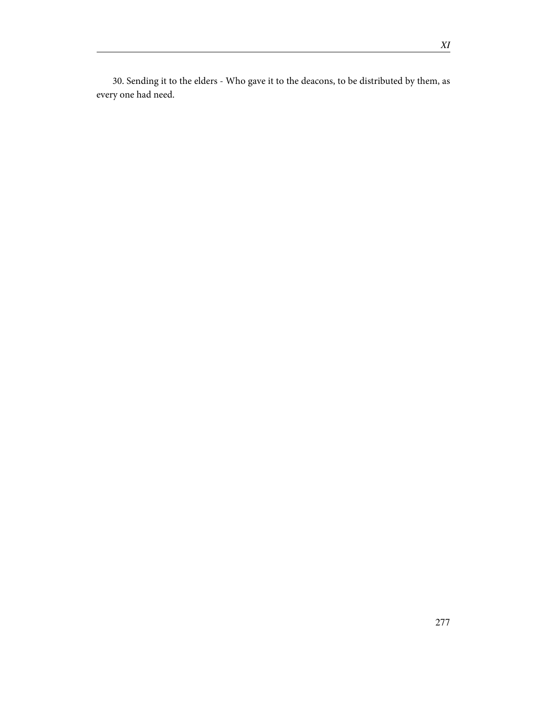30. Sending it to the elders - Who gave it to the deacons, to be distributed by them, as every one had need.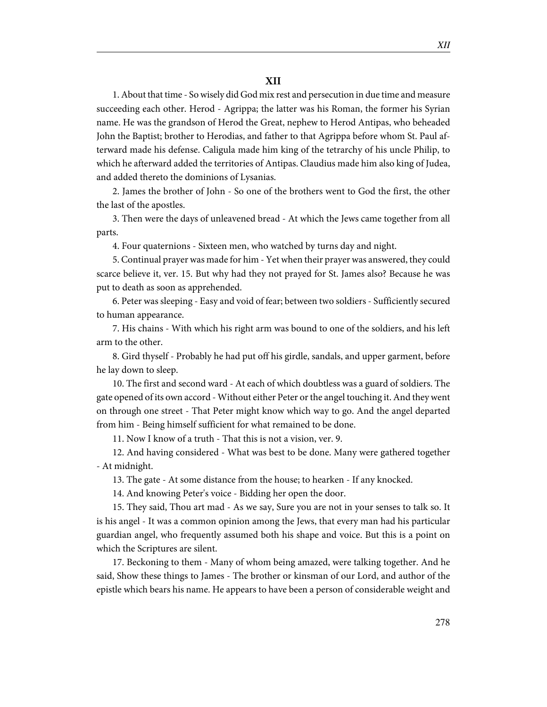# **XII**

1. About that time - So wisely did God mix rest and persecution in due time and measure succeeding each other. Herod - Agrippa; the latter was his Roman, the former his Syrian name. He was the grandson of Herod the Great, nephew to Herod Antipas, who beheaded John the Baptist; brother to Herodias, and father to that Agrippa before whom St. Paul afterward made his defense. Caligula made him king of the tetrarchy of his uncle Philip, to which he afterward added the territories of Antipas. Claudius made him also king of Judea, and added thereto the dominions of Lysanias.

2. James the brother of John - So one of the brothers went to God the first, the other the last of the apostles.

3. Then were the days of unleavened bread - At which the Jews came together from all parts.

4. Four quaternions - Sixteen men, who watched by turns day and night.

5. Continual prayer was made for him - Yet when their prayer was answered, they could scarce believe it, ver. 15. But why had they not prayed for St. James also? Because he was put to death as soon as apprehended.

6. Peter was sleeping - Easy and void of fear; between two soldiers - Sufficiently secured to human appearance.

7. His chains - With which his right arm was bound to one of the soldiers, and his left arm to the other.

8. Gird thyself - Probably he had put off his girdle, sandals, and upper garment, before he lay down to sleep.

10. The first and second ward - At each of which doubtless was a guard of soldiers. The gate opened of its own accord - Without either Peter or the angel touching it. And they went on through one street - That Peter might know which way to go. And the angel departed from him - Being himself sufficient for what remained to be done.

11. Now I know of a truth - That this is not a vision, ver. 9.

12. And having considered - What was best to be done. Many were gathered together - At midnight.

13. The gate - At some distance from the house; to hearken - If any knocked.

14. And knowing Peter's voice - Bidding her open the door.

15. They said, Thou art mad - As we say, Sure you are not in your senses to talk so. It is his angel - It was a common opinion among the Jews, that every man had his particular guardian angel, who frequently assumed both his shape and voice. But this is a point on which the Scriptures are silent.

17. Beckoning to them - Many of whom being amazed, were talking together. And he said, Show these things to James - The brother or kinsman of our Lord, and author of the epistle which bears his name. He appears to have been a person of considerable weight and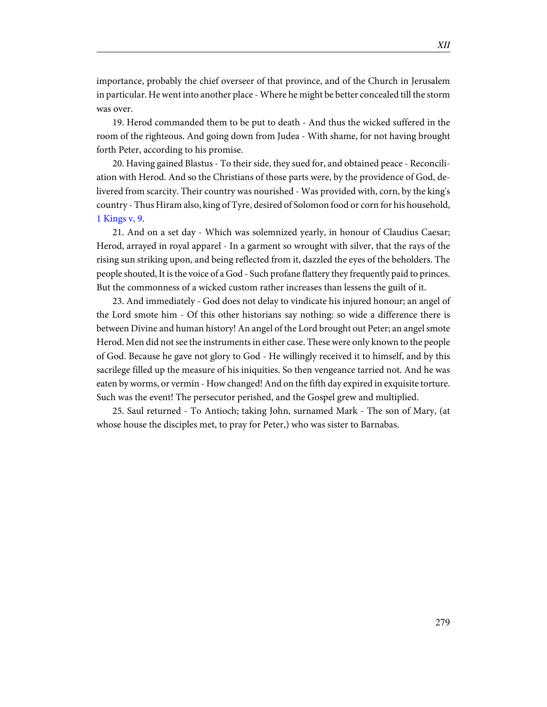importance, probably the chief overseer of that province, and of the Church in Jerusalem in particular. He went into another place - Where he might be better concealed till the storm was over.

19. Herod commanded them to be put to death - And thus the wicked suffered in the room of the righteous. And going down from Judea - With shame, for not having brought forth Peter, according to his promise.

20. Having gained Blastus - To their side, they sued for, and obtained peace - Reconciliation with Herod. And so the Christians of those parts were, by the providence of God, delivered from scarcity. Their country was nourished - Was provided with, corn, by the king's country - Thus Hiram also, king of Tyre, desired of Solomon food or corn for his household, [1 Kings v, 9](http://www.ccel.org/study/Bible:1Kgs.5.9).

21. And on a set day - Which was solemnized yearly, in honour of Claudius Caesar; Herod, arrayed in royal apparel - In a garment so wrought with silver, that the rays of the rising sun striking upon, and being reflected from it, dazzled the eyes of the beholders. The people shouted, It is the voice of a God - Such profane flattery they frequently paid to princes. But the commonness of a wicked custom rather increases than lessens the guilt of it.

23. And immediately - God does not delay to vindicate his injured honour; an angel of the Lord smote him - Of this other historians say nothing: so wide a difference there is between Divine and human history! An angel of the Lord brought out Peter; an angel smote Herod. Men did not see the instruments in either case. These were only known to the people of God. Because he gave not glory to God - He willingly received it to himself, and by this sacrilege filled up the measure of his iniquities. So then vengeance tarried not. And he was eaten by worms, or vermin - How changed! And on the fifth day expired in exquisite torture. Such was the event! The persecutor perished, and the Gospel grew and multiplied.

25. Saul returned - To Antioch; taking John, surnamed Mark - The son of Mary, (at whose house the disciples met, to pray for Peter,) who was sister to Barnabas.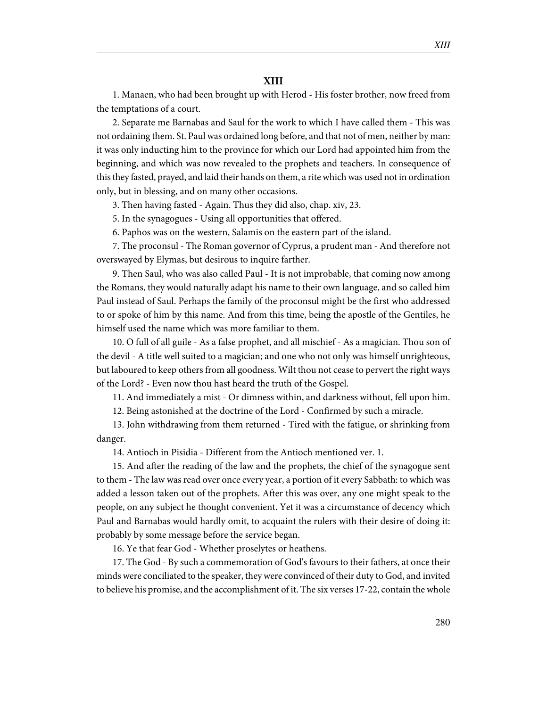#### **XIII**

1. Manaen, who had been brought up with Herod - His foster brother, now freed from the temptations of a court.

2. Separate me Barnabas and Saul for the work to which I have called them - This was not ordaining them. St. Paul was ordained long before, and that not of men, neither by man: it was only inducting him to the province for which our Lord had appointed him from the beginning, and which was now revealed to the prophets and teachers. In consequence of this they fasted, prayed, and laid their hands on them, a rite which was used not in ordination only, but in blessing, and on many other occasions.

3. Then having fasted - Again. Thus they did also, chap. xiv, 23.

5. In the synagogues - Using all opportunities that offered.

6. Paphos was on the western, Salamis on the eastern part of the island.

7. The proconsul - The Roman governor of Cyprus, a prudent man - And therefore not overswayed by Elymas, but desirous to inquire farther.

9. Then Saul, who was also called Paul - It is not improbable, that coming now among the Romans, they would naturally adapt his name to their own language, and so called him Paul instead of Saul. Perhaps the family of the proconsul might be the first who addressed to or spoke of him by this name. And from this time, being the apostle of the Gentiles, he himself used the name which was more familiar to them.

10. O full of all guile - As a false prophet, and all mischief - As a magician. Thou son of the devil - A title well suited to a magician; and one who not only was himself unrighteous, but laboured to keep others from all goodness. Wilt thou not cease to pervert the right ways of the Lord? - Even now thou hast heard the truth of the Gospel.

11. And immediately a mist - Or dimness within, and darkness without, fell upon him.

12. Being astonished at the doctrine of the Lord - Confirmed by such a miracle.

13. John withdrawing from them returned - Tired with the fatigue, or shrinking from danger.

14. Antioch in Pisidia - Different from the Antioch mentioned ver. 1.

15. And after the reading of the law and the prophets, the chief of the synagogue sent to them - The law was read over once every year, a portion of it every Sabbath: to which was added a lesson taken out of the prophets. After this was over, any one might speak to the people, on any subject he thought convenient. Yet it was a circumstance of decency which Paul and Barnabas would hardly omit, to acquaint the rulers with their desire of doing it: probably by some message before the service began.

16. Ye that fear God - Whether proselytes or heathens.

17. The God - By such a commemoration of God's favours to their fathers, at once their minds were conciliated to the speaker, they were convinced of their duty to God, and invited to believe his promise, and the accomplishment of it. The six verses 17-22, contain the whole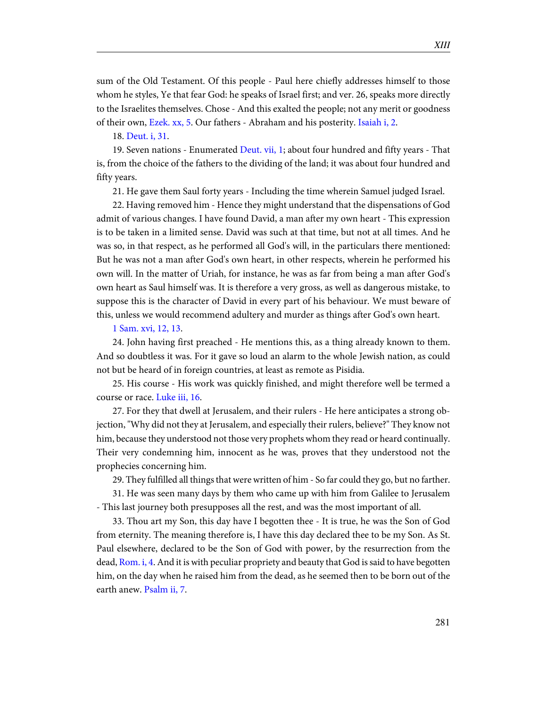sum of the Old Testament. Of this people - Paul here chiefly addresses himself to those whom he styles, Ye that fear God: he speaks of Israel first; and ver. 26, speaks more directly to the Israelites themselves. Chose - And this exalted the people; not any merit or goodness of their own, [Ezek. xx, 5.](http://www.ccel.org/study/Bible:Ezek.20.5) Our fathers - Abraham and his posterity. [Isaiah i, 2.](http://www.ccel.org/study/Bible:Isa.1.2)

#### 18. [Deut. i, 31](http://www.ccel.org/study/Bible:Deut.1.31).

19. Seven nations - Enumerated [Deut. vii, 1](http://www.ccel.org/study/Bible:Deut.7.1); about four hundred and fifty years - That is, from the choice of the fathers to the dividing of the land; it was about four hundred and fifty years.

21. He gave them Saul forty years - Including the time wherein Samuel judged Israel.

22. Having removed him - Hence they might understand that the dispensations of God admit of various changes. I have found David, a man after my own heart - This expression is to be taken in a limited sense. David was such at that time, but not at all times. And he was so, in that respect, as he performed all God's will, in the particulars there mentioned: But he was not a man after God's own heart, in other respects, wherein he performed his own will. In the matter of Uriah, for instance, he was as far from being a man after God's own heart as Saul himself was. It is therefore a very gross, as well as dangerous mistake, to suppose this is the character of David in every part of his behaviour. We must beware of this, unless we would recommend adultery and murder as things after God's own heart.

## [1 Sam. xvi, 12, 13](http://www.ccel.org/study/Bible:1Sam.16.12-1Sam.16.13).

24. John having first preached - He mentions this, as a thing already known to them. And so doubtless it was. For it gave so loud an alarm to the whole Jewish nation, as could not but be heard of in foreign countries, at least as remote as Pisidia.

25. His course - His work was quickly finished, and might therefore well be termed a course or race. [Luke iii, 16.](http://www.ccel.org/study/Bible:Luke.3.16)

27. For they that dwell at Jerusalem, and their rulers - He here anticipates a strong objection, "Why did not they at Jerusalem, and especially their rulers, believe?" They know not him, because they understood not those very prophets whom they read or heard continually. Their very condemning him, innocent as he was, proves that they understood not the prophecies concerning him.

29. They fulfilled all things that were written of him - So far could they go, but no farther.

31. He was seen many days by them who came up with him from Galilee to Jerusalem - This last journey both presupposes all the rest, and was the most important of all.

33. Thou art my Son, this day have I begotten thee - It is true, he was the Son of God from eternity. The meaning therefore is, I have this day declared thee to be my Son. As St. Paul elsewhere, declared to be the Son of God with power, by the resurrection from the dead, [Rom. i, 4.](http://www.ccel.org/study/Bible:Rom.1.4) And it is with peculiar propriety and beauty that God is said to have begotten him, on the day when he raised him from the dead, as he seemed then to be born out of the earth anew. [Psalm ii, 7.](http://www.ccel.org/study/Bible:Ps.2.7)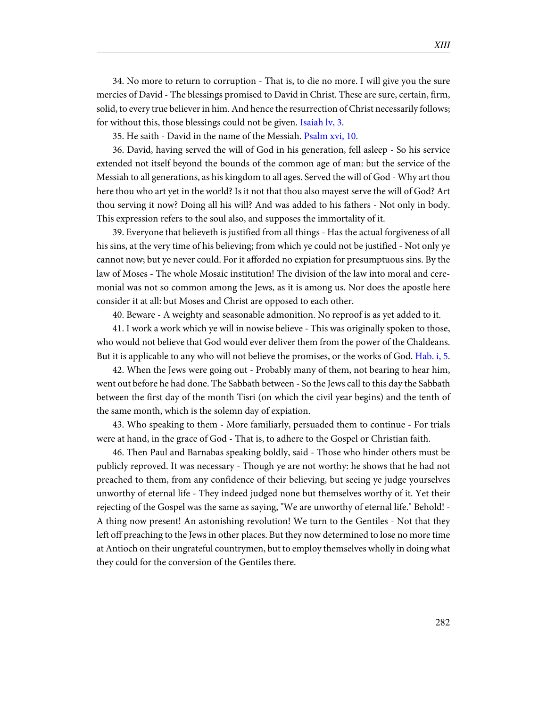34. No more to return to corruption - That is, to die no more. I will give you the sure mercies of David - The blessings promised to David in Christ. These are sure, certain, firm, solid, to every true believer in him. And hence the resurrection of Christ necessarily follows; for without this, those blessings could not be given. [Isaiah lv, 3.](http://www.ccel.org/study/Bible:Isa.55.3)

35. He saith - David in the name of the Messiah. [Psalm xvi, 10](http://www.ccel.org/study/Bible:Ps.16.10).

36. David, having served the will of God in his generation, fell asleep - So his service extended not itself beyond the bounds of the common age of man: but the service of the Messiah to all generations, as his kingdom to all ages. Served the will of God - Why art thou here thou who art yet in the world? Is it not that thou also mayest serve the will of God? Art thou serving it now? Doing all his will? And was added to his fathers - Not only in body. This expression refers to the soul also, and supposes the immortality of it.

39. Everyone that believeth is justified from all things - Has the actual forgiveness of all his sins, at the very time of his believing; from which ye could not be justified - Not only ye cannot now; but ye never could. For it afforded no expiation for presumptuous sins. By the law of Moses - The whole Mosaic institution! The division of the law into moral and ceremonial was not so common among the Jews, as it is among us. Nor does the apostle here consider it at all: but Moses and Christ are opposed to each other.

40. Beware - A weighty and seasonable admonition. No reproof is as yet added to it.

41. I work a work which ye will in nowise believe - This was originally spoken to those, who would not believe that God would ever deliver them from the power of the Chaldeans. But it is applicable to any who will not believe the promises, or the works of God. [Hab. i, 5.](http://www.ccel.org/study/Bible:Hab.1.5)

42. When the Jews were going out - Probably many of them, not bearing to hear him, went out before he had done. The Sabbath between - So the Jews call to this day the Sabbath between the first day of the month Tisri (on which the civil year begins) and the tenth of the same month, which is the solemn day of expiation.

43. Who speaking to them - More familiarly, persuaded them to continue - For trials were at hand, in the grace of God - That is, to adhere to the Gospel or Christian faith.

46. Then Paul and Barnabas speaking boldly, said - Those who hinder others must be publicly reproved. It was necessary - Though ye are not worthy: he shows that he had not preached to them, from any confidence of their believing, but seeing ye judge yourselves unworthy of eternal life - They indeed judged none but themselves worthy of it. Yet their rejecting of the Gospel was the same as saying, "We are unworthy of eternal life." Behold! - A thing now present! An astonishing revolution! We turn to the Gentiles - Not that they left off preaching to the Jews in other places. But they now determined to lose no more time at Antioch on their ungrateful countrymen, but to employ themselves wholly in doing what they could for the conversion of the Gentiles there.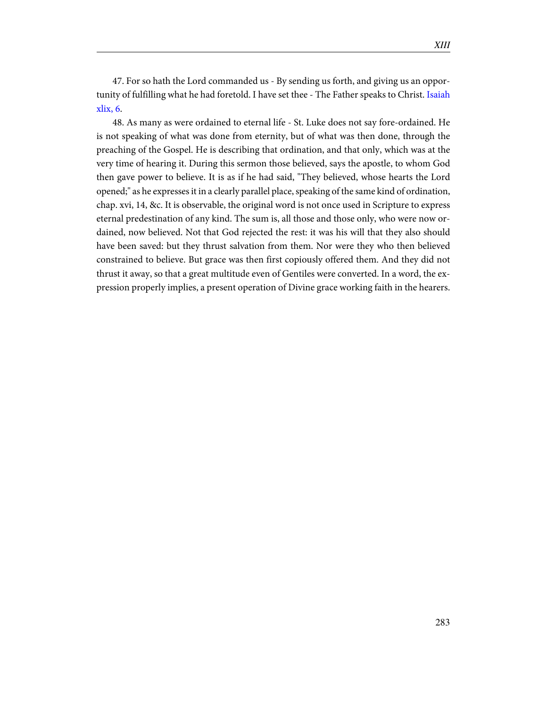47. For so hath the Lord commanded us - By sending us forth, and giving us an opportunity of fulfilling what he had foretold. I have set thee - The Father speaks to Christ. [Isaiah](http://www.ccel.org/study/Bible:Isa.49.6) [xlix, 6](http://www.ccel.org/study/Bible:Isa.49.6).

48. As many as were ordained to eternal life - St. Luke does not say fore-ordained. He is not speaking of what was done from eternity, but of what was then done, through the preaching of the Gospel. He is describing that ordination, and that only, which was at the very time of hearing it. During this sermon those believed, says the apostle, to whom God then gave power to believe. It is as if he had said, "They believed, whose hearts the Lord opened;" as he expresses it in a clearly parallel place, speaking of the same kind of ordination, chap. xvi, 14, &c. It is observable, the original word is not once used in Scripture to express eternal predestination of any kind. The sum is, all those and those only, who were now ordained, now believed. Not that God rejected the rest: it was his will that they also should have been saved: but they thrust salvation from them. Nor were they who then believed constrained to believe. But grace was then first copiously offered them. And they did not thrust it away, so that a great multitude even of Gentiles were converted. In a word, the expression properly implies, a present operation of Divine grace working faith in the hearers.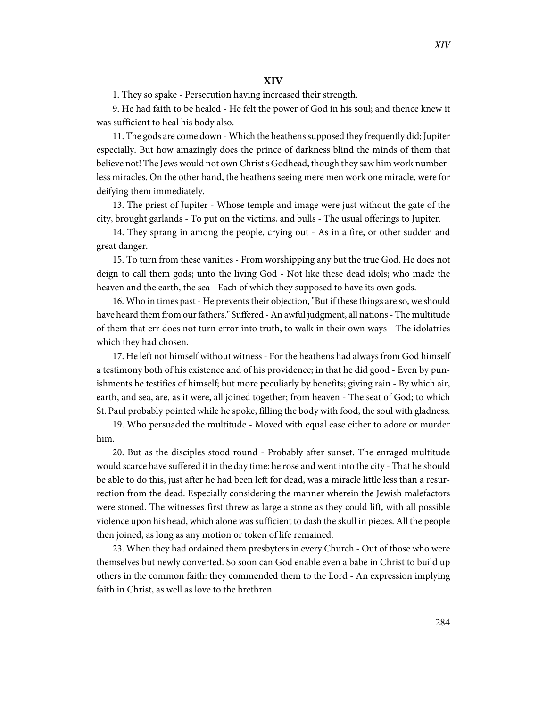### **XIV**

1. They so spake - Persecution having increased their strength.

9. He had faith to be healed - He felt the power of God in his soul; and thence knew it was sufficient to heal his body also.

11. The gods are come down - Which the heathens supposed they frequently did; Jupiter especially. But how amazingly does the prince of darkness blind the minds of them that believe not! The Jews would not own Christ's Godhead, though they saw him work numberless miracles. On the other hand, the heathens seeing mere men work one miracle, were for deifying them immediately.

13. The priest of Jupiter - Whose temple and image were just without the gate of the city, brought garlands - To put on the victims, and bulls - The usual offerings to Jupiter.

14. They sprang in among the people, crying out - As in a fire, or other sudden and great danger.

15. To turn from these vanities - From worshipping any but the true God. He does not deign to call them gods; unto the living God - Not like these dead idols; who made the heaven and the earth, the sea - Each of which they supposed to have its own gods.

16. Who in times past - He prevents their objection, "But if these things are so, we should have heard them from our fathers." Suffered - An awful judgment, all nations - The multitude of them that err does not turn error into truth, to walk in their own ways - The idolatries which they had chosen.

17. He left not himself without witness - For the heathens had always from God himself a testimony both of his existence and of his providence; in that he did good - Even by punishments he testifies of himself; but more peculiarly by benefits; giving rain - By which air, earth, and sea, are, as it were, all joined together; from heaven - The seat of God; to which St. Paul probably pointed while he spoke, filling the body with food, the soul with gladness.

19. Who persuaded the multitude - Moved with equal ease either to adore or murder him.

20. But as the disciples stood round - Probably after sunset. The enraged multitude would scarce have suffered it in the day time: he rose and went into the city - That he should be able to do this, just after he had been left for dead, was a miracle little less than a resurrection from the dead. Especially considering the manner wherein the Jewish malefactors were stoned. The witnesses first threw as large a stone as they could lift, with all possible violence upon his head, which alone was sufficient to dash the skull in pieces. All the people then joined, as long as any motion or token of life remained.

23. When they had ordained them presbyters in every Church - Out of those who were themselves but newly converted. So soon can God enable even a babe in Christ to build up others in the common faith: they commended them to the Lord - An expression implying faith in Christ, as well as love to the brethren.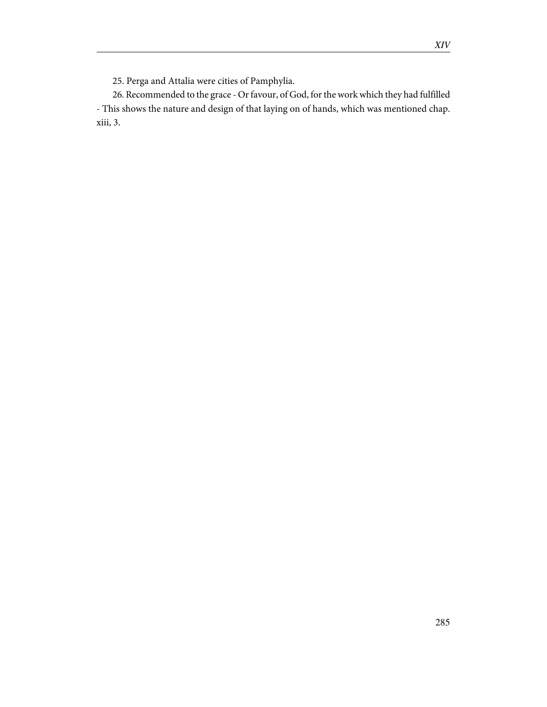25. Perga and Attalia were cities of Pamphylia.

26. Recommended to the grace - Or favour, of God, for the work which they had fulfilled - This shows the nature and design of that laying on of hands, which was mentioned chap. xiii, 3.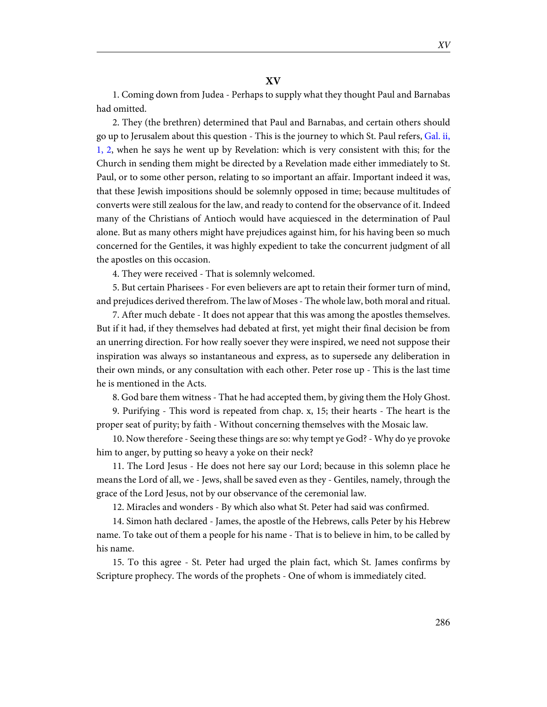1. Coming down from Judea - Perhaps to supply what they thought Paul and Barnabas had omitted.

2. They (the brethren) determined that Paul and Barnabas, and certain others should go up to Jerusalem about this question - This is the journey to which St. Paul refers, [Gal. ii,](http://www.ccel.org/study/Bible:Gal.2.1-Gal.2.2) [1, 2,](http://www.ccel.org/study/Bible:Gal.2.1-Gal.2.2) when he says he went up by Revelation: which is very consistent with this; for the Church in sending them might be directed by a Revelation made either immediately to St. Paul, or to some other person, relating to so important an affair. Important indeed it was, that these Jewish impositions should be solemnly opposed in time; because multitudes of converts were still zealous for the law, and ready to contend for the observance of it. Indeed many of the Christians of Antioch would have acquiesced in the determination of Paul alone. But as many others might have prejudices against him, for his having been so much concerned for the Gentiles, it was highly expedient to take the concurrent judgment of all the apostles on this occasion.

4. They were received - That is solemnly welcomed.

5. But certain Pharisees - For even believers are apt to retain their former turn of mind, and prejudices derived therefrom. The law of Moses - The whole law, both moral and ritual.

7. After much debate - It does not appear that this was among the apostles themselves. But if it had, if they themselves had debated at first, yet might their final decision be from an unerring direction. For how really soever they were inspired, we need not suppose their inspiration was always so instantaneous and express, as to supersede any deliberation in their own minds, or any consultation with each other. Peter rose up - This is the last time he is mentioned in the Acts.

8. God bare them witness - That he had accepted them, by giving them the Holy Ghost.

9. Purifying - This word is repeated from chap. x, 15; their hearts - The heart is the proper seat of purity; by faith - Without concerning themselves with the Mosaic law.

10. Now therefore - Seeing these things are so: why tempt ye God? - Why do ye provoke him to anger, by putting so heavy a yoke on their neck?

11. The Lord Jesus - He does not here say our Lord; because in this solemn place he means the Lord of all, we - Jews, shall be saved even as they - Gentiles, namely, through the grace of the Lord Jesus, not by our observance of the ceremonial law.

12. Miracles and wonders - By which also what St. Peter had said was confirmed.

14. Simon hath declared - James, the apostle of the Hebrews, calls Peter by his Hebrew name. To take out of them a people for his name - That is to believe in him, to be called by his name.

15. To this agree - St. Peter had urged the plain fact, which St. James confirms by Scripture prophecy. The words of the prophets - One of whom is immediately cited.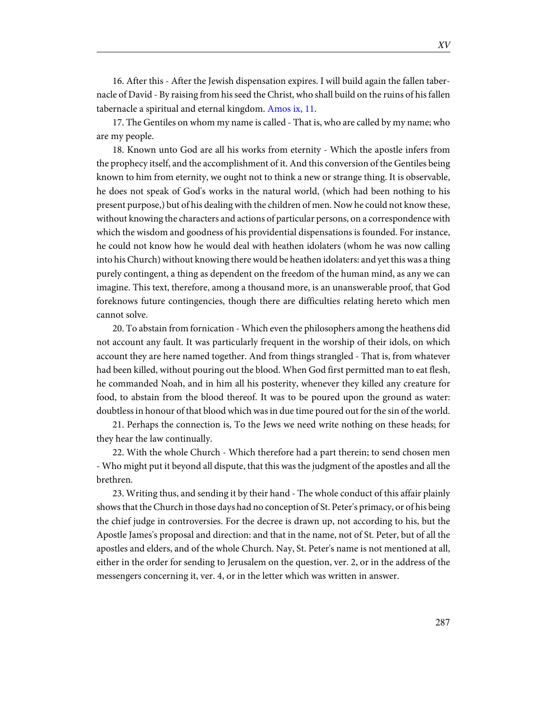16. After this - After the Jewish dispensation expires. I will build again the fallen tabernacle of David - By raising from his seed the Christ, who shall build on the ruins of his fallen tabernacle a spiritual and eternal kingdom. [Amos ix, 11.](http://www.ccel.org/study/Bible:Amos.9.11)

17. The Gentiles on whom my name is called - That is, who are called by my name; who are my people.

18. Known unto God are all his works from eternity - Which the apostle infers from the prophecy itself, and the accomplishment of it. And this conversion of the Gentiles being known to him from eternity, we ought not to think a new or strange thing. It is observable, he does not speak of God's works in the natural world, (which had been nothing to his present purpose,) but of his dealing with the children of men. Now he could not know these, without knowing the characters and actions of particular persons, on a correspondence with which the wisdom and goodness of his providential dispensations is founded. For instance, he could not know how he would deal with heathen idolaters (whom he was now calling into his Church) without knowing there would be heathen idolaters: and yet this was a thing purely contingent, a thing as dependent on the freedom of the human mind, as any we can imagine. This text, therefore, among a thousand more, is an unanswerable proof, that God foreknows future contingencies, though there are difficulties relating hereto which men cannot solve.

20. To abstain from fornication - Which even the philosophers among the heathens did not account any fault. It was particularly frequent in the worship of their idols, on which account they are here named together. And from things strangled - That is, from whatever had been killed, without pouring out the blood. When God first permitted man to eat flesh, he commanded Noah, and in him all his posterity, whenever they killed any creature for food, to abstain from the blood thereof. It was to be poured upon the ground as water: doubtless in honour of that blood which was in due time poured out for the sin of the world.

21. Perhaps the connection is, To the Jews we need write nothing on these heads; for they hear the law continually.

22. With the whole Church - Which therefore had a part therein; to send chosen men - Who might put it beyond all dispute, that this was the judgment of the apostles and all the brethren.

23. Writing thus, and sending it by their hand - The whole conduct of this affair plainly shows that the Church in those days had no conception of St. Peter's primacy, or of his being the chief judge in controversies. For the decree is drawn up, not according to his, but the Apostle James's proposal and direction: and that in the name, not of St. Peter, but of all the apostles and elders, and of the whole Church. Nay, St. Peter's name is not mentioned at all, either in the order for sending to Jerusalem on the question, ver. 2, or in the address of the messengers concerning it, ver. 4, or in the letter which was written in answer.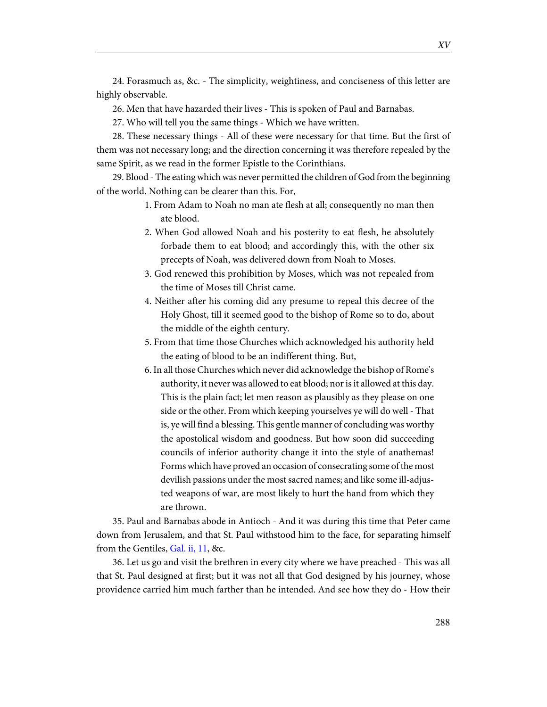24. Forasmuch as, &c. - The simplicity, weightiness, and conciseness of this letter are highly observable.

26. Men that have hazarded their lives - This is spoken of Paul and Barnabas.

27. Who will tell you the same things - Which we have written.

28. These necessary things - All of these were necessary for that time. But the first of them was not necessary long; and the direction concerning it was therefore repealed by the same Spirit, as we read in the former Epistle to the Corinthians.

29. Blood - The eating which was never permitted the children of God from the beginning of the world. Nothing can be clearer than this. For,

- 1. From Adam to Noah no man ate flesh at all; consequently no man then ate blood.
- 2. When God allowed Noah and his posterity to eat flesh, he absolutely forbade them to eat blood; and accordingly this, with the other six precepts of Noah, was delivered down from Noah to Moses.
- 3. God renewed this prohibition by Moses, which was not repealed from the time of Moses till Christ came.
- 4. Neither after his coming did any presume to repeal this decree of the Holy Ghost, till it seemed good to the bishop of Rome so to do, about the middle of the eighth century.
- 5. From that time those Churches which acknowledged his authority held the eating of blood to be an indifferent thing. But,
- 6. In all those Churches which never did acknowledge the bishop of Rome's authority, it never was allowed to eat blood; nor is it allowed at this day. This is the plain fact; let men reason as plausibly as they please on one side or the other. From which keeping yourselves ye will do well - That is, ye will find a blessing. This gentle manner of concluding was worthy the apostolical wisdom and goodness. But how soon did succeeding councils of inferior authority change it into the style of anathemas! Forms which have proved an occasion of consecrating some of the most devilish passions under the most sacred names; and like some ill-adjusted weapons of war, are most likely to hurt the hand from which they are thrown.

35. Paul and Barnabas abode in Antioch - And it was during this time that Peter came down from Jerusalem, and that St. Paul withstood him to the face, for separating himself from the Gentiles, [Gal. ii, 11](http://www.ccel.org/study/Bible:Gal.2.11), &c.

36. Let us go and visit the brethren in every city where we have preached - This was all that St. Paul designed at first; but it was not all that God designed by his journey, whose providence carried him much farther than he intended. And see how they do - How their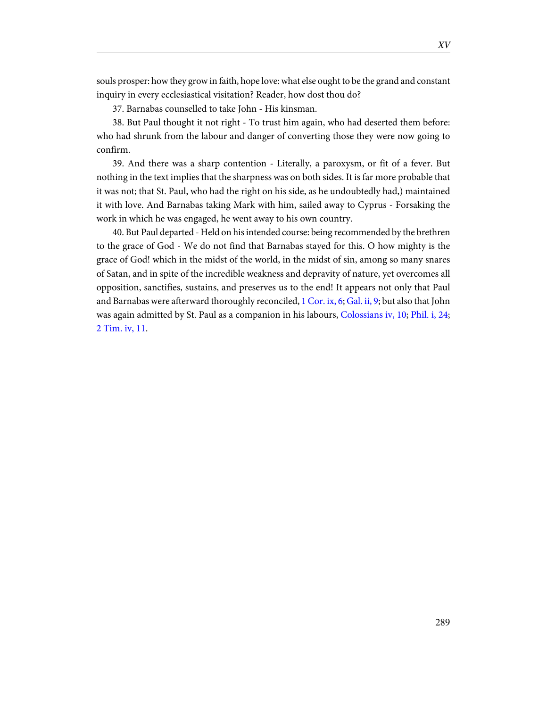souls prosper: how they grow in faith, hope love: what else ought to be the grand and constant inquiry in every ecclesiastical visitation? Reader, how dost thou do?

37. Barnabas counselled to take John - His kinsman.

38. But Paul thought it not right - To trust him again, who had deserted them before: who had shrunk from the labour and danger of converting those they were now going to confirm.

39. And there was a sharp contention - Literally, a paroxysm, or fit of a fever. But nothing in the text implies that the sharpness was on both sides. It is far more probable that it was not; that St. Paul, who had the right on his side, as he undoubtedly had,) maintained it with love. And Barnabas taking Mark with him, sailed away to Cyprus - Forsaking the work in which he was engaged, he went away to his own country.

40. But Paul departed - Held on his intended course: being recommended by the brethren to the grace of God - We do not find that Barnabas stayed for this. O how mighty is the grace of God! which in the midst of the world, in the midst of sin, among so many snares of Satan, and in spite of the incredible weakness and depravity of nature, yet overcomes all opposition, sanctifies, sustains, and preserves us to the end! It appears not only that Paul and Barnabas were afterward thoroughly reconciled, [1 Cor. ix, 6;](http://www.ccel.org/study/Bible:1Cor.9.6) [Gal. ii, 9;](http://www.ccel.org/study/Bible:Gal.2.9) but also that John was again admitted by St. Paul as a companion in his labours, [Colossians iv, 10;](http://www.ccel.org/study/Bible:Col.4.10) [Phil. i, 24;](http://www.ccel.org/study/Bible:Phil.1.24) [2 Tim. iv, 11](http://www.ccel.org/study/Bible:2Tim.4.11).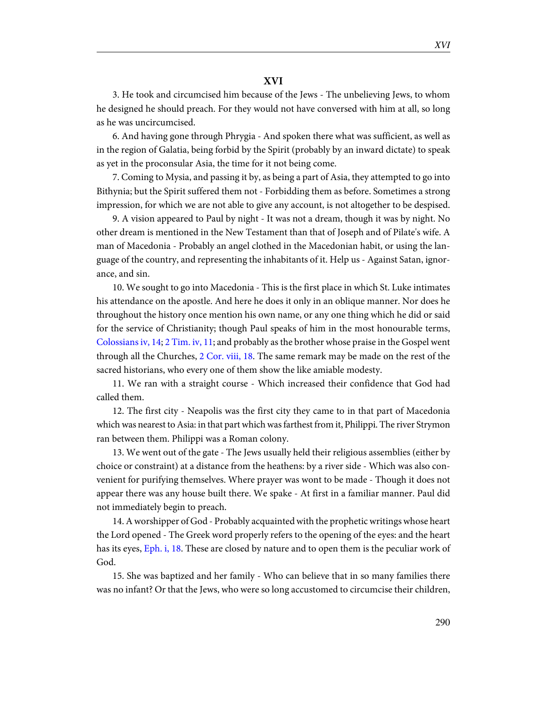# **XVI**

3. He took and circumcised him because of the Jews - The unbelieving Jews, to whom he designed he should preach. For they would not have conversed with him at all, so long as he was uncircumcised.

6. And having gone through Phrygia - And spoken there what was sufficient, as well as in the region of Galatia, being forbid by the Spirit (probably by an inward dictate) to speak as yet in the proconsular Asia, the time for it not being come.

7. Coming to Mysia, and passing it by, as being a part of Asia, they attempted to go into Bithynia; but the Spirit suffered them not - Forbidding them as before. Sometimes a strong impression, for which we are not able to give any account, is not altogether to be despised.

9. A vision appeared to Paul by night - It was not a dream, though it was by night. No other dream is mentioned in the New Testament than that of Joseph and of Pilate's wife. A man of Macedonia - Probably an angel clothed in the Macedonian habit, or using the language of the country, and representing the inhabitants of it. Help us - Against Satan, ignorance, and sin.

10. We sought to go into Macedonia - This is the first place in which St. Luke intimates his attendance on the apostle. And here he does it only in an oblique manner. Nor does he throughout the history once mention his own name, or any one thing which he did or said for the service of Christianity; though Paul speaks of him in the most honourable terms, [Colossians iv, 14](http://www.ccel.org/study/Bible:Col.4.14); [2 Tim. iv, 11](http://www.ccel.org/study/Bible:2Tim.4.11); and probably as the brother whose praise in the Gospel went through all the Churches, [2 Cor. viii, 18.](http://www.ccel.org/study/Bible:2Cor.8.18) The same remark may be made on the rest of the sacred historians, who every one of them show the like amiable modesty.

11. We ran with a straight course - Which increased their confidence that God had called them.

12. The first city - Neapolis was the first city they came to in that part of Macedonia which was nearest to Asia: in that part which was farthest from it, Philippi. The river Strymon ran between them. Philippi was a Roman colony.

13. We went out of the gate - The Jews usually held their religious assemblies (either by choice or constraint) at a distance from the heathens: by a river side - Which was also convenient for purifying themselves. Where prayer was wont to be made - Though it does not appear there was any house built there. We spake - At first in a familiar manner. Paul did not immediately begin to preach.

14. A worshipper of God - Probably acquainted with the prophetic writings whose heart the Lord opened - The Greek word properly refers to the opening of the eyes: and the heart has its eyes, [Eph. i, 18](http://www.ccel.org/study/Bible:Eph.1.18). These are closed by nature and to open them is the peculiar work of God.

15. She was baptized and her family - Who can believe that in so many families there was no infant? Or that the Jews, who were so long accustomed to circumcise their children,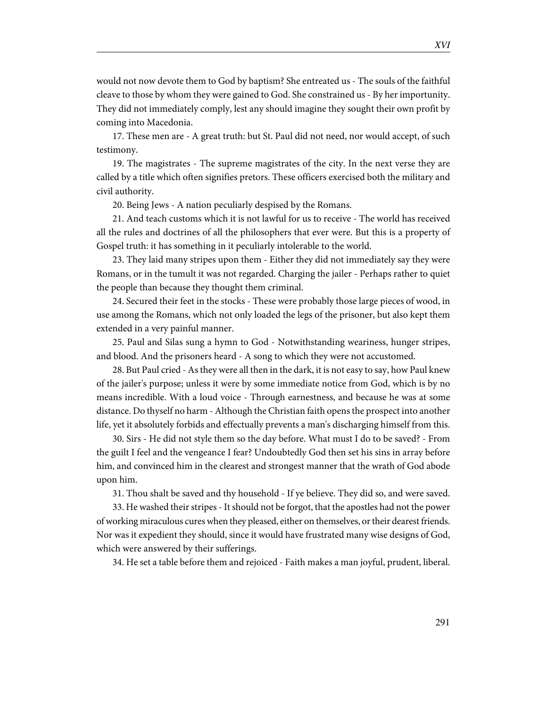would not now devote them to God by baptism? She entreated us - The souls of the faithful cleave to those by whom they were gained to God. She constrained us - By her importunity. They did not immediately comply, lest any should imagine they sought their own profit by coming into Macedonia.

17. These men are - A great truth: but St. Paul did not need, nor would accept, of such testimony.

19. The magistrates - The supreme magistrates of the city. In the next verse they are called by a title which often signifies pretors. These officers exercised both the military and civil authority.

20. Being Jews - A nation peculiarly despised by the Romans.

21. And teach customs which it is not lawful for us to receive - The world has received all the rules and doctrines of all the philosophers that ever were. But this is a property of Gospel truth: it has something in it peculiarly intolerable to the world.

23. They laid many stripes upon them - Either they did not immediately say they were Romans, or in the tumult it was not regarded. Charging the jailer - Perhaps rather to quiet the people than because they thought them criminal.

24. Secured their feet in the stocks - These were probably those large pieces of wood, in use among the Romans, which not only loaded the legs of the prisoner, but also kept them extended in a very painful manner.

25. Paul and Silas sung a hymn to God - Notwithstanding weariness, hunger stripes, and blood. And the prisoners heard - A song to which they were not accustomed.

28. But Paul cried - As they were all then in the dark, it is not easy to say, how Paul knew of the jailer's purpose; unless it were by some immediate notice from God, which is by no means incredible. With a loud voice - Through earnestness, and because he was at some distance. Do thyself no harm - Although the Christian faith opens the prospect into another life, yet it absolutely forbids and effectually prevents a man's discharging himself from this.

30. Sirs - He did not style them so the day before. What must I do to be saved? - From the guilt I feel and the vengeance I fear? Undoubtedly God then set his sins in array before him, and convinced him in the clearest and strongest manner that the wrath of God abode upon him.

31. Thou shalt be saved and thy household - If ye believe. They did so, and were saved.

33. He washed their stripes - It should not be forgot, that the apostles had not the power of working miraculous cures when they pleased, either on themselves, or their dearest friends. Nor was it expedient they should, since it would have frustrated many wise designs of God, which were answered by their sufferings.

34. He set a table before them and rejoiced - Faith makes a man joyful, prudent, liberal.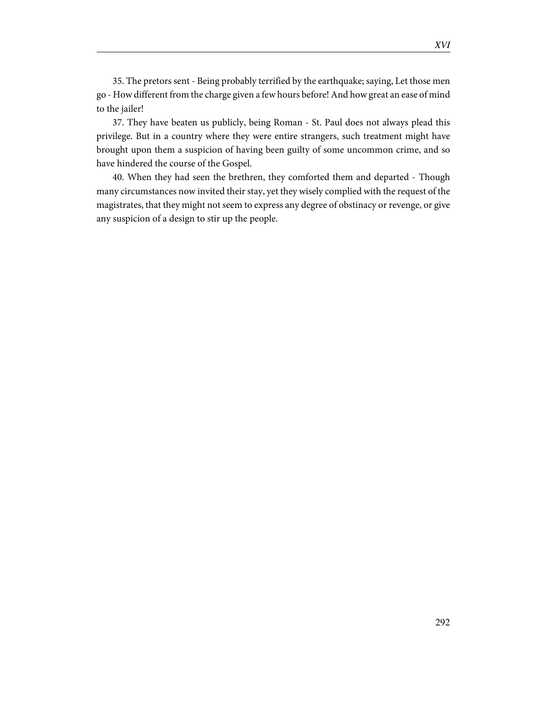35. The pretors sent - Being probably terrified by the earthquake; saying, Let those men go - How different from the charge given a few hours before! And how great an ease of mind to the jailer!

37. They have beaten us publicly, being Roman - St. Paul does not always plead this privilege. But in a country where they were entire strangers, such treatment might have brought upon them a suspicion of having been guilty of some uncommon crime, and so have hindered the course of the Gospel.

40. When they had seen the brethren, they comforted them and departed - Though many circumstances now invited their stay, yet they wisely complied with the request of the magistrates, that they might not seem to express any degree of obstinacy or revenge, or give any suspicion of a design to stir up the people.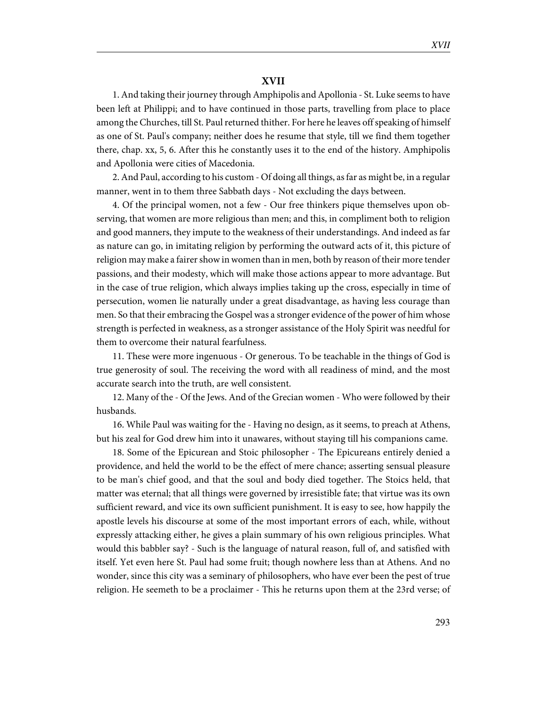### **XVII**

1. And taking their journey through Amphipolis and Apollonia - St. Luke seems to have been left at Philippi; and to have continued in those parts, travelling from place to place among the Churches, till St. Paul returned thither. For here he leaves off speaking of himself as one of St. Paul's company; neither does he resume that style, till we find them together there, chap. xx, 5, 6. After this he constantly uses it to the end of the history. Amphipolis and Apollonia were cities of Macedonia.

2. And Paul, according to his custom - Of doing all things, as far as might be, in a regular manner, went in to them three Sabbath days - Not excluding the days between.

4. Of the principal women, not a few - Our free thinkers pique themselves upon observing, that women are more religious than men; and this, in compliment both to religion and good manners, they impute to the weakness of their understandings. And indeed as far as nature can go, in imitating religion by performing the outward acts of it, this picture of religion may make a fairer show in women than in men, both by reason of their more tender passions, and their modesty, which will make those actions appear to more advantage. But in the case of true religion, which always implies taking up the cross, especially in time of persecution, women lie naturally under a great disadvantage, as having less courage than men. So that their embracing the Gospel was a stronger evidence of the power of him whose strength is perfected in weakness, as a stronger assistance of the Holy Spirit was needful for them to overcome their natural fearfulness.

11. These were more ingenuous - Or generous. To be teachable in the things of God is true generosity of soul. The receiving the word with all readiness of mind, and the most accurate search into the truth, are well consistent.

12. Many of the - Of the Jews. And of the Grecian women - Who were followed by their husbands.

16. While Paul was waiting for the - Having no design, as it seems, to preach at Athens, but his zeal for God drew him into it unawares, without staying till his companions came.

18. Some of the Epicurean and Stoic philosopher - The Epicureans entirely denied a providence, and held the world to be the effect of mere chance; asserting sensual pleasure to be man's chief good, and that the soul and body died together. The Stoics held, that matter was eternal; that all things were governed by irresistible fate; that virtue was its own sufficient reward, and vice its own sufficient punishment. It is easy to see, how happily the apostle levels his discourse at some of the most important errors of each, while, without expressly attacking either, he gives a plain summary of his own religious principles. What would this babbler say? - Such is the language of natural reason, full of, and satisfied with itself. Yet even here St. Paul had some fruit; though nowhere less than at Athens. And no wonder, since this city was a seminary of philosophers, who have ever been the pest of true religion. He seemeth to be a proclaimer - This he returns upon them at the 23rd verse; of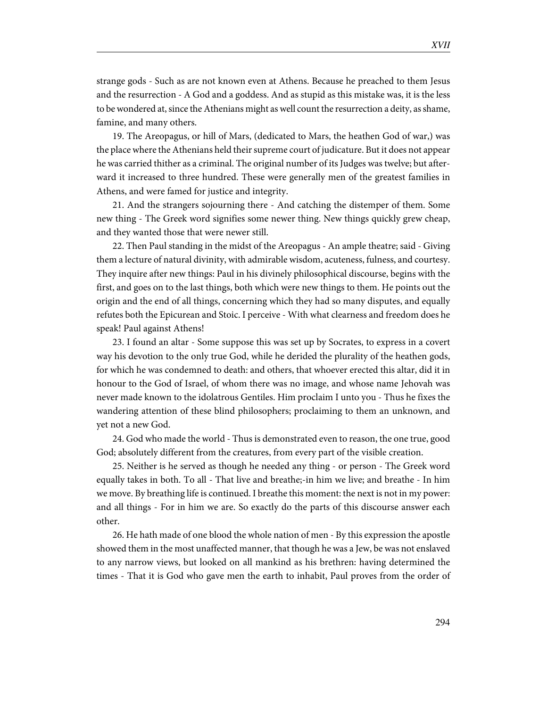19. The Areopagus, or hill of Mars, (dedicated to Mars, the heathen God of war,) was the place where the Athenians held their supreme court of judicature. But it does not appear he was carried thither as a criminal. The original number of its Judges was twelve; but afterward it increased to three hundred. These were generally men of the greatest families in Athens, and were famed for justice and integrity.

21. And the strangers sojourning there - And catching the distemper of them. Some new thing - The Greek word signifies some newer thing. New things quickly grew cheap, and they wanted those that were newer still.

22. Then Paul standing in the midst of the Areopagus - An ample theatre; said - Giving them a lecture of natural divinity, with admirable wisdom, acuteness, fulness, and courtesy. They inquire after new things: Paul in his divinely philosophical discourse, begins with the first, and goes on to the last things, both which were new things to them. He points out the origin and the end of all things, concerning which they had so many disputes, and equally refutes both the Epicurean and Stoic. I perceive - With what clearness and freedom does he speak! Paul against Athens!

23. I found an altar - Some suppose this was set up by Socrates, to express in a covert way his devotion to the only true God, while he derided the plurality of the heathen gods, for which he was condemned to death: and others, that whoever erected this altar, did it in honour to the God of Israel, of whom there was no image, and whose name Jehovah was never made known to the idolatrous Gentiles. Him proclaim I unto you - Thus he fixes the wandering attention of these blind philosophers; proclaiming to them an unknown, and yet not a new God.

24. God who made the world - Thus is demonstrated even to reason, the one true, good God; absolutely different from the creatures, from every part of the visible creation.

25. Neither is he served as though he needed any thing - or person - The Greek word equally takes in both. To all - That live and breathe;-in him we live; and breathe - In him we move. By breathing life is continued. I breathe this moment: the next is not in my power: and all things - For in him we are. So exactly do the parts of this discourse answer each other.

26. He hath made of one blood the whole nation of men - By this expression the apostle showed them in the most unaffected manner, that though he was a Jew, be was not enslaved to any narrow views, but looked on all mankind as his brethren: having determined the times - That it is God who gave men the earth to inhabit, Paul proves from the order of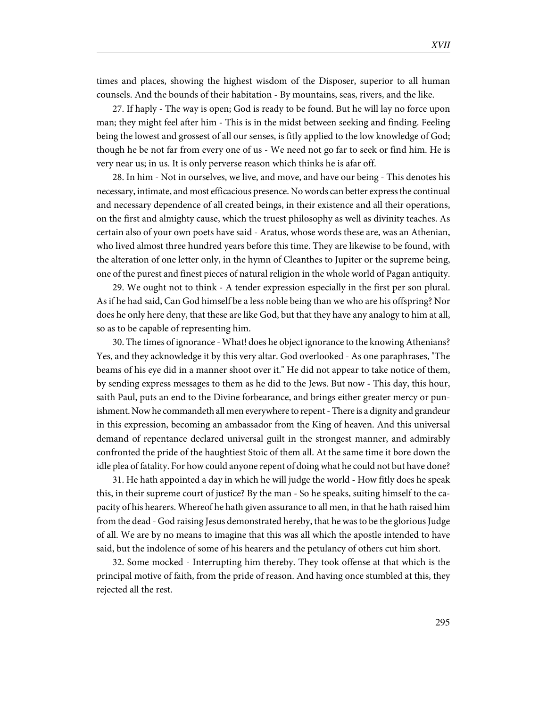times and places, showing the highest wisdom of the Disposer, superior to all human counsels. And the bounds of their habitation - By mountains, seas, rivers, and the like.

27. If haply - The way is open; God is ready to be found. But he will lay no force upon man; they might feel after him - This is in the midst between seeking and finding. Feeling being the lowest and grossest of all our senses, is fitly applied to the low knowledge of God; though he be not far from every one of us - We need not go far to seek or find him. He is very near us; in us. It is only perverse reason which thinks he is afar off.

28. In him - Not in ourselves, we live, and move, and have our being - This denotes his necessary, intimate, and most efficacious presence. No words can better express the continual and necessary dependence of all created beings, in their existence and all their operations, on the first and almighty cause, which the truest philosophy as well as divinity teaches. As certain also of your own poets have said - Aratus, whose words these are, was an Athenian, who lived almost three hundred years before this time. They are likewise to be found, with the alteration of one letter only, in the hymn of Cleanthes to Jupiter or the supreme being, one of the purest and finest pieces of natural religion in the whole world of Pagan antiquity.

29. We ought not to think - A tender expression especially in the first per son plural. As if he had said, Can God himself be a less noble being than we who are his offspring? Nor does he only here deny, that these are like God, but that they have any analogy to him at all, so as to be capable of representing him.

30. The times of ignorance - What! does he object ignorance to the knowing Athenians? Yes, and they acknowledge it by this very altar. God overlooked - As one paraphrases, "The beams of his eye did in a manner shoot over it." He did not appear to take notice of them, by sending express messages to them as he did to the Jews. But now - This day, this hour, saith Paul, puts an end to the Divine forbearance, and brings either greater mercy or punishment. Now he commandeth all men everywhere to repent - There is a dignity and grandeur in this expression, becoming an ambassador from the King of heaven. And this universal demand of repentance declared universal guilt in the strongest manner, and admirably confronted the pride of the haughtiest Stoic of them all. At the same time it bore down the idle plea of fatality. For how could anyone repent of doing what he could not but have done?

31. He hath appointed a day in which he will judge the world - How fitly does he speak this, in their supreme court of justice? By the man - So he speaks, suiting himself to the capacity of his hearers. Whereof he hath given assurance to all men, in that he hath raised him from the dead - God raising Jesus demonstrated hereby, that he was to be the glorious Judge of all. We are by no means to imagine that this was all which the apostle intended to have said, but the indolence of some of his hearers and the petulancy of others cut him short.

32. Some mocked - Interrupting him thereby. They took offense at that which is the principal motive of faith, from the pride of reason. And having once stumbled at this, they rejected all the rest.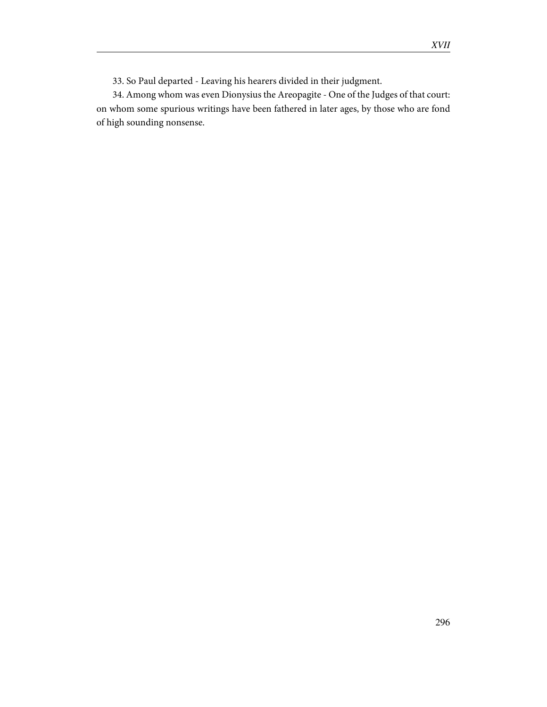33. So Paul departed - Leaving his hearers divided in their judgment.

34. Among whom was even Dionysius the Areopagite - One of the Judges of that court: on whom some spurious writings have been fathered in later ages, by those who are fond of high sounding nonsense.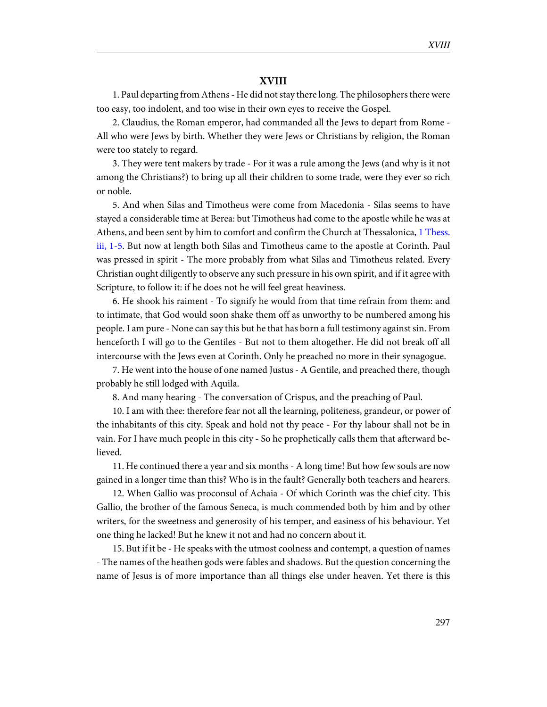#### **XVIII**

1. Paul departing from Athens - He did not stay there long. The philosophers there were too easy, too indolent, and too wise in their own eyes to receive the Gospel.

2. Claudius, the Roman emperor, had commanded all the Jews to depart from Rome - All who were Jews by birth. Whether they were Jews or Christians by religion, the Roman were too stately to regard.

3. They were tent makers by trade - For it was a rule among the Jews (and why is it not among the Christians?) to bring up all their children to some trade, were they ever so rich or noble.

5. And when Silas and Timotheus were come from Macedonia - Silas seems to have stayed a considerable time at Berea: but Timotheus had come to the apostle while he was at Athens, and been sent by him to comfort and confirm the Church at Thessalonica, [1 Thess.](http://www.ccel.org/study/Bible:1Thess.3.1-1Thess.3.5) [iii, 1-5.](http://www.ccel.org/study/Bible:1Thess.3.1-1Thess.3.5) But now at length both Silas and Timotheus came to the apostle at Corinth. Paul was pressed in spirit - The more probably from what Silas and Timotheus related. Every Christian ought diligently to observe any such pressure in his own spirit, and if it agree with Scripture, to follow it: if he does not he will feel great heaviness.

6. He shook his raiment - To signify he would from that time refrain from them: and to intimate, that God would soon shake them off as unworthy to be numbered among his people. I am pure - None can say this but he that has born a full testimony against sin. From henceforth I will go to the Gentiles - But not to them altogether. He did not break off all intercourse with the Jews even at Corinth. Only he preached no more in their synagogue.

7. He went into the house of one named Justus - A Gentile, and preached there, though probably he still lodged with Aquila.

8. And many hearing - The conversation of Crispus, and the preaching of Paul.

10. I am with thee: therefore fear not all the learning, politeness, grandeur, or power of the inhabitants of this city. Speak and hold not thy peace - For thy labour shall not be in vain. For I have much people in this city - So he prophetically calls them that afterward believed.

11. He continued there a year and six months - A long time! But how few souls are now gained in a longer time than this? Who is in the fault? Generally both teachers and hearers.

12. When Gallio was proconsul of Achaia - Of which Corinth was the chief city. This Gallio, the brother of the famous Seneca, is much commended both by him and by other writers, for the sweetness and generosity of his temper, and easiness of his behaviour. Yet one thing he lacked! But he knew it not and had no concern about it.

15. But if it be - He speaks with the utmost coolness and contempt, a question of names - The names of the heathen gods were fables and shadows. But the question concerning the name of Jesus is of more importance than all things else under heaven. Yet there is this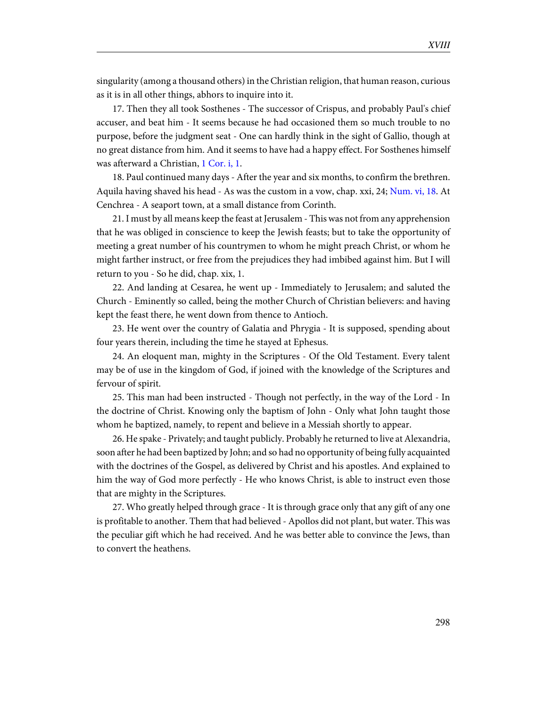singularity (among a thousand others) in the Christian religion, that human reason, curious as it is in all other things, abhors to inquire into it.

17. Then they all took Sosthenes - The successor of Crispus, and probably Paul's chief accuser, and beat him - It seems because he had occasioned them so much trouble to no purpose, before the judgment seat - One can hardly think in the sight of Gallio, though at no great distance from him. And it seems to have had a happy effect. For Sosthenes himself was afterward a Christian, [1 Cor. i, 1.](http://www.ccel.org/study/Bible:1Cor.1.1)

18. Paul continued many days - After the year and six months, to confirm the brethren. Aquila having shaved his head - As was the custom in a vow, chap. xxi, 24; [Num. vi, 18](http://www.ccel.org/study/Bible:Num.6.18). At Cenchrea - A seaport town, at a small distance from Corinth.

21. I must by all means keep the feast at Jerusalem - This was not from any apprehension that he was obliged in conscience to keep the Jewish feasts; but to take the opportunity of meeting a great number of his countrymen to whom he might preach Christ, or whom he might farther instruct, or free from the prejudices they had imbibed against him. But I will return to you - So he did, chap. xix, 1.

22. And landing at Cesarea, he went up - Immediately to Jerusalem; and saluted the Church - Eminently so called, being the mother Church of Christian believers: and having kept the feast there, he went down from thence to Antioch.

23. He went over the country of Galatia and Phrygia - It is supposed, spending about four years therein, including the time he stayed at Ephesus.

24. An eloquent man, mighty in the Scriptures - Of the Old Testament. Every talent may be of use in the kingdom of God, if joined with the knowledge of the Scriptures and fervour of spirit.

25. This man had been instructed - Though not perfectly, in the way of the Lord - In the doctrine of Christ. Knowing only the baptism of John - Only what John taught those whom he baptized, namely, to repent and believe in a Messiah shortly to appear.

26. He spake - Privately; and taught publicly. Probably he returned to live at Alexandria, soon after he had been baptized by John; and so had no opportunity of being fully acquainted with the doctrines of the Gospel, as delivered by Christ and his apostles. And explained to him the way of God more perfectly - He who knows Christ, is able to instruct even those that are mighty in the Scriptures.

27. Who greatly helped through grace - It is through grace only that any gift of any one is profitable to another. Them that had believed - Apollos did not plant, but water. This was the peculiar gift which he had received. And he was better able to convince the Jews, than to convert the heathens.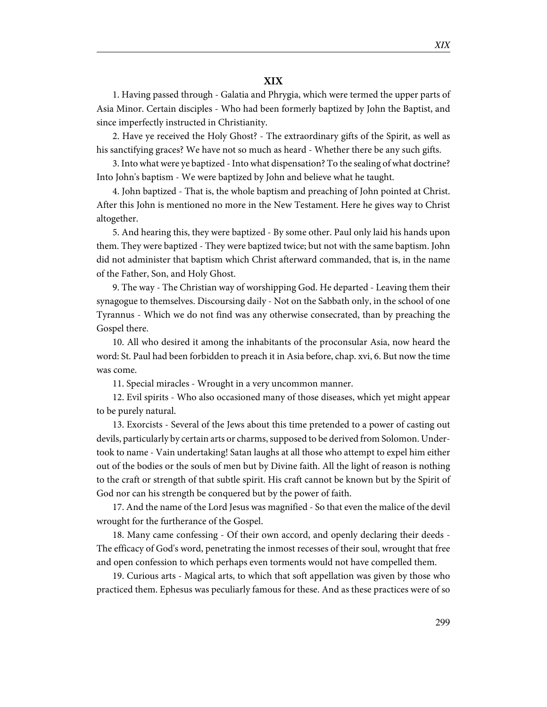# **XIX**

1. Having passed through - Galatia and Phrygia, which were termed the upper parts of Asia Minor. Certain disciples - Who had been formerly baptized by John the Baptist, and since imperfectly instructed in Christianity.

2. Have ye received the Holy Ghost? - The extraordinary gifts of the Spirit, as well as his sanctifying graces? We have not so much as heard - Whether there be any such gifts.

3. Into what were ye baptized - Into what dispensation? To the sealing of what doctrine? Into John's baptism - We were baptized by John and believe what he taught.

4. John baptized - That is, the whole baptism and preaching of John pointed at Christ. After this John is mentioned no more in the New Testament. Here he gives way to Christ altogether.

5. And hearing this, they were baptized - By some other. Paul only laid his hands upon them. They were baptized - They were baptized twice; but not with the same baptism. John did not administer that baptism which Christ afterward commanded, that is, in the name of the Father, Son, and Holy Ghost.

9. The way - The Christian way of worshipping God. He departed - Leaving them their synagogue to themselves. Discoursing daily - Not on the Sabbath only, in the school of one Tyrannus - Which we do not find was any otherwise consecrated, than by preaching the Gospel there.

10. All who desired it among the inhabitants of the proconsular Asia, now heard the word: St. Paul had been forbidden to preach it in Asia before, chap. xvi, 6. But now the time was come.

11. Special miracles - Wrought in a very uncommon manner.

12. Evil spirits - Who also occasioned many of those diseases, which yet might appear to be purely natural.

13. Exorcists - Several of the Jews about this time pretended to a power of casting out devils, particularly by certain arts or charms, supposed to be derived from Solomon. Undertook to name - Vain undertaking! Satan laughs at all those who attempt to expel him either out of the bodies or the souls of men but by Divine faith. All the light of reason is nothing to the craft or strength of that subtle spirit. His craft cannot be known but by the Spirit of God nor can his strength be conquered but by the power of faith.

17. And the name of the Lord Jesus was magnified - So that even the malice of the devil wrought for the furtherance of the Gospel.

18. Many came confessing - Of their own accord, and openly declaring their deeds - The efficacy of God's word, penetrating the inmost recesses of their soul, wrought that free and open confession to which perhaps even torments would not have compelled them.

19. Curious arts - Magical arts, to which that soft appellation was given by those who practiced them. Ephesus was peculiarly famous for these. And as these practices were of so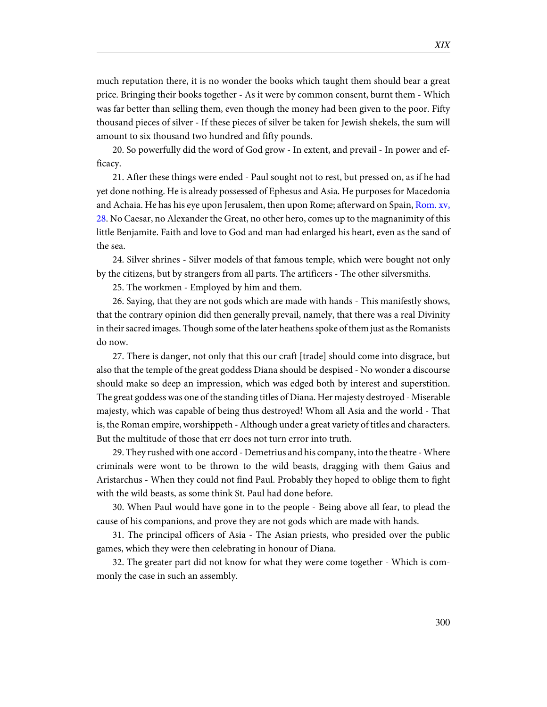much reputation there, it is no wonder the books which taught them should bear a great price. Bringing their books together - As it were by common consent, burnt them - Which was far better than selling them, even though the money had been given to the poor. Fifty thousand pieces of silver - If these pieces of silver be taken for Jewish shekels, the sum will amount to six thousand two hundred and fifty pounds.

20. So powerfully did the word of God grow - In extent, and prevail - In power and efficacy.

21. After these things were ended - Paul sought not to rest, but pressed on, as if he had yet done nothing. He is already possessed of Ephesus and Asia. He purposes for Macedonia and Achaia. He has his eye upon Jerusalem, then upon Rome; afterward on Spain, [Rom. xv,](http://www.ccel.org/study/Bible:Rom.15.28) [28.](http://www.ccel.org/study/Bible:Rom.15.28) No Caesar, no Alexander the Great, no other hero, comes up to the magnanimity of this little Benjamite. Faith and love to God and man had enlarged his heart, even as the sand of the sea.

24. Silver shrines - Silver models of that famous temple, which were bought not only by the citizens, but by strangers from all parts. The artificers - The other silversmiths.

25. The workmen - Employed by him and them.

26. Saying, that they are not gods which are made with hands - This manifestly shows, that the contrary opinion did then generally prevail, namely, that there was a real Divinity in their sacred images. Though some of the later heathens spoke of them just as the Romanists do now.

27. There is danger, not only that this our craft [trade] should come into disgrace, but also that the temple of the great goddess Diana should be despised - No wonder a discourse should make so deep an impression, which was edged both by interest and superstition. The great goddess was one of the standing titles of Diana. Her majesty destroyed - Miserable majesty, which was capable of being thus destroyed! Whom all Asia and the world - That is, the Roman empire, worshippeth - Although under a great variety of titles and characters. But the multitude of those that err does not turn error into truth.

29. They rushed with one accord - Demetrius and his company, into the theatre - Where criminals were wont to be thrown to the wild beasts, dragging with them Gaius and Aristarchus - When they could not find Paul. Probably they hoped to oblige them to fight with the wild beasts, as some think St. Paul had done before.

30. When Paul would have gone in to the people - Being above all fear, to plead the cause of his companions, and prove they are not gods which are made with hands.

31. The principal officers of Asia - The Asian priests, who presided over the public games, which they were then celebrating in honour of Diana.

32. The greater part did not know for what they were come together - Which is commonly the case in such an assembly.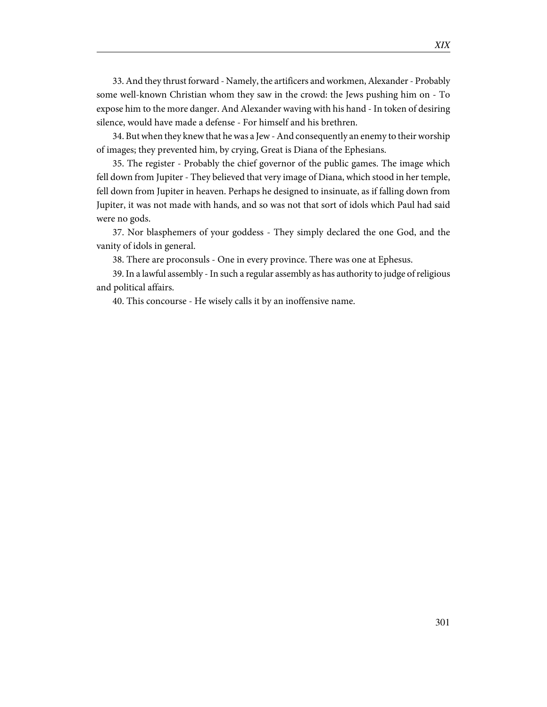33. And they thrust forward - Namely, the artificers and workmen, Alexander - Probably some well-known Christian whom they saw in the crowd: the Jews pushing him on - To expose him to the more danger. And Alexander waving with his hand - In token of desiring silence, would have made a defense - For himself and his brethren.

34. But when they knew that he was a Jew - And consequently an enemy to their worship of images; they prevented him, by crying, Great is Diana of the Ephesians.

35. The register - Probably the chief governor of the public games. The image which fell down from Jupiter - They believed that very image of Diana, which stood in her temple, fell down from Jupiter in heaven. Perhaps he designed to insinuate, as if falling down from Jupiter, it was not made with hands, and so was not that sort of idols which Paul had said were no gods.

37. Nor blasphemers of your goddess - They simply declared the one God, and the vanity of idols in general.

38. There are proconsuls - One in every province. There was one at Ephesus.

39. In a lawful assembly - In such a regular assembly as has authority to judge of religious and political affairs.

40. This concourse - He wisely calls it by an inoffensive name.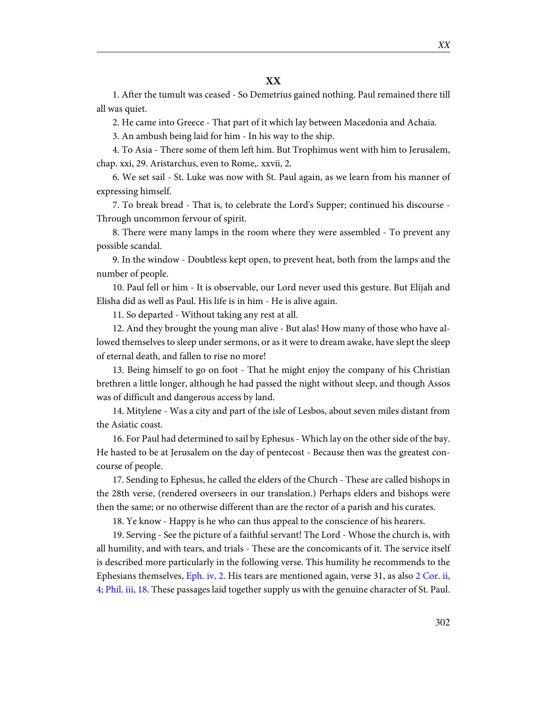1. After the tumult was ceased - So Demetrius gained nothing. Paul remained there till all was quiet.

2. He came into Greece - That part of it which lay between Macedonia and Achaia.

3. An ambush being laid for him - In his way to the ship.

4. To Asia - There some of them left him. But Trophimus went with him to Jerusalem, chap. xxi, 29. Aristarchus, even to Rome,. xxvii, 2.

6. We set sail - St. Luke was now with St. Paul again, as we learn from his manner of expressing himself.

7. To break bread - That is, to celebrate the Lord's Supper; continued his discourse - Through uncommon fervour of spirit.

8. There were many lamps in the room where they were assembled - To prevent any possible scandal.

9. In the window - Doubtless kept open, to prevent heat, both from the lamps and the number of people.

10. Paul fell or him - It is observable, our Lord never used this gesture. But Elijah and Elisha did as well as Paul. His life is in him - He is alive again.

11. So departed - Without taking any rest at all.

12. And they brought the young man alive - But alas! How many of those who have allowed themselves to sleep under sermons, or as it were to dream awake, have slept the sleep of eternal death, and fallen to rise no more!

13. Being himself to go on foot - That he might enjoy the company of his Christian brethren a little longer, although he had passed the night without sleep, and though Assos was of difficult and dangerous access by land.

14. Mitylene - Was a city and part of the isle of Lesbos, about seven miles distant from the Asiatic coast.

16. For Paul had determined to sail by Ephesus - Which lay on the other side of the bay. He hasted to be at Jerusalem on the day of pentecost - Because then was the greatest concourse of people.

17. Sending to Ephesus, he called the elders of the Church - These are called bishops in the 28th verse, (rendered overseers in our translation.) Perhaps elders and bishops were then the same; or no otherwise different than are the rector of a parish and his curates.

18. Ye know - Happy is he who can thus appeal to the conscience of his hearers.

19. Serving - See the picture of a faithful servant! The Lord - Whose the church is, with all humility, and with tears, and trials - These are the concomicants of it. The service itself is described more particularly in the following verse. This humility he recommends to the Ephesians themselves, [Eph. iv, 2](http://www.ccel.org/study/Bible:Eph.4.2). His tears are mentioned again, verse 31, as also [2 Cor. ii,](http://www.ccel.org/study/Bible:2Cor.2.4) [4](http://www.ccel.org/study/Bible:2Cor.2.4); [Phil. iii, 18.](http://www.ccel.org/study/Bible:Phil.3.18) These passages laid together supply us with the genuine character of St. Paul.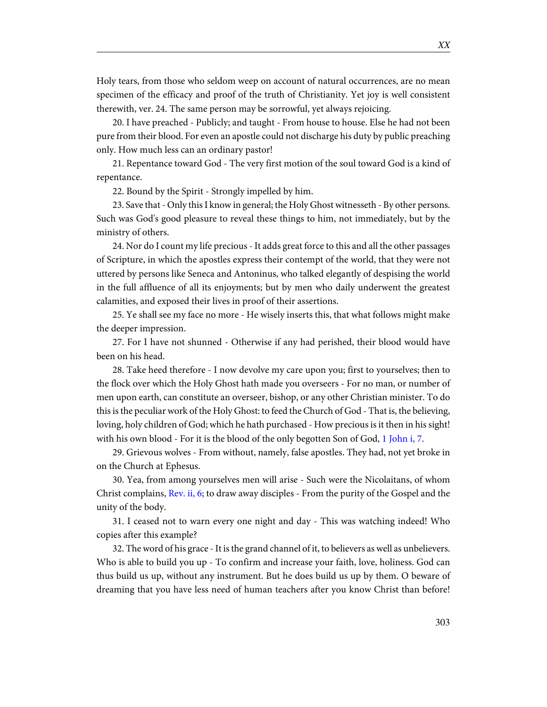Holy tears, from those who seldom weep on account of natural occurrences, are no mean specimen of the efficacy and proof of the truth of Christianity. Yet joy is well consistent therewith, ver. 24. The same person may be sorrowful, yet always rejoicing.

20. I have preached - Publicly; and taught - From house to house. Else he had not been pure from their blood. For even an apostle could not discharge his duty by public preaching only. How much less can an ordinary pastor!

21. Repentance toward God - The very first motion of the soul toward God is a kind of repentance.

22. Bound by the Spirit - Strongly impelled by him.

23. Save that - Only this I know in general; the Holy Ghost witnesseth - By other persons. Such was God's good pleasure to reveal these things to him, not immediately, but by the ministry of others.

24. Nor do I count my life precious - It adds great force to this and all the other passages of Scripture, in which the apostles express their contempt of the world, that they were not uttered by persons like Seneca and Antoninus, who talked elegantly of despising the world in the full affluence of all its enjoyments; but by men who daily underwent the greatest calamities, and exposed their lives in proof of their assertions.

25. Ye shall see my face no more - He wisely inserts this, that what follows might make the deeper impression.

27. For I have not shunned - Otherwise if any had perished, their blood would have been on his head.

28. Take heed therefore - I now devolve my care upon you; first to yourselves; then to the flock over which the Holy Ghost hath made you overseers - For no man, or number of men upon earth, can constitute an overseer, bishop, or any other Christian minister. To do this is the peculiar work of the Holy Ghost: to feed the Church of God - That is, the believing, loving, holy children of God; which he hath purchased - How precious is it then in his sight! with his own blood - For it is the blood of the only begotten Son of God, [1 John i, 7](http://www.ccel.org/study/Bible:1John.1.7).

29. Grievous wolves - From without, namely, false apostles. They had, not yet broke in on the Church at Ephesus.

30. Yea, from among yourselves men will arise - Such were the Nicolaitans, of whom Christ complains, [Rev. ii, 6](http://www.ccel.org/study/Bible:Rev.2.6); to draw away disciples - From the purity of the Gospel and the unity of the body.

31. I ceased not to warn every one night and day - This was watching indeed! Who copies after this example?

32. The word of his grace - It is the grand channel of it, to believers as well as unbelievers. Who is able to build you up - To confirm and increase your faith, love, holiness. God can thus build us up, without any instrument. But he does build us up by them. O beware of dreaming that you have less need of human teachers after you know Christ than before!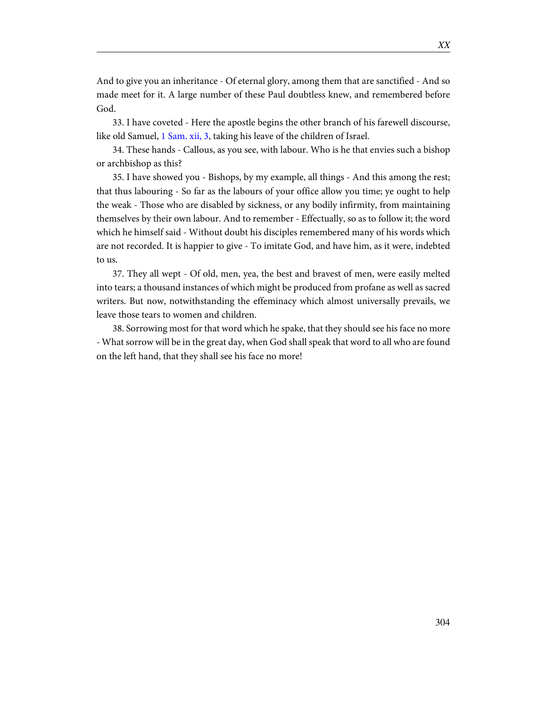And to give you an inheritance - Of eternal glory, among them that are sanctified - And so made meet for it. A large number of these Paul doubtless knew, and remembered before God.

33. I have coveted - Here the apostle begins the other branch of his farewell discourse, like old Samuel, [1 Sam. xii, 3,](http://www.ccel.org/study/Bible:1Sam.12.3) taking his leave of the children of Israel.

34. These hands - Callous, as you see, with labour. Who is he that envies such a bishop or archbishop as this?

35. I have showed you - Bishops, by my example, all things - And this among the rest; that thus labouring - So far as the labours of your office allow you time; ye ought to help the weak - Those who are disabled by sickness, or any bodily infirmity, from maintaining themselves by their own labour. And to remember - Effectually, so as to follow it; the word which he himself said - Without doubt his disciples remembered many of his words which are not recorded. It is happier to give - To imitate God, and have him, as it were, indebted to us.

37. They all wept - Of old, men, yea, the best and bravest of men, were easily melted into tears; a thousand instances of which might be produced from profane as well as sacred writers. But now, notwithstanding the effeminacy which almost universally prevails, we leave those tears to women and children.

38. Sorrowing most for that word which he spake, that they should see his face no more - What sorrow will be in the great day, when God shall speak that word to all who are found on the left hand, that they shall see his face no more!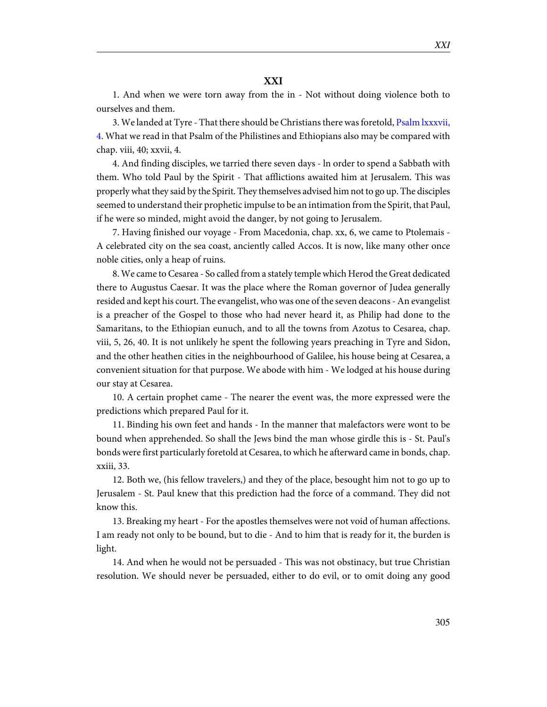# **XXI**

1. And when we were torn away from the in - Not without doing violence both to ourselves and them.

3. We landed at Tyre - That there should be Christians there was foretold, [Psalm lxxxvii,](http://www.ccel.org/study/Bible:Ps.87.4) [4](http://www.ccel.org/study/Bible:Ps.87.4). What we read in that Psalm of the Philistines and Ethiopians also may be compared with chap. viii, 40; xxvii, 4.

4. And finding disciples, we tarried there seven days - ln order to spend a Sabbath with them. Who told Paul by the Spirit - That afflictions awaited him at Jerusalem. This was properly what they said by the Spirit. They themselves advised him not to go up. The disciples seemed to understand their prophetic impulse to be an intimation from the Spirit, that Paul, if he were so minded, might avoid the danger, by not going to Jerusalem.

7. Having finished our voyage - From Macedonia, chap. xx, 6, we came to Ptolemais - A celebrated city on the sea coast, anciently called Accos. It is now, like many other once noble cities, only a heap of ruins.

8. We came to Cesarea - So called from a stately temple which Herod the Great dedicated there to Augustus Caesar. It was the place where the Roman governor of Judea generally resided and kept his court. The evangelist, who was one of the seven deacons - An evangelist is a preacher of the Gospel to those who had never heard it, as Philip had done to the Samaritans, to the Ethiopian eunuch, and to all the towns from Azotus to Cesarea, chap. viii, 5, 26, 40. It is not unlikely he spent the following years preaching in Tyre and Sidon, and the other heathen cities in the neighbourhood of Galilee, his house being at Cesarea, a convenient situation for that purpose. We abode with him - We lodged at his house during our stay at Cesarea.

10. A certain prophet came - The nearer the event was, the more expressed were the predictions which prepared Paul for it.

11. Binding his own feet and hands - In the manner that malefactors were wont to be bound when apprehended. So shall the Jews bind the man whose girdle this is - St. Paul's bonds were first particularly foretold at Cesarea, to which he afterward came in bonds, chap. xxiii, 33.

12. Both we, (his fellow travelers,) and they of the place, besought him not to go up to Jerusalem - St. Paul knew that this prediction had the force of a command. They did not know this.

13. Breaking my heart - For the apostles themselves were not void of human affections. I am ready not only to be bound, but to die - And to him that is ready for it, the burden is light.

14. And when he would not be persuaded - This was not obstinacy, but true Christian resolution. We should never be persuaded, either to do evil, or to omit doing any good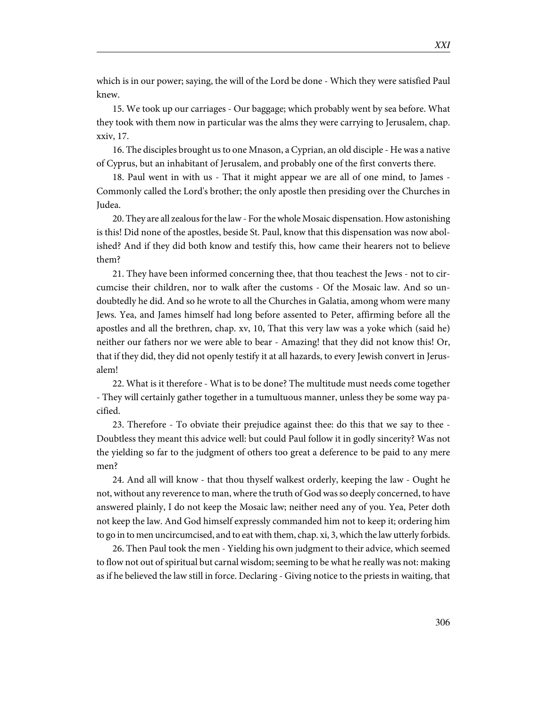which is in our power; saying, the will of the Lord be done - Which they were satisfied Paul knew.

15. We took up our carriages - Our baggage; which probably went by sea before. What they took with them now in particular was the alms they were carrying to Jerusalem, chap. xxiv, 17.

16. The disciples brought us to one Mnason, a Cyprian, an old disciple - He was a native of Cyprus, but an inhabitant of Jerusalem, and probably one of the first converts there.

18. Paul went in with us - That it might appear we are all of one mind, to James - Commonly called the Lord's brother; the only apostle then presiding over the Churches in Judea.

20. They are all zealous for the law - For the whole Mosaic dispensation. How astonishing is this! Did none of the apostles, beside St. Paul, know that this dispensation was now abolished? And if they did both know and testify this, how came their hearers not to believe them?

21. They have been informed concerning thee, that thou teachest the Jews - not to circumcise their children, nor to walk after the customs - Of the Mosaic law. And so undoubtedly he did. And so he wrote to all the Churches in Galatia, among whom were many Jews. Yea, and James himself had long before assented to Peter, affirming before all the apostles and all the brethren, chap. xv, 10, That this very law was a yoke which (said he) neither our fathers nor we were able to bear - Amazing! that they did not know this! Or, that if they did, they did not openly testify it at all hazards, to every Jewish convert in Jerusalem!

22. What is it therefore - What is to be done? The multitude must needs come together - They will certainly gather together in a tumultuous manner, unless they be some way pacified.

23. Therefore - To obviate their prejudice against thee: do this that we say to thee - Doubtless they meant this advice well: but could Paul follow it in godly sincerity? Was not the yielding so far to the judgment of others too great a deference to be paid to any mere men?

24. And all will know - that thou thyself walkest orderly, keeping the law - Ought he not, without any reverence to man, where the truth of God was so deeply concerned, to have answered plainly, I do not keep the Mosaic law; neither need any of you. Yea, Peter doth not keep the law. And God himself expressly commanded him not to keep it; ordering him to go in to men uncircumcised, and to eat with them, chap. xi, 3, which the law utterly forbids.

26. Then Paul took the men - Yielding his own judgment to their advice, which seemed to flow not out of spiritual but carnal wisdom; seeming to be what he really was not: making as if he believed the law still in force. Declaring - Giving notice to the priests in waiting, that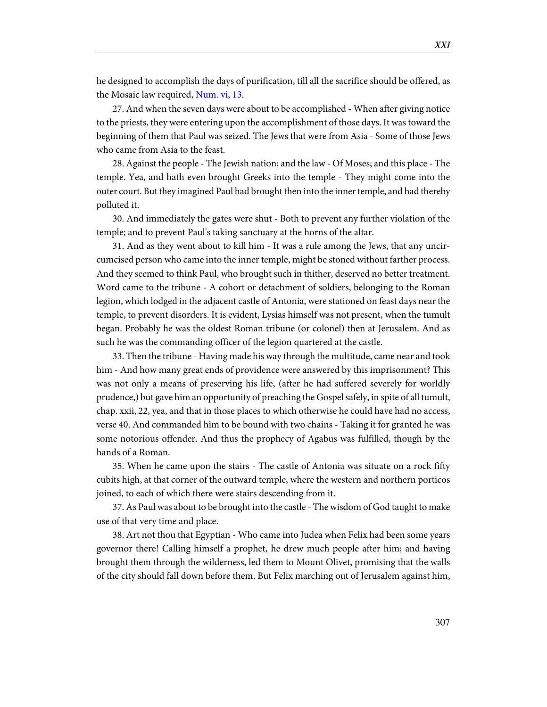he designed to accomplish the days of purification, till all the sacrifice should be offered, as the Mosaic law required, [Num. vi, 13.](http://www.ccel.org/study/Bible:Num.6.13)

27. And when the seven days were about to be accomplished - When after giving notice to the priests, they were entering upon the accomplishment of those days. It was toward the beginning of them that Paul was seized. The Jews that were from Asia - Some of those Jews who came from Asia to the feast.

28. Against the people - The Jewish nation; and the law - Of Moses; and this place - The temple. Yea, and hath even brought Greeks into the temple - They might come into the outer court. But they imagined Paul had brought then into the inner temple, and had thereby polluted it.

30. And immediately the gates were shut - Both to prevent any further violation of the temple; and to prevent Paul's taking sanctuary at the horns of the altar.

31. And as they went about to kill him - It was a rule among the Jews, that any uncircumcised person who came into the inner temple, might be stoned without farther process. And they seemed to think Paul, who brought such in thither, deserved no better treatment. Word came to the tribune - A cohort or detachment of soldiers, belonging to the Roman legion, which lodged in the adjacent castle of Antonia, were stationed on feast days near the temple, to prevent disorders. It is evident, Lysias himself was not present, when the tumult began. Probably he was the oldest Roman tribune (or colonel) then at Jerusalem. And as such he was the commanding officer of the legion quartered at the castle.

33. Then the tribune - Having made his way through the multitude, came near and took him - And how many great ends of providence were answered by this imprisonment? This was not only a means of preserving his life, (after he had suffered severely for worldly prudence,) but gave him an opportunity of preaching the Gospel safely, in spite of all tumult, chap. xxii, 22, yea, and that in those places to which otherwise he could have had no access, verse 40. And commanded him to be bound with two chains - Taking it for granted he was some notorious offender. And thus the prophecy of Agabus was fulfilled, though by the hands of a Roman.

35. When he came upon the stairs - The castle of Antonia was situate on a rock fifty cubits high, at that corner of the outward temple, where the western and northern porticos joined, to each of which there were stairs descending from it.

37. As Paul was about to be brought into the castle - The wisdom of God taught to make use of that very time and place.

38. Art not thou that Egyptian - Who came into Judea when Felix had been some years governor there! Calling himself a prophet, he drew much people after him; and having brought them through the wilderness, led them to Mount Olivet, promising that the walls of the city should fall down before them. But Felix marching out of Jerusalem against him,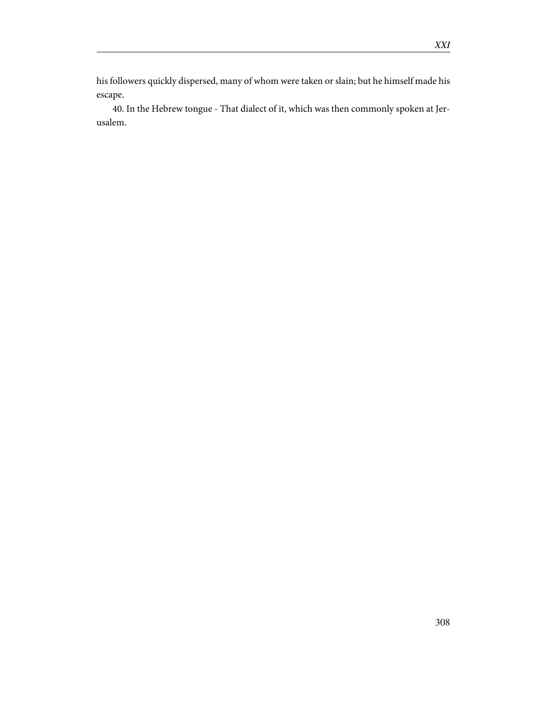his followers quickly dispersed, many of whom were taken or slain; but he himself made his escape.

40. In the Hebrew tongue - That dialect of it, which was then commonly spoken at Jerusalem.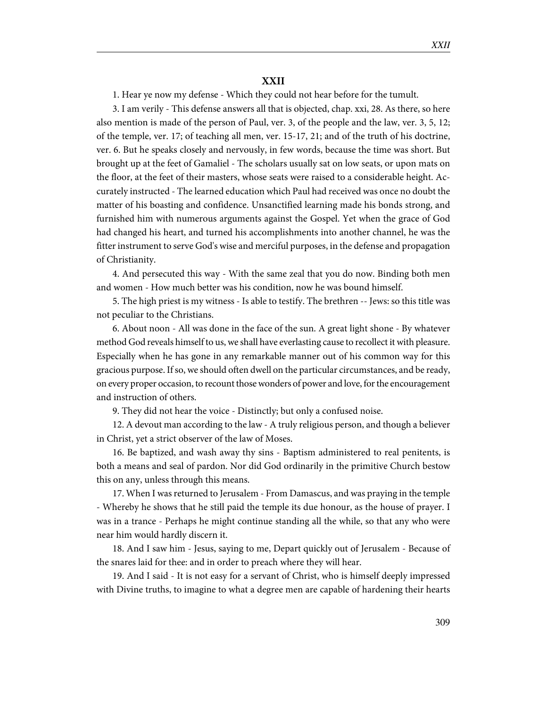#### **XXII**

1. Hear ye now my defense - Which they could not hear before for the tumult.

3. I am verily - This defense answers all that is objected, chap. xxi, 28. As there, so here also mention is made of the person of Paul, ver. 3, of the people and the law, ver. 3, 5, 12; of the temple, ver. 17; of teaching all men, ver. 15-17, 21; and of the truth of his doctrine, ver. 6. But he speaks closely and nervously, in few words, because the time was short. But brought up at the feet of Gamaliel - The scholars usually sat on low seats, or upon mats on the floor, at the feet of their masters, whose seats were raised to a considerable height. Accurately instructed - The learned education which Paul had received was once no doubt the matter of his boasting and confidence. Unsanctified learning made his bonds strong, and furnished him with numerous arguments against the Gospel. Yet when the grace of God had changed his heart, and turned his accomplishments into another channel, he was the fitter instrument to serve God's wise and merciful purposes, in the defense and propagation of Christianity.

4. And persecuted this way - With the same zeal that you do now. Binding both men and women - How much better was his condition, now he was bound himself.

5. The high priest is my witness - Is able to testify. The brethren -- Jews: so this title was not peculiar to the Christians.

6. About noon - All was done in the face of the sun. A great light shone - By whatever method God reveals himself to us, we shall have everlasting cause to recollect it with pleasure. Especially when he has gone in any remarkable manner out of his common way for this gracious purpose. If so, we should often dwell on the particular circumstances, and be ready, on every proper occasion, to recount those wonders of power and love, for the encouragement and instruction of others.

9. They did not hear the voice - Distinctly; but only a confused noise.

12. A devout man according to the law - A truly religious person, and though a believer in Christ, yet a strict observer of the law of Moses.

16. Be baptized, and wash away thy sins - Baptism administered to real penitents, is both a means and seal of pardon. Nor did God ordinarily in the primitive Church bestow this on any, unless through this means.

17. When I was returned to Jerusalem - From Damascus, and was praying in the temple - Whereby he shows that he still paid the temple its due honour, as the house of prayer. I was in a trance - Perhaps he might continue standing all the while, so that any who were near him would hardly discern it.

18. And I saw him - Jesus, saying to me, Depart quickly out of Jerusalem - Because of the snares laid for thee: and in order to preach where they will hear.

19. And I said - It is not easy for a servant of Christ, who is himself deeply impressed with Divine truths, to imagine to what a degree men are capable of hardening their hearts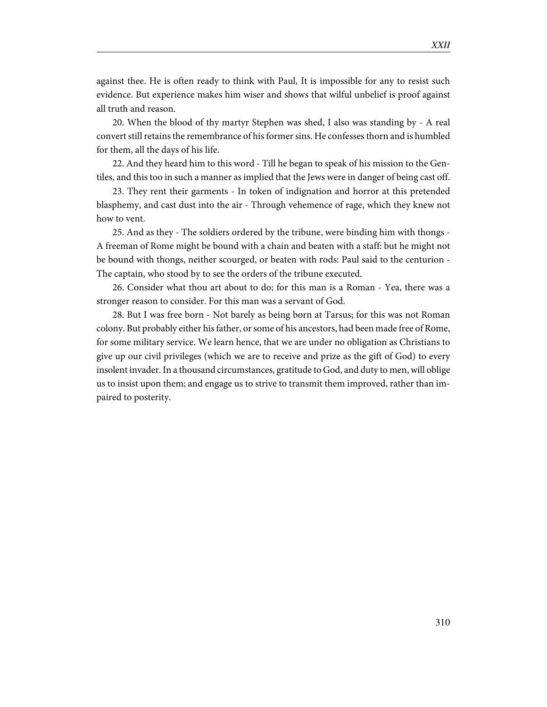*XXII*

against thee. He is often ready to think with Paul, It is impossible for any to resist such evidence. But experience makes him wiser and shows that wilful unbelief is proof against all truth and reason.

20. When the blood of thy martyr Stephen was shed, I also was standing by - A real convert still retains the remembrance of his former sins. He confesses thorn and is humbled for them, all the days of his life.

22. And they heard him to this word - Till he began to speak of his mission to the Gentiles, and this too in such a manner as implied that the Jews were in danger of being cast off.

23. They rent their garments - In token of indignation and horror at this pretended blasphemy, and cast dust into the air - Through vehemence of rage, which they knew not how to vent.

25. And as they - The soldiers ordered by the tribune, were binding him with thongs - A freeman of Rome might be bound with a chain and beaten with a staff: but he might not be bound with thongs, neither scourged, or beaten with rods: Paul said to the centurion - The captain, who stood by to see the orders of the tribune executed.

26. Consider what thou art about to do; for this man is a Roman - Yea, there was a stronger reason to consider. For this man was a servant of God.

28. But I was free born - Not barely as being born at Tarsus; for this was not Roman colony. But probably either his father, or some of his ancestors, had been made free of Rome, for some military service. We learn hence, that we are under no obligation as Christians to give up our civil privileges (which we are to receive and prize as the gift of God) to every insolent invader. In a thousand circumstances, gratitude to God, and duty to men, will oblige us to insist upon them; and engage us to strive to transmit them improved, rather than impaired to posterity.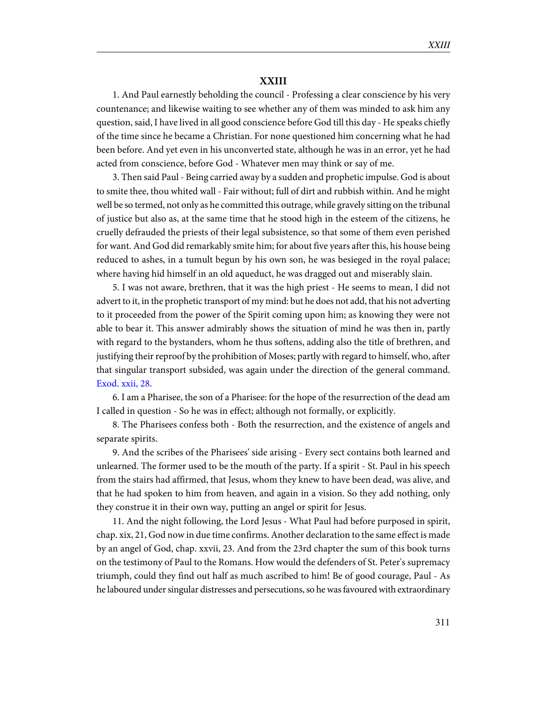#### **XXIII**

1. And Paul earnestly beholding the council - Professing a clear conscience by his very countenance; and likewise waiting to see whether any of them was minded to ask him any question, said, I have lived in all good conscience before God till this day - He speaks chiefly of the time since he became a Christian. For none questioned him concerning what he had been before. And yet even in his unconverted state, although he was in an error, yet he had acted from conscience, before God - Whatever men may think or say of me.

3. Then said Paul - Being carried away by a sudden and prophetic impulse. God is about to smite thee, thou whited wall - Fair without; full of dirt and rubbish within. And he might well be so termed, not only as he committed this outrage, while gravely sitting on the tribunal of justice but also as, at the same time that he stood high in the esteem of the citizens, he cruelly defrauded the priests of their legal subsistence, so that some of them even perished for want. And God did remarkably smite him; for about five years after this, his house being reduced to ashes, in a tumult begun by his own son, he was besieged in the royal palace; where having hid himself in an old aqueduct, he was dragged out and miserably slain.

5. I was not aware, brethren, that it was the high priest - He seems to mean, I did not advert to it, in the prophetic transport of my mind: but he does not add, that his not adverting to it proceeded from the power of the Spirit coming upon him; as knowing they were not able to bear it. This answer admirably shows the situation of mind he was then in, partly with regard to the bystanders, whom he thus softens, adding also the title of brethren, and justifying their reproof by the prohibition of Moses; partly with regard to himself, who, after that singular transport subsided, was again under the direction of the general command. [Exod. xxii, 28.](http://www.ccel.org/study/Bible:Exod.22.28)

6. I am a Pharisee, the son of a Pharisee: for the hope of the resurrection of the dead am I called in question - So he was in effect; although not formally, or explicitly.

8. The Pharisees confess both - Both the resurrection, and the existence of angels and separate spirits.

9. And the scribes of the Pharisees' side arising - Every sect contains both learned and unlearned. The former used to be the mouth of the party. If a spirit - St. Paul in his speech from the stairs had affirmed, that Jesus, whom they knew to have been dead, was alive, and that he had spoken to him from heaven, and again in a vision. So they add nothing, only they construe it in their own way, putting an angel or spirit for Jesus.

11. And the night following, the Lord Jesus - What Paul had before purposed in spirit, chap. xix, 21, God now in due time confirms. Another declaration to the same effect is made by an angel of God, chap. xxvii, 23. And from the 23rd chapter the sum of this book turns on the testimony of Paul to the Romans. How would the defenders of St. Peter's supremacy triumph, could they find out half as much ascribed to him! Be of good courage, Paul - As he laboured under singular distresses and persecutions, so he was favoured with extraordinary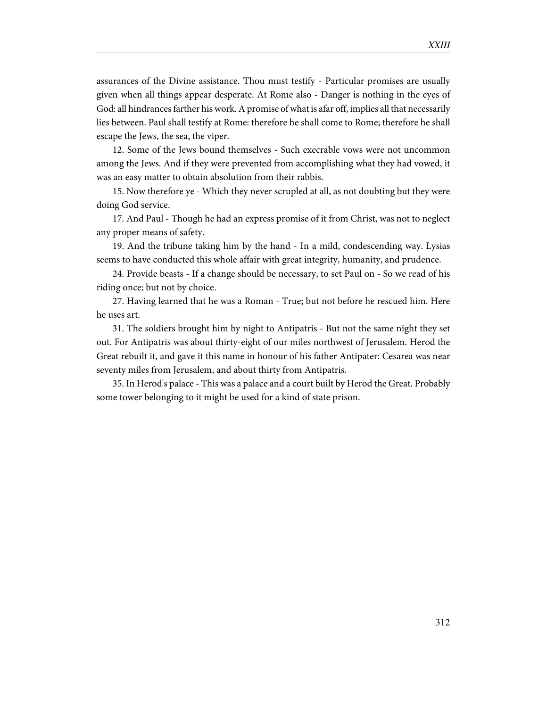assurances of the Divine assistance. Thou must testify - Particular promises are usually given when all things appear desperate. At Rome also - Danger is nothing in the eyes of God: all hindrances farther his work. A promise of what is afar off, implies all that necessarily lies between. Paul shall testify at Rome: therefore he shall come to Rome; therefore he shall escape the Jews, the sea, the viper.

12. Some of the Jews bound themselves - Such execrable vows were not uncommon among the Jews. And if they were prevented from accomplishing what they had vowed, it was an easy matter to obtain absolution from their rabbis.

15. Now therefore ye - Which they never scrupled at all, as not doubting but they were doing God service.

17. And Paul - Though he had an express promise of it from Christ, was not to neglect any proper means of safety.

19. And the tribune taking him by the hand - In a mild, condescending way. Lysias seems to have conducted this whole affair with great integrity, humanity, and prudence.

24. Provide beasts - If a change should be necessary, to set Paul on - So we read of his riding once; but not by choice.

27. Having learned that he was a Roman - True; but not before he rescued him. Here he uses art.

31. The soldiers brought him by night to Antipatris - But not the same night they set out. For Antipatris was about thirty-eight of our miles northwest of Jerusalem. Herod the Great rebuilt it, and gave it this name in honour of his father Antipater: Cesarea was near seventy miles from Jerusalem, and about thirty from Antipatris.

35. In Herod's palace - This was a palace and a court built by Herod the Great. Probably some tower belonging to it might be used for a kind of state prison.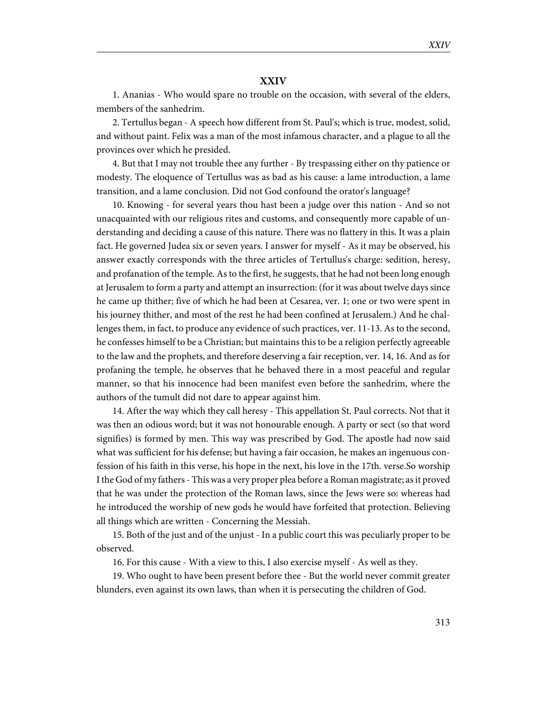## **XXIV**

1. Ananias - Who would spare no trouble on the occasion, with several of the elders, members of the sanhedrim.

2. Tertullus began - A speech how different from St. Paul's; which is true, modest, solid, and without paint. Felix was a man of the most infamous character, and a plague to all the provinces over which he presided.

4. But that I may not trouble thee any further - By trespassing either on thy patience or modesty. The eloquence of Tertullus was as bad as his cause: a lame introduction, a lame transition, and a lame conclusion. Did not God confound the orator's language?

10. Knowing - for several years thou hast been a judge over this nation - And so not unacquainted with our religious rites and customs, and consequently more capable of understanding and deciding a cause of this nature. There was no flattery in this. It was a plain fact. He governed Judea six or seven years. I answer for myself - As it may be observed, his answer exactly corresponds with the three articles of Tertullus's charge: sedition, heresy, and profanation of the temple. As to the first, he suggests, that he had not been long enough at Jerusalem to form a party and attempt an insurrection: (for it was about twelve days since he came up thither; five of which he had been at Cesarea, ver. 1; one or two were spent in his journey thither, and most of the rest he had been confined at Jerusalem.) And he challenges them, in fact, to produce any evidence of such practices, ver. 11-13. As to the second, he confesses himself to be a Christian; but maintains this to be a religion perfectly agreeable to the law and the prophets, and therefore deserving a fair reception, ver. 14, 16. And as for profaning the temple, he observes that he behaved there in a most peaceful and regular manner, so that his innocence had been manifest even before the sanhedrim, where the authors of the tumult did not dare to appear against him.

14. After the way which they call heresy - This appellation St. Paul corrects. Not that it was then an odious word; but it was not honourable enough. A party or sect (so that word signifies) is formed by men. This way was prescribed by God. The apostle had now said what was sufficient for his defense; but having a fair occasion, he makes an ingenuous confession of his faith in this verse, his hope in the next, his love in the 17th. verse.So worship I the God of my fathers - This was a very proper plea before a Roman magistrate; as it proved that he was under the protection of the Roman laws, since the Jews were so: whereas had he introduced the worship of new gods he would have forfeited that protection. Believing all things which are written - Concerning the Messiah.

15. Both of the just and of the unjust - In a public court this was peculiarly proper to be observed.

16. For this cause - With a view to this, I also exercise myself - As well as they.

19. Who ought to have been present before thee - But the world never commit greater blunders, even against its own laws, than when it is persecuting the children of God.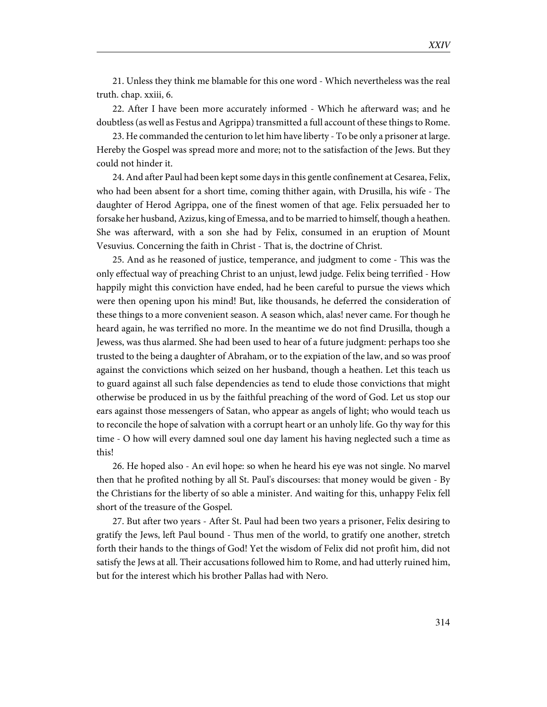21. Unless they think me blamable for this one word - Which nevertheless was the real truth. chap. xxiii, 6.

22. After I have been more accurately informed - Which he afterward was; and he doubtless (as well as Festus and Agrippa) transmitted a full account of these things to Rome.

23. He commanded the centurion to let him have liberty - To be only a prisoner at large. Hereby the Gospel was spread more and more; not to the satisfaction of the Jews. But they could not hinder it.

24. And after Paul had been kept some days in this gentle confinement at Cesarea, Felix, who had been absent for a short time, coming thither again, with Drusilla, his wife - The daughter of Herod Agrippa, one of the finest women of that age. Felix persuaded her to forsake her husband, Azizus, king of Emessa, and to be married to himself, though a heathen. She was afterward, with a son she had by Felix, consumed in an eruption of Mount Vesuvius. Concerning the faith in Christ - That is, the doctrine of Christ.

25. And as he reasoned of justice, temperance, and judgment to come - This was the only effectual way of preaching Christ to an unjust, lewd judge. Felix being terrified - How happily might this conviction have ended, had he been careful to pursue the views which were then opening upon his mind! But, like thousands, he deferred the consideration of these things to a more convenient season. A season which, alas! never came. For though he heard again, he was terrified no more. In the meantime we do not find Drusilla, though a Jewess, was thus alarmed. She had been used to hear of a future judgment: perhaps too she trusted to the being a daughter of Abraham, or to the expiation of the law, and so was proof against the convictions which seized on her husband, though a heathen. Let this teach us to guard against all such false dependencies as tend to elude those convictions that might otherwise be produced in us by the faithful preaching of the word of God. Let us stop our ears against those messengers of Satan, who appear as angels of light; who would teach us to reconcile the hope of salvation with a corrupt heart or an unholy life. Go thy way for this time - O how will every damned soul one day lament his having neglected such a time as this!

26. He hoped also - An evil hope: so when he heard his eye was not single. No marvel then that he profited nothing by all St. Paul's discourses: that money would be given - By the Christians for the liberty of so able a minister. And waiting for this, unhappy Felix fell short of the treasure of the Gospel.

27. But after two years - After St. Paul had been two years a prisoner, Felix desiring to gratify the Jews, left Paul bound - Thus men of the world, to gratify one another, stretch forth their hands to the things of God! Yet the wisdom of Felix did not profit him, did not satisfy the Jews at all. Their accusations followed him to Rome, and had utterly ruined him, but for the interest which his brother Pallas had with Nero.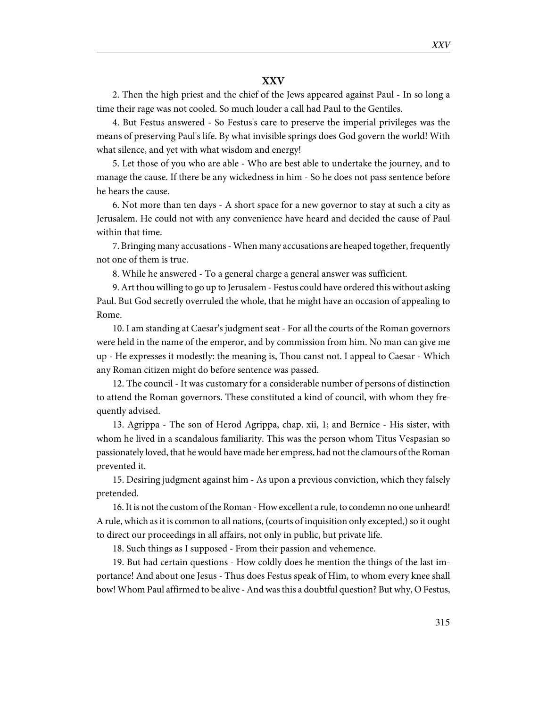## **XXV**

2. Then the high priest and the chief of the Jews appeared against Paul - In so long a time their rage was not cooled. So much louder a call had Paul to the Gentiles.

4. But Festus answered - So Festus's care to preserve the imperial privileges was the means of preserving Paul's life. By what invisible springs does God govern the world! With what silence, and yet with what wisdom and energy!

5. Let those of you who are able - Who are best able to undertake the journey, and to manage the cause. If there be any wickedness in him - So he does not pass sentence before he hears the cause.

6. Not more than ten days - A short space for a new governor to stay at such a city as Jerusalem. He could not with any convenience have heard and decided the cause of Paul within that time.

7. Bringing many accusations - When many accusations are heaped together, frequently not one of them is true.

8. While he answered - To a general charge a general answer was sufficient.

9. Art thou willing to go up to Jerusalem - Festus could have ordered this without asking Paul. But God secretly overruled the whole, that he might have an occasion of appealing to Rome.

10. I am standing at Caesar's judgment seat - For all the courts of the Roman governors were held in the name of the emperor, and by commission from him. No man can give me up - He expresses it modestly: the meaning is, Thou canst not. I appeal to Caesar - Which any Roman citizen might do before sentence was passed.

12. The council - It was customary for a considerable number of persons of distinction to attend the Roman governors. These constituted a kind of council, with whom they frequently advised.

13. Agrippa - The son of Herod Agrippa, chap. xii, 1; and Bernice - His sister, with whom he lived in a scandalous familiarity. This was the person whom Titus Vespasian so passionately loved, that he would have made her empress, had not the clamours of the Roman prevented it.

15. Desiring judgment against him - As upon a previous conviction, which they falsely pretended.

16. It is not the custom of the Roman - How excellent a rule, to condemn no one unheard! A rule, which as it is common to all nations, (courts of inquisition only excepted,) so it ought to direct our proceedings in all affairs, not only in public, but private life.

18. Such things as I supposed - From their passion and vehemence.

19. But had certain questions - How coldly does he mention the things of the last importance! And about one Jesus - Thus does Festus speak of Him, to whom every knee shall bow! Whom Paul affirmed to be alive - And was this a doubtful question? But why, O Festus,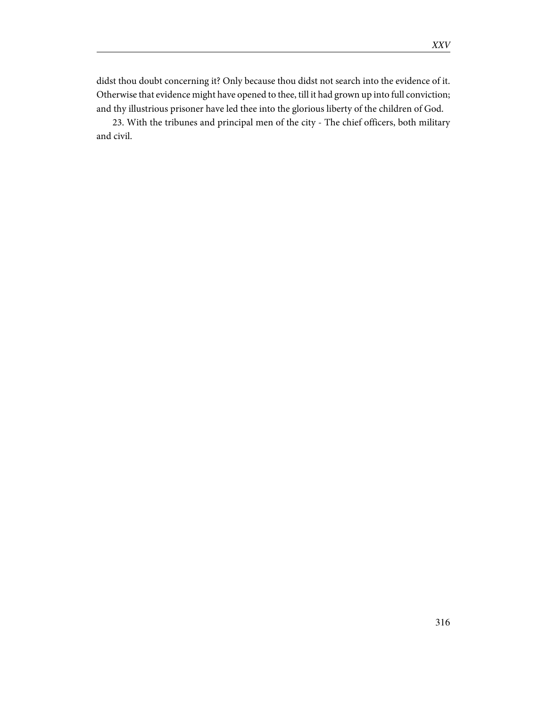didst thou doubt concerning it? Only because thou didst not search into the evidence of it. Otherwise that evidence might have opened to thee, till it had grown up into full conviction; and thy illustrious prisoner have led thee into the glorious liberty of the children of God.

23. With the tribunes and principal men of the city - The chief officers, both military and civil.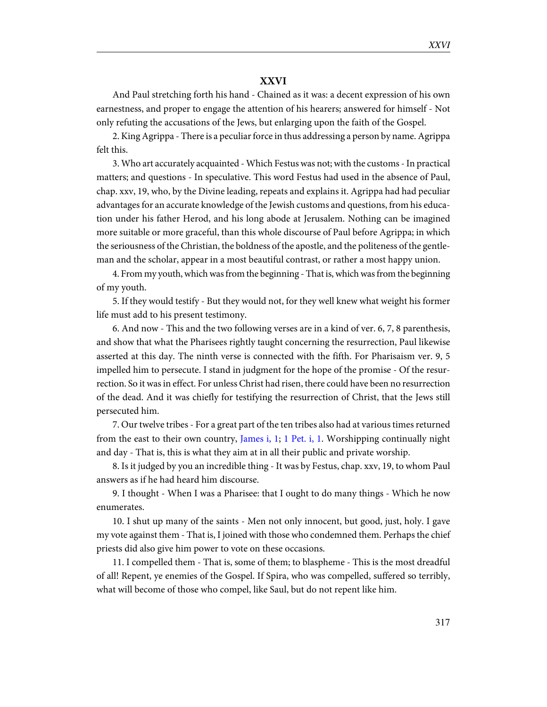And Paul stretching forth his hand - Chained as it was: a decent expression of his own earnestness, and proper to engage the attention of his hearers; answered for himself - Not only refuting the accusations of the Jews, but enlarging upon the faith of the Gospel.

2. King Agrippa - There is a peculiar force in thus addressing a person by name. Agrippa felt this.

3. Who art accurately acquainted - Which Festus was not; with the customs - In practical matters; and questions - In speculative. This word Festus had used in the absence of Paul, chap. xxv, 19, who, by the Divine leading, repeats and explains it. Agrippa had had peculiar advantages for an accurate knowledge of the Jewish customs and questions, from his education under his father Herod, and his long abode at Jerusalem. Nothing can be imagined more suitable or more graceful, than this whole discourse of Paul before Agrippa; in which the seriousness of the Christian, the boldness of the apostle, and the politeness of the gentleman and the scholar, appear in a most beautiful contrast, or rather a most happy union.

4. From my youth, which was from the beginning - That is, which was from the beginning of my youth.

5. If they would testify - But they would not, for they well knew what weight his former life must add to his present testimony.

6. And now - This and the two following verses are in a kind of ver. 6, 7, 8 parenthesis, and show that what the Pharisees rightly taught concerning the resurrection, Paul likewise asserted at this day. The ninth verse is connected with the fifth. For Pharisaism ver. 9, 5 impelled him to persecute. I stand in judgment for the hope of the promise - Of the resurrection. So it was in effect. For unless Christ had risen, there could have been no resurrection of the dead. And it was chiefly for testifying the resurrection of Christ, that the Jews still persecuted him.

7. Our twelve tribes - For a great part of the ten tribes also had at various times returned from the east to their own country, [James i, 1](http://www.ccel.org/study/Bible:Jas.1.1); [1 Pet. i, 1.](http://www.ccel.org/study/Bible:1Pet.1.1) Worshipping continually night and day - That is, this is what they aim at in all their public and private worship.

8. Is it judged by you an incredible thing - It was by Festus, chap. xxv, 19, to whom Paul answers as if he had heard him discourse.

9. I thought - When I was a Pharisee: that I ought to do many things - Which he now enumerates.

10. I shut up many of the saints - Men not only innocent, but good, just, holy. I gave my vote against them - That is, I joined with those who condemned them. Perhaps the chief priests did also give him power to vote on these occasions.

11. I compelled them - That is, some of them; to blaspheme - This is the most dreadful of all! Repent, ye enemies of the Gospel. If Spira, who was compelled, suffered so terribly, what will become of those who compel, like Saul, but do not repent like him.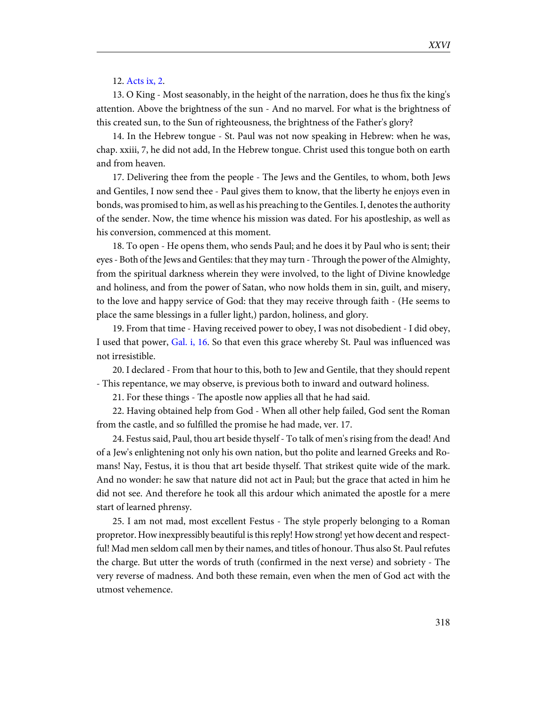13. O King - Most seasonably, in the height of the narration, does he thus fix the king's attention. Above the brightness of the sun - And no marvel. For what is the brightness of this created sun, to the Sun of righteousness, the brightness of the Father's glory?

14. In the Hebrew tongue - St. Paul was not now speaking in Hebrew: when he was, chap. xxiii, 7, he did not add, In the Hebrew tongue. Christ used this tongue both on earth and from heaven.

17. Delivering thee from the people - The Jews and the Gentiles, to whom, both Jews and Gentiles, I now send thee - Paul gives them to know, that the liberty he enjoys even in bonds, was promised to him, as well as his preaching to the Gentiles. I, denotes the authority of the sender. Now, the time whence his mission was dated. For his apostleship, as well as his conversion, commenced at this moment.

18. To open - He opens them, who sends Paul; and he does it by Paul who is sent; their eyes - Both of the Jews and Gentiles: that they may turn - Through the power of the Almighty, from the spiritual darkness wherein they were involved, to the light of Divine knowledge and holiness, and from the power of Satan, who now holds them in sin, guilt, and misery, to the love and happy service of God: that they may receive through faith - (He seems to place the same blessings in a fuller light,) pardon, holiness, and glory.

19. From that time - Having received power to obey, I was not disobedient - I did obey, I used that power, [Gal. i, 16.](http://www.ccel.org/study/Bible:Gal.1.16) So that even this grace whereby St. Paul was influenced was not irresistible.

20. I declared - From that hour to this, both to Jew and Gentile, that they should repent - This repentance, we may observe, is previous both to inward and outward holiness.

21. For these things - The apostle now applies all that he had said.

22. Having obtained help from God - When all other help failed, God sent the Roman from the castle, and so fulfilled the promise he had made, ver. 17.

24. Festus said, Paul, thou art beside thyself - To talk of men's rising from the dead! And of a Jew's enlightening not only his own nation, but tho polite and learned Greeks and Romans! Nay, Festus, it is thou that art beside thyself. That strikest quite wide of the mark. And no wonder: he saw that nature did not act in Paul; but the grace that acted in him he did not see. And therefore he took all this ardour which animated the apostle for a mere start of learned phrensy.

25. I am not mad, most excellent Festus - The style properly belonging to a Roman propretor. How inexpressibly beautiful is this reply! How strong! yet how decent and respectful! Mad men seldom call men by their names, and titles of honour. Thus also St. Paul refutes the charge. But utter the words of truth (confirmed in the next verse) and sobriety - The very reverse of madness. And both these remain, even when the men of God act with the utmost vehemence.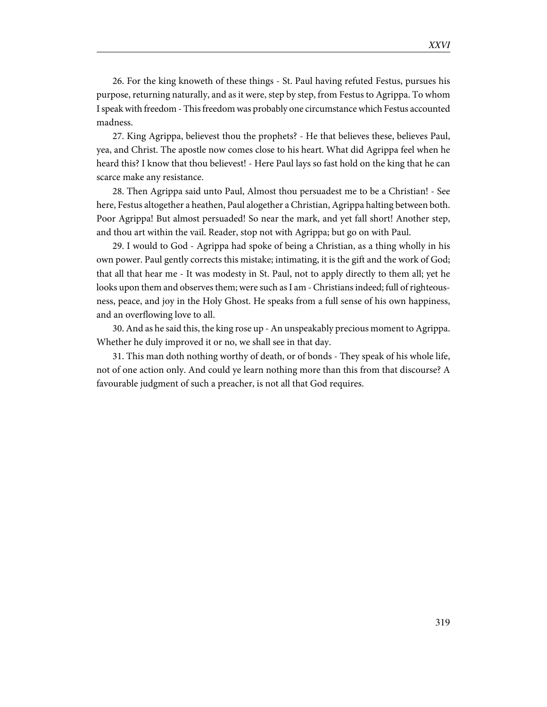27. King Agrippa, believest thou the prophets? - He that believes these, believes Paul, yea, and Christ. The apostle now comes close to his heart. What did Agrippa feel when he heard this? I know that thou believest! - Here Paul lays so fast hold on the king that he can scarce make any resistance.

28. Then Agrippa said unto Paul, Almost thou persuadest me to be a Christian! - See here, Festus altogether a heathen, Paul alogether a Christian, Agrippa halting between both. Poor Agrippa! But almost persuaded! So near the mark, and yet fall short! Another step, and thou art within the vail. Reader, stop not with Agrippa; but go on with Paul.

29. I would to God - Agrippa had spoke of being a Christian, as a thing wholly in his own power. Paul gently corrects this mistake; intimating, it is the gift and the work of God; that all that hear me - It was modesty in St. Paul, not to apply directly to them all; yet he looks upon them and observes them; were such as I am - Christians indeed; full of righteousness, peace, and joy in the Holy Ghost. He speaks from a full sense of his own happiness, and an overflowing love to all.

30. And as he said this, the king rose up - An unspeakably precious moment to Agrippa. Whether he duly improved it or no, we shall see in that day.

31. This man doth nothing worthy of death, or of bonds - They speak of his whole life, not of one action only. And could ye learn nothing more than this from that discourse? A favourable judgment of such a preacher, is not all that God requires.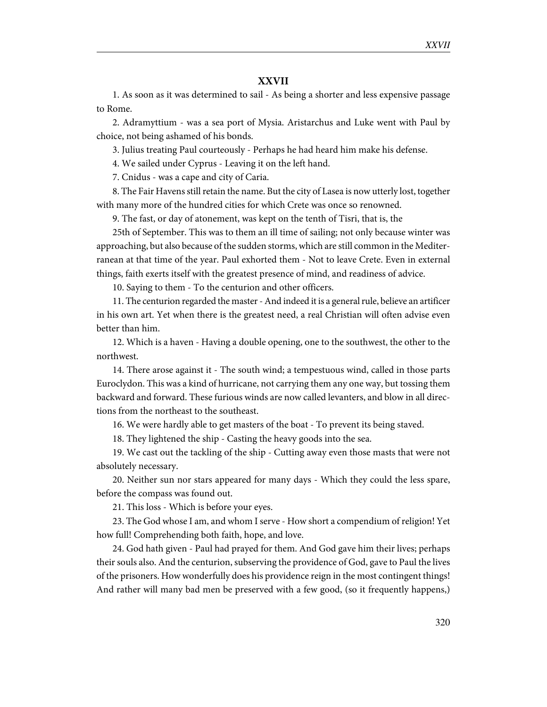## **XXVII**

1. As soon as it was determined to sail - As being a shorter and less expensive passage to Rome.

2. Adramyttium - was a sea port of Mysia. Aristarchus and Luke went with Paul by choice, not being ashamed of his bonds.

3. Julius treating Paul courteously - Perhaps he had heard him make his defense.

4. We sailed under Cyprus - Leaving it on the left hand.

7. Cnidus - was a cape and city of Caria.

8. The Fair Havens still retain the name. But the city of Lasea is now utterly lost, together with many more of the hundred cities for which Crete was once so renowned.

9. The fast, or day of atonement, was kept on the tenth of Tisri, that is, the

25th of September. This was to them an ill time of sailing; not only because winter was approaching, but also because of the sudden storms, which are still common in the Mediterranean at that time of the year. Paul exhorted them - Not to leave Crete. Even in external things, faith exerts itself with the greatest presence of mind, and readiness of advice.

10. Saying to them - To the centurion and other officers.

11. The centurion regarded the master - And indeed it is a general rule, believe an artificer in his own art. Yet when there is the greatest need, a real Christian will often advise even better than him.

12. Which is a haven - Having a double opening, one to the southwest, the other to the northwest.

14. There arose against it - The south wind; a tempestuous wind, called in those parts Euroclydon. This was a kind of hurricane, not carrying them any one way, but tossing them backward and forward. These furious winds are now called levanters, and blow in all directions from the northeast to the southeast.

16. We were hardly able to get masters of the boat - To prevent its being staved.

18. They lightened the ship - Casting the heavy goods into the sea.

19. We cast out the tackling of the ship - Cutting away even those masts that were not absolutely necessary.

20. Neither sun nor stars appeared for many days - Which they could the less spare, before the compass was found out.

21. This loss - Which is before your eyes.

23. The God whose I am, and whom I serve - How short a compendium of religion! Yet how full! Comprehending both faith, hope, and love.

24. God hath given - Paul had prayed for them. And God gave him their lives; perhaps their souls also. And the centurion, subserving the providence of God, gave to Paul the lives of the prisoners. How wonderfully does his providence reign in the most contingent things! And rather will many bad men be preserved with a few good, (so it frequently happens,)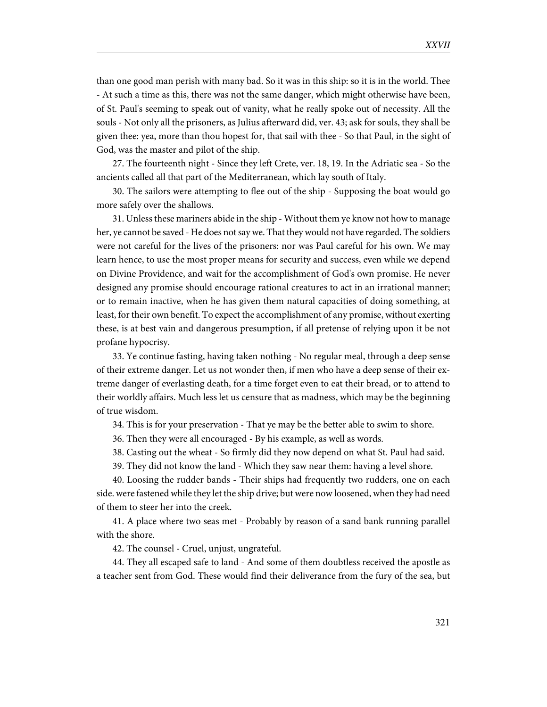than one good man perish with many bad. So it was in this ship: so it is in the world. Thee - At such a time as this, there was not the same danger, which might otherwise have been, of St. Paul's seeming to speak out of vanity, what he really spoke out of necessity. All the souls - Not only all the prisoners, as Julius afterward did, ver. 43; ask for souls, they shall be given thee: yea, more than thou hopest for, that sail with thee - So that Paul, in the sight of God, was the master and pilot of the ship.

27. The fourteenth night - Since they left Crete, ver. 18, 19. In the Adriatic sea - So the ancients called all that part of the Mediterranean, which lay south of Italy.

30. The sailors were attempting to flee out of the ship - Supposing the boat would go more safely over the shallows.

31. Unless these mariners abide in the ship - Without them ye know not how to manage her, ye cannot be saved - He does not say we. That they would not have regarded. The soldiers were not careful for the lives of the prisoners: nor was Paul careful for his own. We may learn hence, to use the most proper means for security and success, even while we depend on Divine Providence, and wait for the accomplishment of God's own promise. He never designed any promise should encourage rational creatures to act in an irrational manner; or to remain inactive, when he has given them natural capacities of doing something, at least, for their own benefit. To expect the accomplishment of any promise, without exerting these, is at best vain and dangerous presumption, if all pretense of relying upon it be not profane hypocrisy.

33. Ye continue fasting, having taken nothing - No regular meal, through a deep sense of their extreme danger. Let us not wonder then, if men who have a deep sense of their extreme danger of everlasting death, for a time forget even to eat their bread, or to attend to their worldly affairs. Much less let us censure that as madness, which may be the beginning of true wisdom.

34. This is for your preservation - That ye may be the better able to swim to shore.

36. Then they were all encouraged - By his example, as well as words.

38. Casting out the wheat - So firmly did they now depend on what St. Paul had said.

39. They did not know the land - Which they saw near them: having a level shore.

40. Loosing the rudder bands - Their ships had frequently two rudders, one on each side. were fastened while they let the ship drive; but were now loosened, when they had need of them to steer her into the creek.

41. A place where two seas met - Probably by reason of a sand bank running parallel with the shore.

42. The counsel - Cruel, unjust, ungrateful.

44. They all escaped safe to land - And some of them doubtless received the apostle as a teacher sent from God. These would find their deliverance from the fury of the sea, but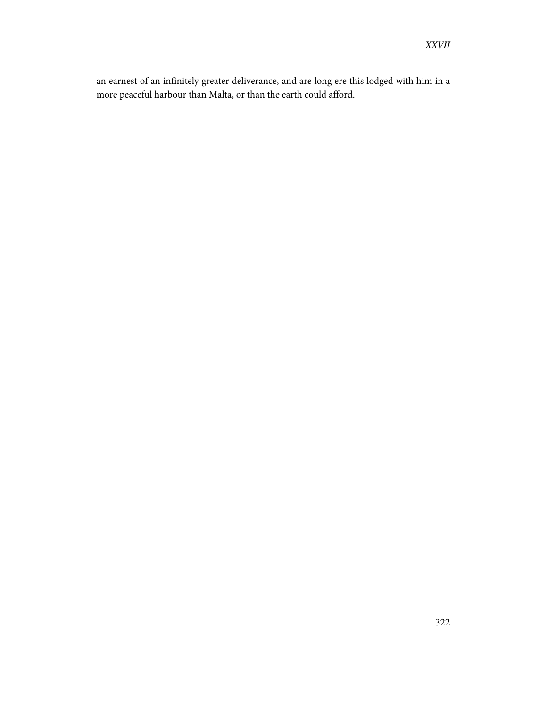an earnest of an infinitely greater deliverance, and are long ere this lodged with him in a more peaceful harbour than Malta, or than the earth could afford.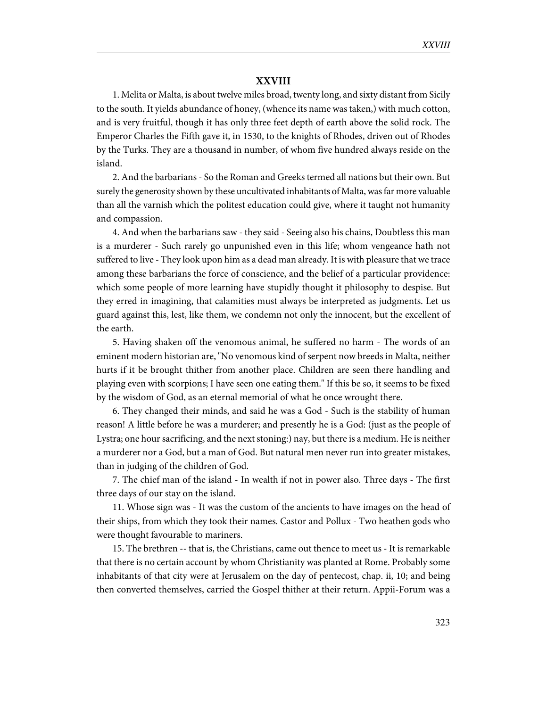## **XXVIII**

1. Melita or Malta, is about twelve miles broad, twenty long, and sixty distant from Sicily to the south. It yields abundance of honey, (whence its name was taken,) with much cotton, and is very fruitful, though it has only three feet depth of earth above the solid rock. The Emperor Charles the Fifth gave it, in 1530, to the knights of Rhodes, driven out of Rhodes by the Turks. They are a thousand in number, of whom five hundred always reside on the island.

2. And the barbarians - So the Roman and Greeks termed all nations but their own. But surely the generosity shown by these uncultivated inhabitants of Malta, was far more valuable than all the varnish which the politest education could give, where it taught not humanity and compassion.

4. And when the barbarians saw - they said - Seeing also his chains, Doubtless this man is a murderer - Such rarely go unpunished even in this life; whom vengeance hath not suffered to live - They look upon him as a dead man already. It is with pleasure that we trace among these barbarians the force of conscience, and the belief of a particular providence: which some people of more learning have stupidly thought it philosophy to despise. But they erred in imagining, that calamities must always be interpreted as judgments. Let us guard against this, lest, like them, we condemn not only the innocent, but the excellent of the earth.

5. Having shaken off the venomous animal, he suffered no harm - The words of an eminent modern historian are, "No venomous kind of serpent now breeds in Malta, neither hurts if it be brought thither from another place. Children are seen there handling and playing even with scorpions; I have seen one eating them." If this be so, it seems to be fixed by the wisdom of God, as an eternal memorial of what he once wrought there.

6. They changed their minds, and said he was a God - Such is the stability of human reason! A little before he was a murderer; and presently he is a God: (just as the people of Lystra; one hour sacrificing, and the next stoning:) nay, but there is a medium. He is neither a murderer nor a God, but a man of God. But natural men never run into greater mistakes, than in judging of the children of God.

7. The chief man of the island - In wealth if not in power also. Three days - The first three days of our stay on the island.

11. Whose sign was - It was the custom of the ancients to have images on the head of their ships, from which they took their names. Castor and Pollux - Two heathen gods who were thought favourable to mariners.

15. The brethren -- that is, the Christians, came out thence to meet us - It is remarkable that there is no certain account by whom Christianity was planted at Rome. Probably some inhabitants of that city were at Jerusalem on the day of pentecost, chap. ii, 10; and being then converted themselves, carried the Gospel thither at their return. Appii-Forum was a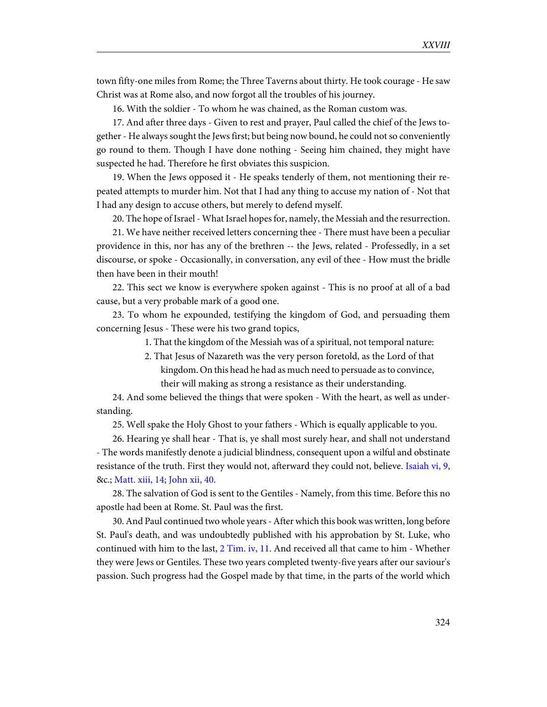town fifty-one miles from Rome; the Three Taverns about thirty. He took courage - He saw Christ was at Rome also, and now forgot all the troubles of his journey.

16. With the soldier - To whom he was chained, as the Roman custom was.

17. And after three days - Given to rest and prayer, Paul called the chief of the Jews together - He always sought the Jews first; but being now bound, he could not so conveniently go round to them. Though I have done nothing - Seeing him chained, they might have suspected he had. Therefore he first obviates this suspicion.

19. When the Jews opposed it - He speaks tenderly of them, not mentioning their repeated attempts to murder him. Not that I had any thing to accuse my nation of - Not that I had any design to accuse others, but merely to defend myself.

20. The hope of Israel - What Israel hopes for, namely, the Messiah and the resurrection.

21. We have neither received letters concerning thee - There must have been a peculiar providence in this, nor has any of the brethren -- the Jews, related - Professedly, in a set discourse, or spoke - Occasionally, in conversation, any evil of thee - How must the bridle then have been in their mouth!

22. This sect we know is everywhere spoken against - This is no proof at all of a bad cause, but a very probable mark of a good one.

23. To whom he expounded, testifying the kingdom of God, and persuading them concerning Jesus - These were his two grand topics,

1. That the kingdom of the Messiah was of a spiritual, not temporal nature:

2. That Jesus of Nazareth was the very person foretold, as the Lord of that kingdom. On this head he had as much need to persuade as to convince, their will making as strong a resistance as their understanding.

24. And some believed the things that were spoken - With the heart, as well as understanding.

25. Well spake the Holy Ghost to your fathers - Which is equally applicable to you.

26. Hearing ye shall hear - That is, ye shall most surely hear, and shall not understand - The words manifestly denote a judicial blindness, consequent upon a wilful and obstinate resistance of the truth. First they would not, afterward they could not, believe. [Isaiah vi, 9,](http://www.ccel.org/study/Bible:Isa.6.9) &c.; [Matt. xiii, 14;](http://www.ccel.org/study/Bible:Matt.13.14) [John xii, 40](http://www.ccel.org/study/Bible:John.12.40).

28. The salvation of God is sent to the Gentiles - Namely, from this time. Before this no apostle had been at Rome. St. Paul was the first.

30. And Paul continued two whole years - After which this book was written, long before St. Paul's death, and was undoubtedly published with his approbation by St. Luke, who continued with him to the last, [2 Tim. iv, 11.](http://www.ccel.org/study/Bible:2Tim.4.11) And received all that came to him - Whether they were Jews or Gentiles. These two years completed twenty-five years after our saviour's passion. Such progress had the Gospel made by that time, in the parts of the world which